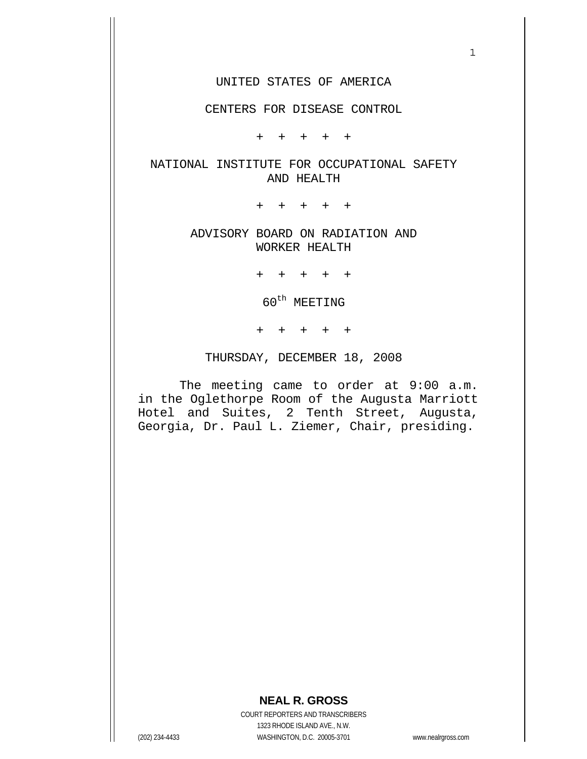#### UNITED STATES OF AMERICA

#### CENTERS FOR DISEASE CONTROL

+ + + + +

## NATIONAL INSTITUTE FOR OCCUPATIONAL SAFETY AND HEALTH

+ + + + +

## ADVISORY BOARD ON RADIATION AND WORKER HEALTH

+ + + + +

 $60^{\text{th}}$  MEETING

+ + + + +

THURSDAY, DECEMBER 18, 2008

 The meeting came to order at 9:00 a.m. in the Oglethorpe Room of the Augusta Marriott Hotel and Suites, 2 Tenth Street, Augusta, Georgia, Dr. Paul L. Ziemer, Chair, presiding.

# **NEAL R. GROSS**

COURT REPORTERS AND TRANSCRIBERS 1323 RHODE ISLAND AVE., N.W. (202) 234-4433 WASHINGTON, D.C. 20005-3701 www.nealrgross.com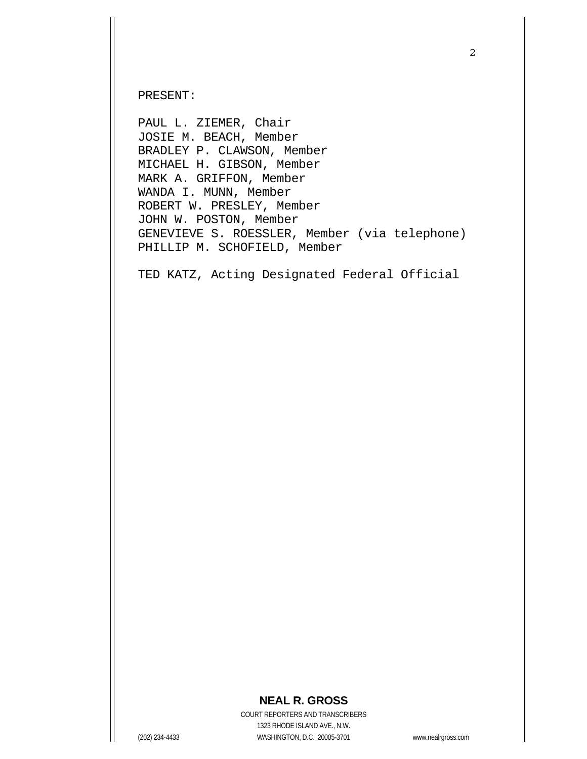PRESENT:

PAUL L. ZIEMER, Chair JOSIE M. BEACH, Member BRADLEY P. CLAWSON, Member MICHAEL H. GIBSON, Member MARK A. GRIFFON, Member WANDA I. MUNN, Member ROBERT W. PRESLEY, Member JOHN W. POSTON, Member GENEVIEVE S. ROESSLER, Member (via telephone) PHILLIP M. SCHOFIELD, Member

TED KATZ, Acting Designated Federal Official

## **NEAL R. GROSS**

COURT REPORTERS AND TRANSCRIBERS 1323 RHODE ISLAND AVE., N.W. (202) 234-4433 WASHINGTON, D.C. 20005-3701 www.nealrgross.com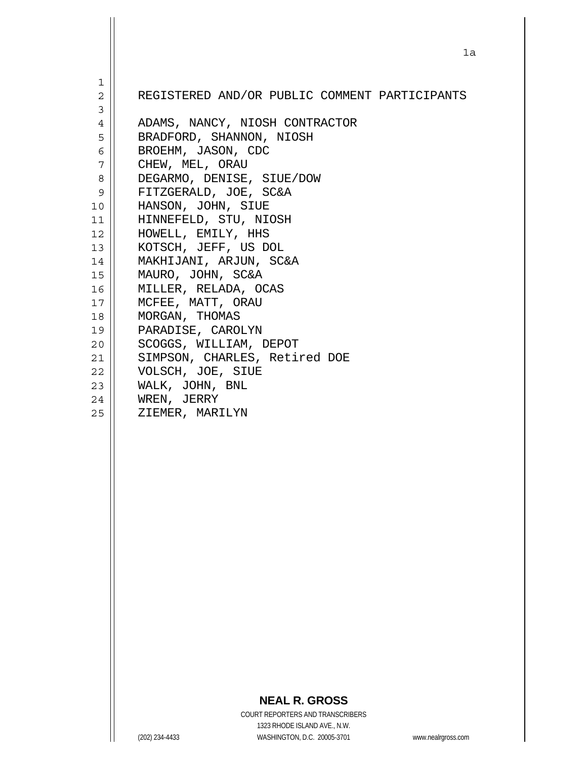|                                  |                                           |                                               | 1a                 |
|----------------------------------|-------------------------------------------|-----------------------------------------------|--------------------|
|                                  |                                           |                                               |                    |
| 1                                |                                           |                                               |                    |
| $\overline{c}$<br>$\overline{3}$ |                                           | REGISTERED AND/OR PUBLIC COMMENT PARTICIPANTS |                    |
| 4                                |                                           | ADAMS, NANCY, NIOSH CONTRACTOR                |                    |
| 5                                |                                           | BRADFORD, SHANNON, NIOSH                      |                    |
| 6                                | BROEHM, JASON, CDC                        |                                               |                    |
| 7                                | CHEW, MEL, ORAU                           |                                               |                    |
| 8                                |                                           | DEGARMO, DENISE, SIUE/DOW                     |                    |
| 9<br>10                          | HANSON, JOHN, SIUE                        | FITZGERALD, JOE, SC&A                         |                    |
| 11                               |                                           | HINNEFELD, STU, NIOSH                         |                    |
| 12                               | HOWELL, EMILY, HHS                        |                                               |                    |
| 13 <sup>1</sup>                  |                                           | KOTSCH, JEFF, US DOL                          |                    |
| 14                               |                                           | MAKHIJANI, ARJUN, SC&A                        |                    |
| 15                               | MAURO, JOHN, SC&A                         |                                               |                    |
| 16<br>17                         | MILLER, RELADA, OCAS<br>MCFEE, MATT, ORAU |                                               |                    |
| 18                               | MORGAN, THOMAS                            |                                               |                    |
| 19                               | PARADISE, CAROLYN                         |                                               |                    |
| 20                               |                                           | SCOGGS, WILLIAM, DEPOT                        |                    |
| 21                               |                                           | SIMPSON, CHARLES, Retired DOE                 |                    |
| 22                               | VOLSCH, JOE, SIUE                         |                                               |                    |
| 23<br>24                         | WALK, JOHN, BNL<br>WREN, JERRY            |                                               |                    |
| 25                               | ZIEMER, MARILYN                           |                                               |                    |
|                                  |                                           |                                               |                    |
|                                  |                                           |                                               |                    |
|                                  |                                           |                                               |                    |
|                                  |                                           |                                               |                    |
|                                  |                                           |                                               |                    |
|                                  |                                           |                                               |                    |
|                                  |                                           |                                               |                    |
|                                  |                                           |                                               |                    |
|                                  |                                           |                                               |                    |
|                                  |                                           |                                               |                    |
|                                  |                                           |                                               |                    |
|                                  |                                           |                                               |                    |
|                                  |                                           |                                               |                    |
|                                  |                                           |                                               |                    |
|                                  |                                           |                                               |                    |
|                                  |                                           |                                               |                    |
|                                  |                                           |                                               |                    |
|                                  |                                           | <b>NEAL R. GROSS</b>                          |                    |
|                                  |                                           | <b>COURT REPORTERS AND TRANSCRIBERS</b>       |                    |
|                                  |                                           | 1323 RHODE ISLAND AVE., N.W.                  |                    |
|                                  | (202) 234-4433                            | WASHINGTON, D.C. 20005-3701                   | www.nealrgross.com |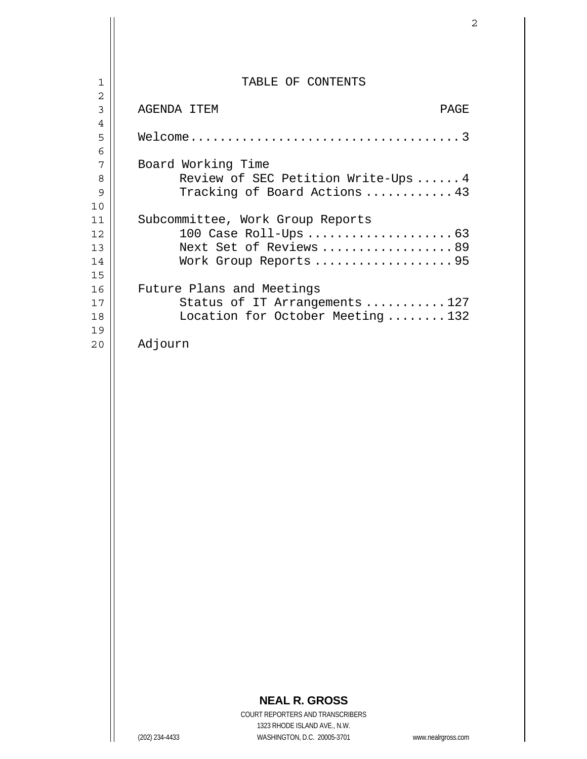| 1              | TABLE OF CONTENTS                   |
|----------------|-------------------------------------|
| $\overline{2}$ |                                     |
| 3              | AGENDA ITEM<br>PAGE                 |
| $\overline{4}$ |                                     |
| 5              |                                     |
| 6              |                                     |
| 7              | Board Working Time                  |
| 8              | Review of SEC Petition Write-Ups  4 |
| 9              | Tracking of Board Actions  43       |
| 10             |                                     |
| 11             | Subcommittee, Work Group Reports    |
| 12             |                                     |
| 13             | Next Set of Reviews 89              |
| 14             | Work Group Reports 95               |
| 15             |                                     |
| 16             | Future Plans and Meetings           |
| 17             | Status of IT Arrangements 127       |
| 18             | Location for October Meeting132     |
| 19             |                                     |
| 20             | Adjourn                             |
|                |                                     |

 $\mathbf{I}$ 

 $\mathsf{I}$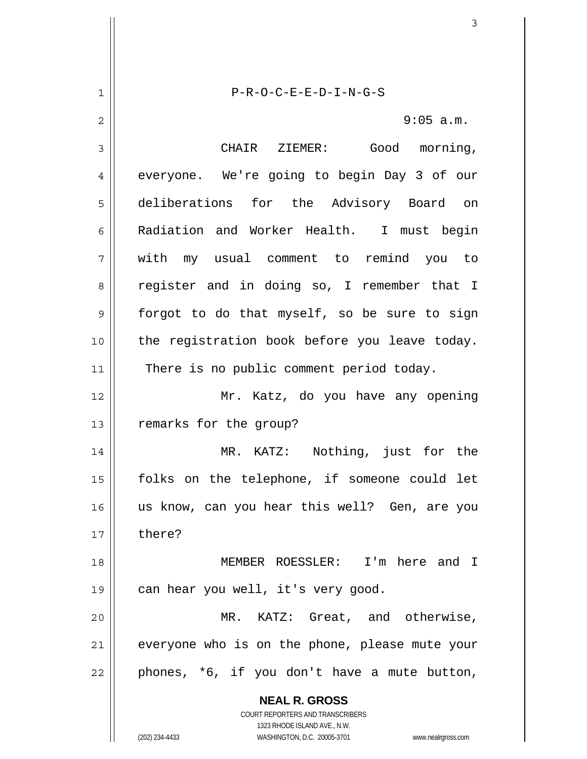**NEAL R. GROSS** COURT REPORTERS AND TRANSCRIBERS 1323 RHODE ISLAND AVE., N.W. 1 2 3 4 5 6 7 8 9 10 11 12 13 14 15 16 17 18 19 20 21 22 P-R-O-C-E-E-D-I-N-G-S 9:05 a.m. CHAIR ZIEMER: Good morning, everyone. We're going to begin Day 3 of our deliberations for the Advisory Board on Radiation and Worker Health. I must begin with my usual comment to remind you to register and in doing so, I remember that I forgot to do that myself, so be sure to sign the registration book before you leave today. There is no public comment period today. Mr. Katz, do you have any opening remarks for the group? MR. KATZ: Nothing, just for the folks on the telephone, if someone could let us know, can you hear this well? Gen, are you there? MEMBER ROESSLER: I'm here and I can hear you well, it's very good. MR. KATZ: Great, and otherwise, everyone who is on the phone, please mute your phones, \*6, if you don't have a mute button,

(202) 234-4433 WASHINGTON, D.C. 20005-3701 www.nealrgross.com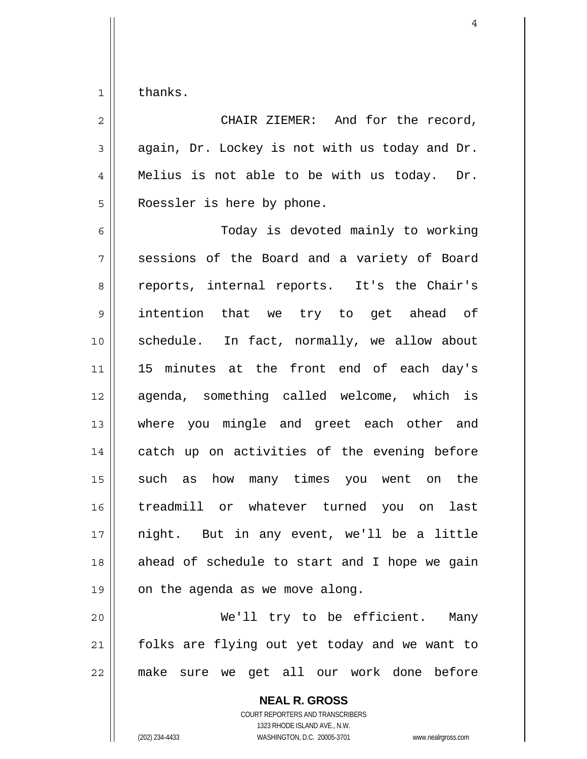1 thanks.

2 3 4 5 CHAIR ZIEMER: And for the record, again, Dr. Lockey is not with us today and Dr. Melius is not able to be with us today. Dr. Roessler is here by phone.

6 7 8 9 10 11 12 13 14 15 16 17 18 19 Today is devoted mainly to working sessions of the Board and a variety of Board reports, internal reports. It's the Chair's intention that we try to get ahead of schedule. In fact, normally, we allow about 15 minutes at the front end of each day's agenda, something called welcome, which is where you mingle and greet each other and catch up on activities of the evening before such as how many times you went on the treadmill or whatever turned you on last night. But in any event, we'll be a little ahead of schedule to start and I hope we gain on the agenda as we move along.

20 21 22 We'll try to be efficient. Many folks are flying out yet today and we want to make sure we get all our work done before

> **NEAL R. GROSS** COURT REPORTERS AND TRANSCRIBERS 1323 RHODE ISLAND AVE., N.W. (202) 234-4433 WASHINGTON, D.C. 20005-3701 www.nealrgross.com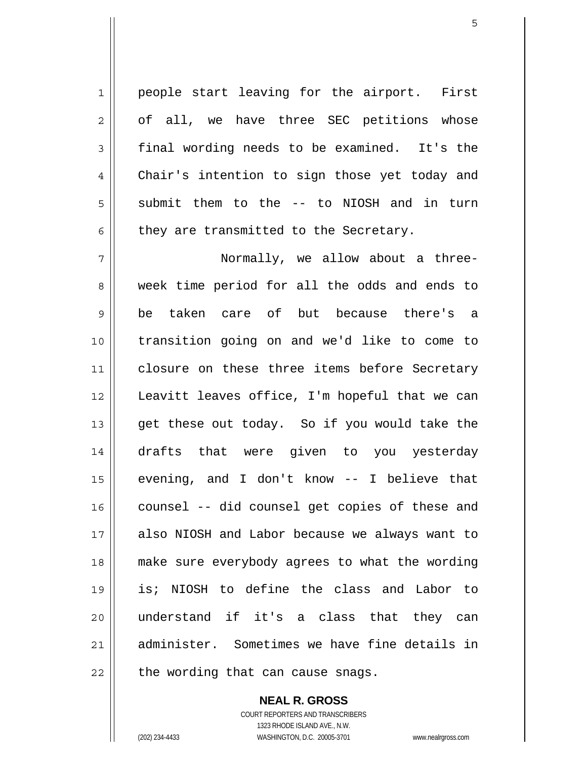people start leaving for the airport. First of all, we have three SEC petitions whose final wording needs to be examined. It's the Chair's intention to sign those yet today and submit them to the -- to NIOSH and in turn they are transmitted to the Secretary.

7 8 9 10 11 12 13 14 15 16 17 18 19 20 21 22 Normally, we allow about a threeweek time period for all the odds and ends to be taken care of but because there's a transition going on and we'd like to come to closure on these three items before Secretary Leavitt leaves office, I'm hopeful that we can get these out today. So if you would take the drafts that were given to you yesterday evening, and I don't know -- I believe that counsel -- did counsel get copies of these and also NIOSH and Labor because we always want to make sure everybody agrees to what the wording is; NIOSH to define the class and Labor to understand if it's a class that they can administer. Sometimes we have fine details in the wording that can cause snags.

> **NEAL R. GROSS** COURT REPORTERS AND TRANSCRIBERS 1323 RHODE ISLAND AVE., N.W. (202) 234-4433 WASHINGTON, D.C. 20005-3701 www.nealrgross.com

1

2

3

4

5

6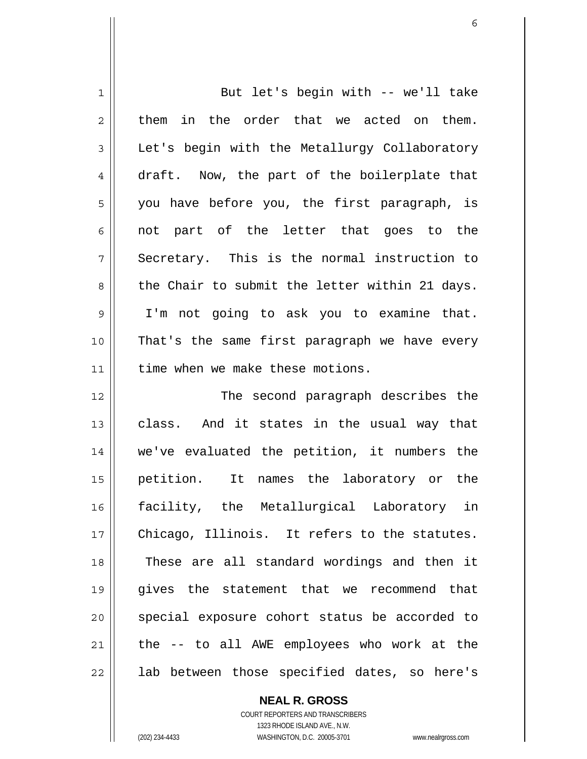| 1  | But let's begin with -- we'll take             |
|----|------------------------------------------------|
| 2  | in the order that we acted on them.<br>them    |
| 3  | Let's begin with the Metallurgy Collaboratory  |
| 4  | draft. Now, the part of the boilerplate that   |
| 5  | you have before you, the first paragraph, is   |
| 6  | not part of the letter that goes to the        |
| 7  | Secretary. This is the normal instruction to   |
| 8  | the Chair to submit the letter within 21 days. |
| 9  | I'm not going to ask you to examine that.      |
| 10 | That's the same first paragraph we have every  |
| 11 | time when we make these motions.               |
| 12 | The second paragraph describes the             |
| 13 | And it states in the usual way that<br>class.  |
| 14 | we've evaluated the petition, it numbers the   |
| 15 | petition. It names the laboratory or the       |
| 16 | facility, the Metallurgical Laboratory in      |
| 17 | Chicago, Illinois. It refers to the statutes.  |
| 18 | These are all standard wordings and then it    |
| 19 | gives the statement that we recommend that     |
| 20 | special exposure cohort status be accorded to  |
| 21 | the -- to all AWE employees who work at the    |
| 22 | lab between those specified dates, so here's   |

**NEAL R. GROSS**

COURT REPORTERS AND TRANSCRIBERS 1323 RHODE ISLAND AVE., N.W. (202) 234-4433 WASHINGTON, D.C. 20005-3701 www.nealrgross.com

 $\mathbf{I}$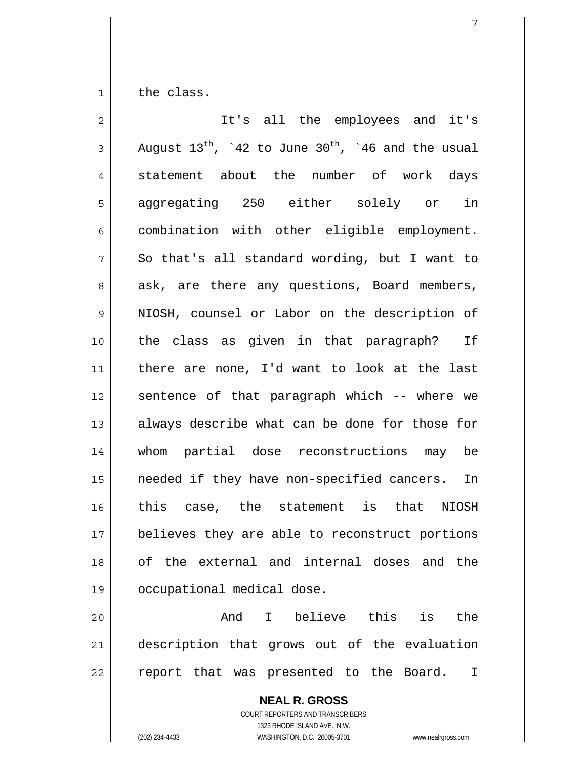1 the class.

| $\overline{2}$ | It's all the employees and it's                              |
|----------------|--------------------------------------------------------------|
| 3              | August $13^{th}$ , '42 to June $30^{th}$ , '46 and the usual |
| 4              | statement about the number of work days                      |
| 5              | aggregating 250 either solely or in                          |
| 6              | combination with other eligible employment.                  |
| 7              | So that's all standard wording, but I want to                |
| 8              | ask, are there any questions, Board members,                 |
| $\mathsf 9$    | NIOSH, counsel or Labor on the description of                |
| 10             | the class as given in that paragraph? If                     |
| 11             | there are none, I'd want to look at the last                 |
| 12             | sentence of that paragraph which -- where we                 |
| 13             | always describe what can be done for those for               |
| 14             | whom partial dose reconstructions may be                     |
| 15             | needed if they have non-specified cancers. In                |
| 16             | this case, the statement is that NIOSH                       |
| 17             | believes they are able to reconstruct portions               |
| 18             | of the external and internal doses and the                   |
| 19             | occupational medical dose.                                   |
| 20             | believe this<br>And<br>is<br>the<br>I.                       |
| 21             | description that grows out of the evaluation                 |

22 report that was presented to the Board. I

> **NEAL R. GROSS** COURT REPORTERS AND TRANSCRIBERS 1323 RHODE ISLAND AVE., N.W. (202) 234-4433 WASHINGTON, D.C. 20005-3701 www.nealrgross.com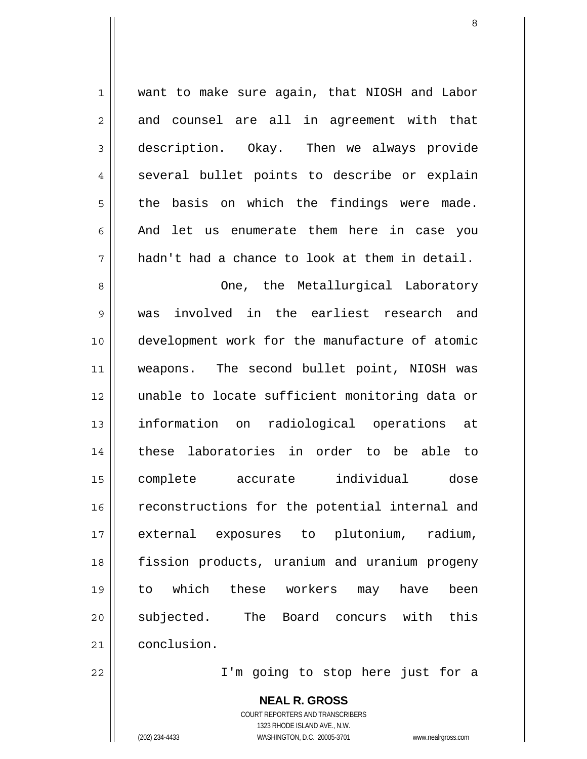| $\mathbf{1}$   | want to make sure again, that NIOSH and Labor   |
|----------------|-------------------------------------------------|
| $\overline{2}$ | and counsel are all in agreement with that      |
| $\mathfrak{Z}$ | description. Okay. Then we always provide       |
| $\overline{4}$ | several bullet points to describe or explain    |
| 5              | basis on which the findings were made.<br>the   |
| 6              | And let us enumerate them here in case you      |
| 7              | hadn't had a chance to look at them in detail.  |
| 8              | One, the Metallurgical Laboratory               |
| 9              | involved in the earliest research and<br>was    |
| 10             | development work for the manufacture of atomic  |
| 11             | weapons. The second bullet point, NIOSH was     |
| 12             | unable to locate sufficient monitoring data or  |
| 13             | information on<br>radiological operations<br>at |
| 14             | laboratories in order to be able to<br>these    |
| 15             | individual<br>complete<br>dose<br>accurate      |
| 16             | reconstructions for the potential internal and  |
| 17             | external exposures to plutonium,<br>radium,     |
| 18             | fission products, uranium and uranium progeny   |
| 19             | which these workers may have<br>been<br>to      |
| 20             | subjected. The<br>Board concurs with<br>this    |
| 21             | conclusion.                                     |

I'm going to stop here just for a

**NEAL R. GROSS** COURT REPORTERS AND TRANSCRIBERS 1323 RHODE ISLAND AVE., N.W. (202) 234-4433 WASHINGTON, D.C. 20005-3701 www.nealrgross.com

22

 $\prod$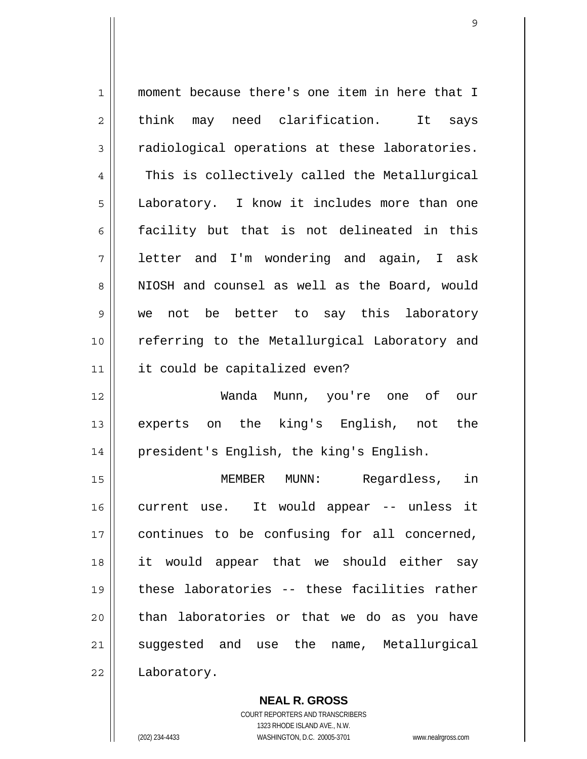| 1           | moment because there's one item in here that I |
|-------------|------------------------------------------------|
| 2           | think may need clarification.<br>It<br>says    |
| 3           | radiological operations at these laboratories. |
| 4           | This is collectively called the Metallurgical  |
| 5           | Laboratory. I know it includes more than one   |
| 6           | facility but that is not delineated in this    |
| 7           | letter and I'm wondering and again, I ask      |
| 8           | NIOSH and counsel as well as the Board, would  |
| $\mathsf 9$ | we not be better to say this laboratory        |
| 10          | referring to the Metallurgical Laboratory and  |
| 11          | it could be capitalized even?                  |
| 12          | Wanda Munn, you're one of our                  |
| 13          | experts on the king's English, not the         |
| 14          | president's English, the king's English.       |
| 15          | in<br>MEMBER<br>MUNN:<br>Regardless,           |
| 16          | current use. It would appear -- unless it      |
| 17          | continues to be confusing for all concerned,   |
| 18          | it would appear that we should either say      |
| 19          | these laboratories -- these facilities rather  |
| 20          | than laboratories or that we do as you have    |
| 21          | suggested and use the name, Metallurgical      |
| 22          | Laboratory.                                    |

**NEAL R. GROSS** COURT REPORTERS AND TRANSCRIBERS 1323 RHODE ISLAND AVE., N.W. (202) 234-4433 WASHINGTON, D.C. 20005-3701 www.nealrgross.com

 $\mathbf{I}$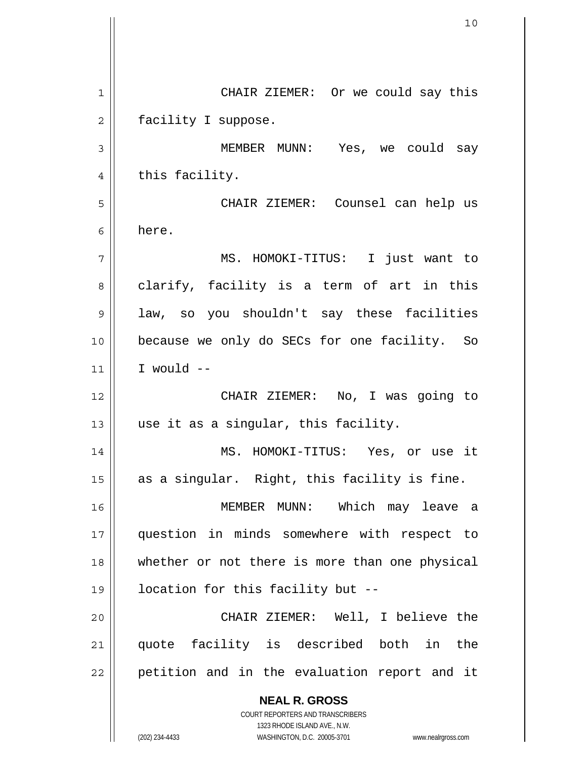**NEAL R. GROSS** COURT REPORTERS AND TRANSCRIBERS 1323 RHODE ISLAND AVE., N.W. 1 2 3 4 5 6 7 8 9 10 11 12 13 14 15 16 17 18 19 20 21 22 CHAIR ZIEMER: Or we could say this facility I suppose. MEMBER MUNN: Yes, we could say this facility. CHAIR ZIEMER: Counsel can help us here. MS. HOMOKI-TITUS: I just want to clarify, facility is a term of art in this law, so you shouldn't say these facilities because we only do SECs for one facility. So I would -- CHAIR ZIEMER: No, I was going to use it as a singular, this facility. MS. HOMOKI-TITUS: Yes, or use it as a singular. Right, this facility is fine. MEMBER MUNN: Which may leave a question in minds somewhere with respect to whether or not there is more than one physical location for this facility but -- CHAIR ZIEMER: Well, I believe the quote facility is described both in the petition and in the evaluation report and it

(202) 234-4433 WASHINGTON, D.C. 20005-3701 www.nealrgross.com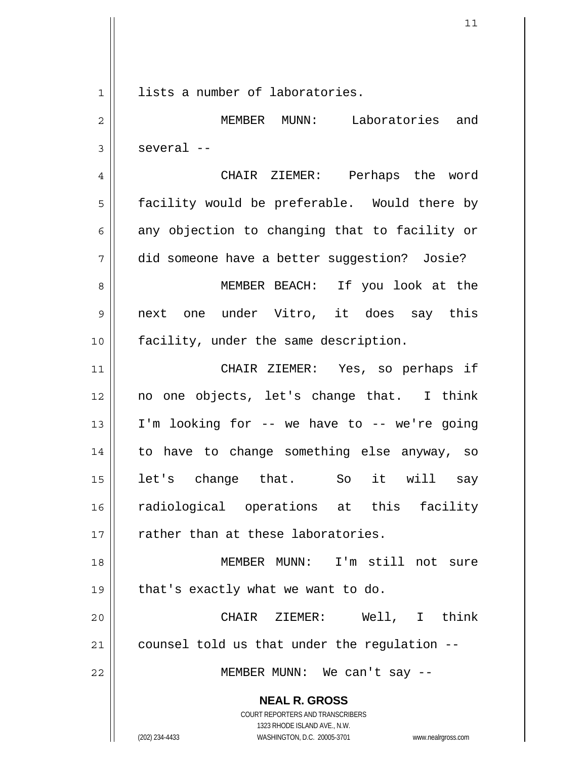**NEAL R. GROSS** COURT REPORTERS AND TRANSCRIBERS 1 2 3 4 5 6 7 8 9 10 11 12 13 14 15 16 17 18 19 20 21 22 lists a number of laboratories. MEMBER MUNN: Laboratories and several -- CHAIR ZIEMER: Perhaps the word facility would be preferable. Would there by any objection to changing that to facility or did someone have a better suggestion? Josie? MEMBER BEACH: If you look at the next one under Vitro, it does say this facility, under the same description. CHAIR ZIEMER: Yes, so perhaps if no one objects, let's change that. I think I'm looking for -- we have to -- we're going to have to change something else anyway, so let's change that. So it will say radiological operations at this facility rather than at these laboratories. MEMBER MUNN: I'm still not sure that's exactly what we want to do. CHAIR ZIEMER: Well, I think counsel told us that under the regulation -- MEMBER MUNN: We can't say --

1323 RHODE ISLAND AVE., N.W.

(202) 234-4433 WASHINGTON, D.C. 20005-3701 www.nealrgross.com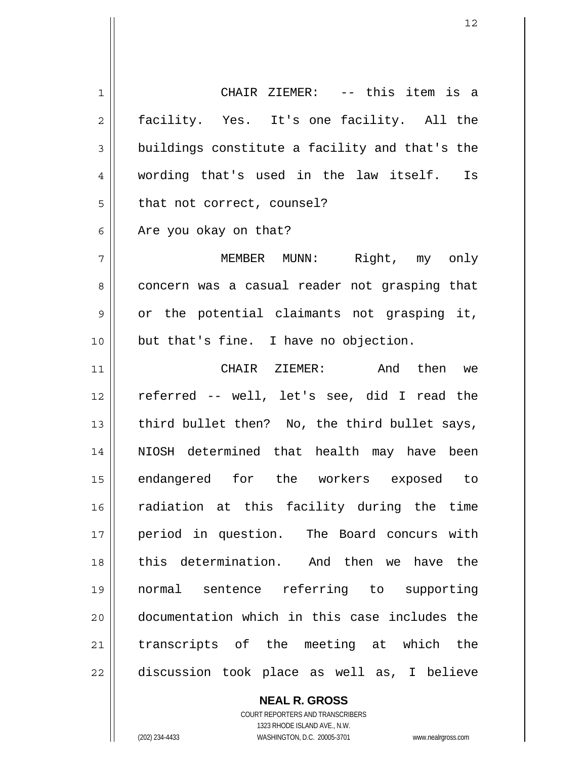1 2 3 4 5 6 7 8 9 10 11 12 13 14 15 16 17 18 19 20 21 22 CHAIR ZIEMER: -- this item is a facility. Yes. It's one facility. All the buildings constitute a facility and that's the wording that's used in the law itself. Is that not correct, counsel? Are you okay on that? MEMBER MUNN: Right, my only concern was a casual reader not grasping that or the potential claimants not grasping it, but that's fine. I have no objection. CHAIR ZIEMER: And then we referred -- well, let's see, did I read the third bullet then? No, the third bullet says, NIOSH determined that health may have been endangered for the workers exposed to radiation at this facility during the time period in question. The Board concurs with this determination. And then we have the normal sentence referring to supporting documentation which in this case includes the transcripts of the meeting at which the discussion took place as well as, I believe

**NEAL R. GROSS**

COURT REPORTERS AND TRANSCRIBERS 1323 RHODE ISLAND AVE., N.W. (202) 234-4433 WASHINGTON, D.C. 20005-3701 www.nealrgross.com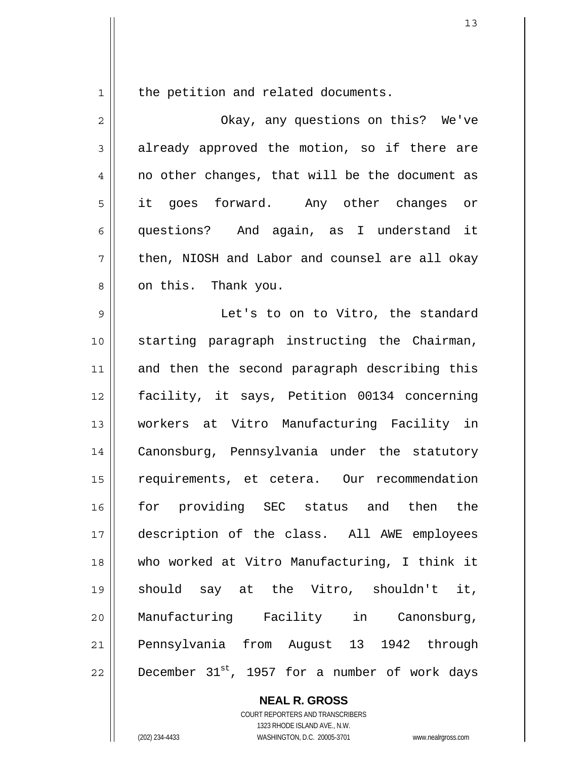the petition and related documents.

1

| $\overline{2}$ | Okay, any questions on this? We've             |
|----------------|------------------------------------------------|
| 3              | already approved the motion, so if there are   |
| 4              | no other changes, that will be the document as |
| 5              | it goes forward. Any other changes or          |
| 6              | questions? And again, as I understand it       |
| 7              | then, NIOSH and Labor and counsel are all okay |
| 8              | on this. Thank you.                            |
| 9              | Let's to on to Vitro, the standard             |
| 10             | starting paragraph instructing the Chairman,   |
| 11             | and then the second paragraph describing this  |
| 12             | facility, it says, Petition 00134 concerning   |
| 13             | workers at Vitro Manufacturing Facility in     |
| 14             | Canonsburg, Pennsylvania under the statutory   |
| 15             | requirements, et cetera. Our recommendation    |
| 16             | for providing SEC status and<br>the<br>then    |
| 17             | description of the class. All AWE employees    |
| 18             | who worked at Vitro Manufacturing, I think it  |
| 19             | should say at the Vitro, shouldn't it,         |
| 20             | Manufacturing Facility in Canonsburg,          |
| 21             | Pennsylvania from August 13 1942 through       |
| 22             | December 31st, 1957 for a number of work days  |

**NEAL R. GROSS** COURT REPORTERS AND TRANSCRIBERS 1323 RHODE ISLAND AVE., N.W. (202) 234-4433 WASHINGTON, D.C. 20005-3701 www.nealrgross.com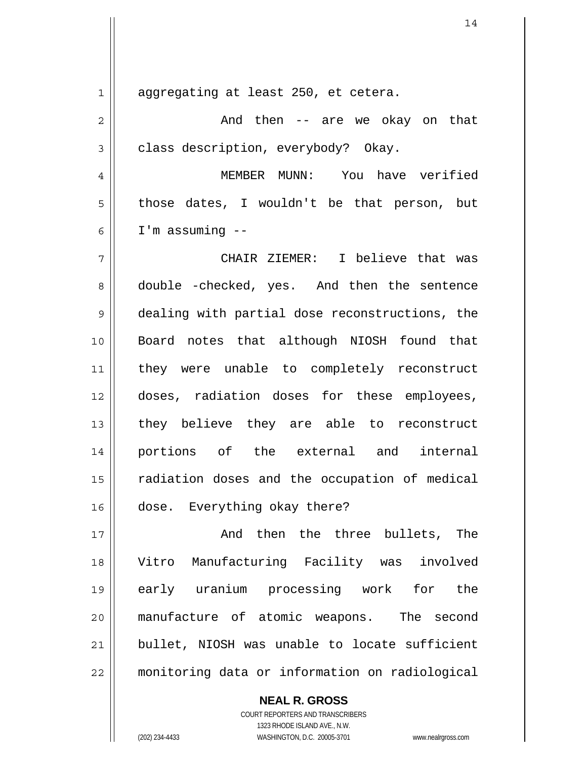1 2 3 4 5 6 7 8 9 10 11 12 13 14 15 16 17 18 19 20 aggregating at least 250, et cetera. And then -- are we okay on that class description, everybody? Okay. MEMBER MUNN: You have verified those dates, I wouldn't be that person, but I'm assuming -- CHAIR ZIEMER: I believe that was double -checked, yes. And then the sentence dealing with partial dose reconstructions, the Board notes that although NIOSH found that they were unable to completely reconstruct doses, radiation doses for these employees, they believe they are able to reconstruct portions of the external and internal radiation doses and the occupation of medical dose. Everything okay there? And then the three bullets, The Vitro Manufacturing Facility was involved early uranium processing work for the manufacture of atomic weapons. The second bullet, NIOSH was unable to locate sufficient

21

22

**NEAL R. GROSS** COURT REPORTERS AND TRANSCRIBERS 1323 RHODE ISLAND AVE., N.W.

monitoring data or information on radiological

(202) 234-4433 WASHINGTON, D.C. 20005-3701 www.nealrgross.com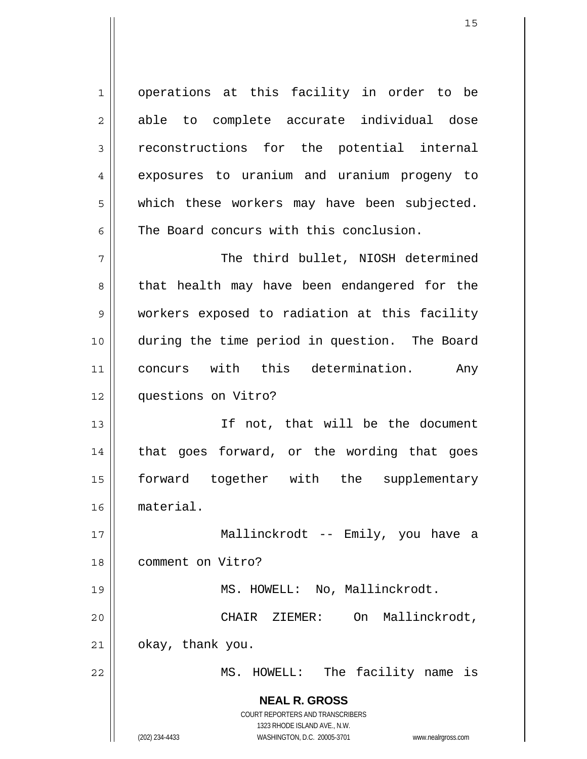1 2 3 4 5 6 operations at this facility in order to be able to complete accurate individual dose reconstructions for the potential internal exposures to uranium and uranium progeny to which these workers may have been subjected. The Board concurs with this conclusion.

7 8 9 10 11 12 The third bullet, NIOSH determined that health may have been endangered for the workers exposed to radiation at this facility during the time period in question. The Board concurs with this determination. Any questions on Vitro?

13 14 15 16 If not, that will be the document that goes forward, or the wording that goes forward together with the supplementary material.

17 18 19 Mallinckrodt -- Emily, you have a comment on Vitro? MS. HOWELL: No, Mallinckrodt.

okay, thank you.

MS. HOWELL: The facility name is

CHAIR ZIEMER: On Mallinckrodt,

**NEAL R. GROSS** COURT REPORTERS AND TRANSCRIBERS 1323 RHODE ISLAND AVE., N.W.

20

21

22

(202) 234-4433 WASHINGTON, D.C. 20005-3701 www.nealrgross.com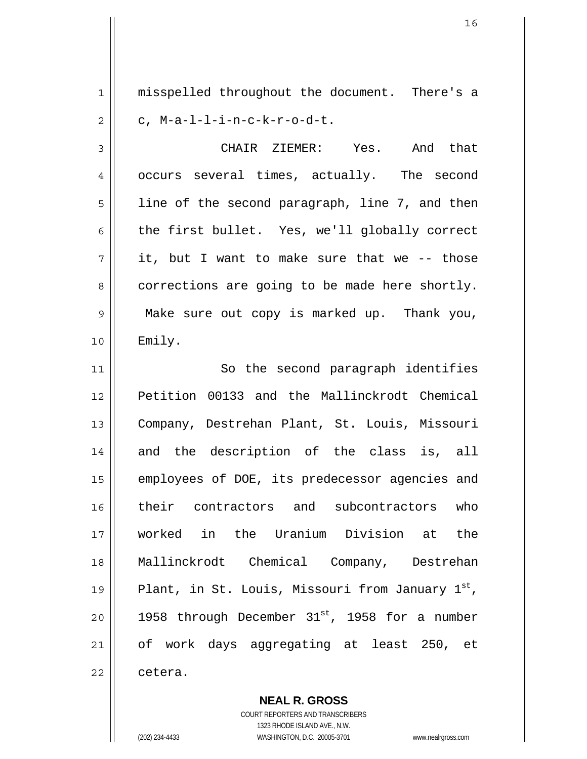1 2 misspelled throughout the document. There's a c, M-a-l-l-i-n-c-k-r-o-d-t.

3 4 5 6 7 8 9 10 CHAIR ZIEMER: Yes. And that occurs several times, actually. The second line of the second paragraph, line 7, and then the first bullet. Yes, we'll globally correct it, but I want to make sure that we -- those corrections are going to be made here shortly. Make sure out copy is marked up. Thank you, Emily.

11 12 13 14 15 16 17 18 19 20 21 22 So the second paragraph identifies Petition 00133 and the Mallinckrodt Chemical Company, Destrehan Plant, St. Louis, Missouri and the description of the class is, all employees of DOE, its predecessor agencies and their contractors and subcontractors who worked in the Uranium Division at the Mallinckrodt Chemical Company, Destrehan Plant, in St. Louis, Missouri from January 1st, 1958 through December  $31^{st}$ , 1958 for a number of work days aggregating at least 250, et cetera.

> COURT REPORTERS AND TRANSCRIBERS 1323 RHODE ISLAND AVE., N.W. (202) 234-4433 WASHINGTON, D.C. 20005-3701 www.nealrgross.com

**NEAL R. GROSS**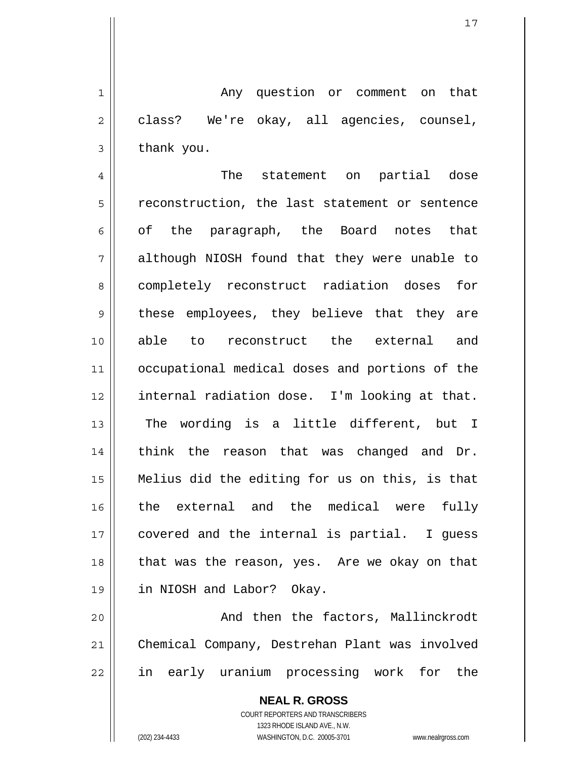1 2 3 Any question or comment on that class? We're okay, all agencies, counsel, thank you.

4 5 6 7 8 9 10 11 12 13 14 15 16 17 18 19 The statement on partial dose reconstruction, the last statement or sentence of the paragraph, the Board notes that although NIOSH found that they were unable to completely reconstruct radiation doses for these employees, they believe that they are able to reconstruct the external and occupational medical doses and portions of the internal radiation dose. I'm looking at that. The wording is a little different, but I think the reason that was changed and Dr. Melius did the editing for us on this, is that the external and the medical were fully covered and the internal is partial. I guess that was the reason, yes. Are we okay on that in NIOSH and Labor? Okay.

20 21 22 And then the factors, Mallinckrodt Chemical Company, Destrehan Plant was involved in early uranium processing work for the

> **NEAL R. GROSS** COURT REPORTERS AND TRANSCRIBERS 1323 RHODE ISLAND AVE., N.W. (202) 234-4433 WASHINGTON, D.C. 20005-3701 www.nealrgross.com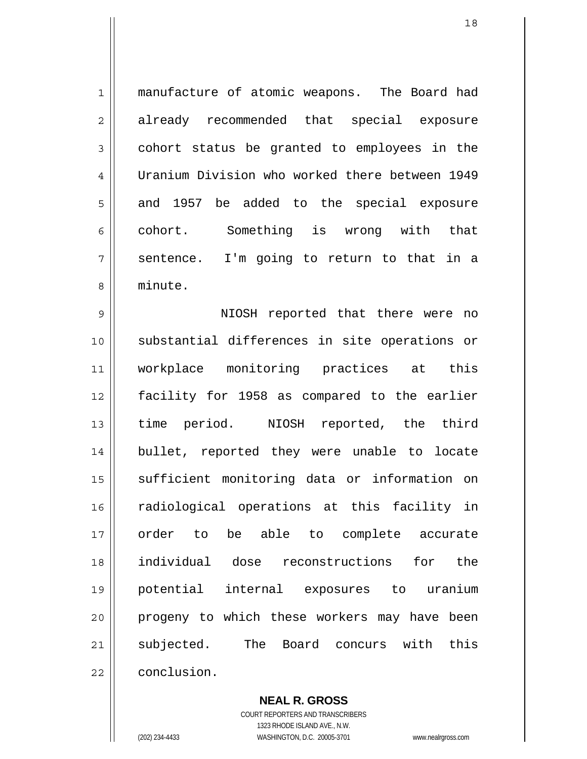1 2 3 4 5 6 7 8 manufacture of atomic weapons. The Board had already recommended that special exposure cohort status be granted to employees in the Uranium Division who worked there between 1949 and 1957 be added to the special exposure cohort. Something is wrong with that sentence. I'm going to return to that in a minute.

9 10 11 12 13 14 15 16 17 18 19 20 21 22 NIOSH reported that there were no substantial differences in site operations or workplace monitoring practices at this facility for 1958 as compared to the earlier time period. NIOSH reported, the third bullet, reported they were unable to locate sufficient monitoring data or information on radiological operations at this facility in order to be able to complete accurate individual dose reconstructions for the potential internal exposures to uranium progeny to which these workers may have been subjected. The Board concurs with this conclusion.

> **NEAL R. GROSS** COURT REPORTERS AND TRANSCRIBERS 1323 RHODE ISLAND AVE., N.W. (202) 234-4433 WASHINGTON, D.C. 20005-3701 www.nealrgross.com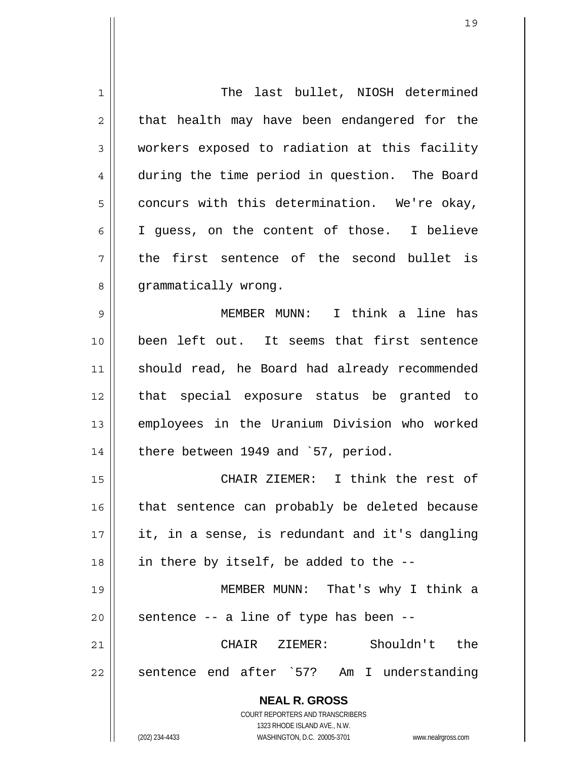| 1              | The last bullet, NIOSH determined                                   |
|----------------|---------------------------------------------------------------------|
| $\overline{2}$ | that health may have been endangered for the                        |
| 3              | workers exposed to radiation at this facility                       |
| 4              | during the time period in question. The Board                       |
| 5              | concurs with this determination. We're okay,                        |
| 6              | I guess, on the content of those. I believe                         |
| 7              | the first sentence of the second bullet is                          |
| 8              | grammatically wrong.                                                |
| 9              | MEMBER MUNN: I think a line has                                     |
| 10             | been left out. It seems that first sentence                         |
| 11             | should read, he Board had already recommended                       |
| 12             | that special exposure status be granted to                          |
| 13             | employees in the Uranium Division who worked                        |
| 14             | there between 1949 and '57, period.                                 |
| 15             | CHAIR ZIEMER: I think the rest of                                   |
| 16             | that sentence can probably be deleted because                       |
| 17             | it, in a sense, is redundant and it's dangling                      |
| 18             | in there by itself, be added to the --                              |
| 19             | MEMBER MUNN: That's why I think a                                   |
| 20             | sentence -- a line of type has been --                              |
| 21             | CHAIR ZIEMER: Shouldn't the                                         |
| 22             | sentence end after `57? Am I understanding                          |
|                | <b>NEAL R. GROSS</b>                                                |
|                | COURT REPORTERS AND TRANSCRIBERS                                    |
|                | 1323 RHODE ISLAND AVE., N.W.                                        |
|                | (202) 234-4433<br>WASHINGTON, D.C. 20005-3701<br>www.nealrgross.com |

 $\mathsf{I}$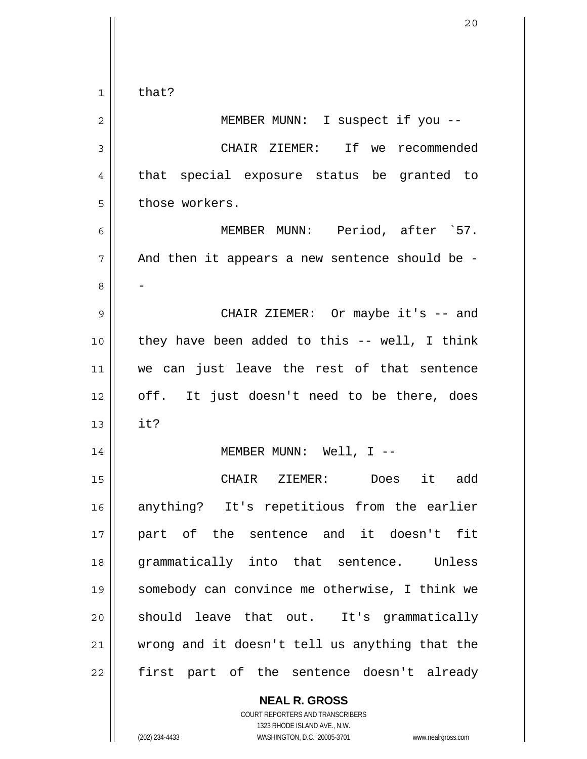1 2 3 4 5 6 7 8 9 10 11 12 13 14 15 16 17 18 19 20 21 22 that? MEMBER MUNN: I suspect if you -- CHAIR ZIEMER: If we recommended that special exposure status be granted to those workers. MEMBER MUNN: Period, after `57. And then it appears a new sentence should be - - CHAIR ZIEMER: Or maybe it's -- and they have been added to this -- well, I think we can just leave the rest of that sentence off. It just doesn't need to be there, does it? MEMBER MUNN: Well, I -- CHAIR ZIEMER: Does it add anything? It's repetitious from the earlier part of the sentence and it doesn't fit grammatically into that sentence. Unless somebody can convince me otherwise, I think we should leave that out. It's grammatically wrong and it doesn't tell us anything that the first part of the sentence doesn't already

> **NEAL R. GROSS** COURT REPORTERS AND TRANSCRIBERS 1323 RHODE ISLAND AVE., N.W. (202) 234-4433 WASHINGTON, D.C. 20005-3701 www.nealrgross.com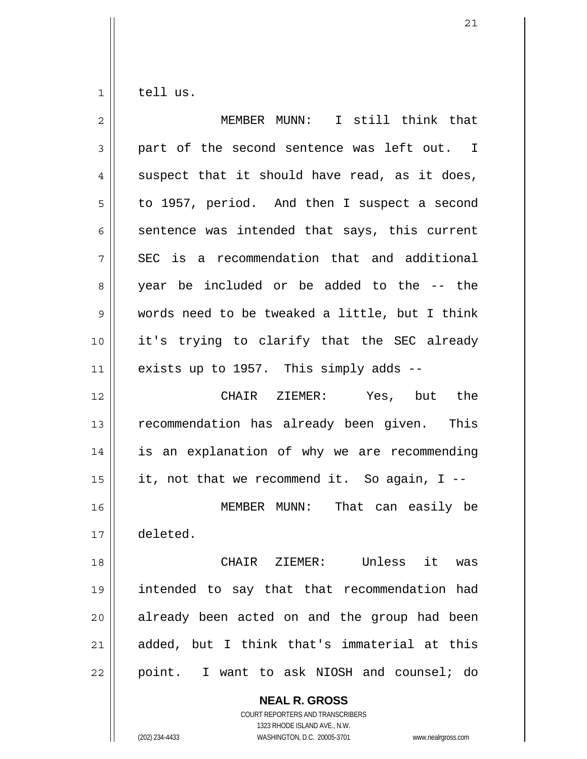1 tell us.

| $\overline{2}$ | MEMBER MUNN: I still think that                |
|----------------|------------------------------------------------|
| 3              | part of the second sentence was left out. I    |
| 4              | suspect that it should have read, as it does,  |
| 5              | to 1957, period. And then I suspect a second   |
| 6              | sentence was intended that says, this current  |
| 7              | SEC is a recommendation that and additional    |
| 8              | year be included or be added to the -- the     |
| 9              | words need to be tweaked a little, but I think |
| 10             | it's trying to clarify that the SEC already    |
| 11             | exists up to 1957. This simply adds --         |
| 12             | CHAIR ZIEMER: Yes, but the                     |
| 13             | recommendation has already been given. This    |
| 14             | is an explanation of why we are recommending   |
| 15             | it, not that we recommend it. So again, I --   |
| 16             | MEMBER MUNN: That can easily be                |
| 17             | deleted.                                       |
| 18             | CHAIR ZIEMER: Unless it was                    |
| 19             | intended to say that that recommendation had   |
| 20             | already been acted on and the group had been   |
| 21             | added, but I think that's immaterial at this   |
| 22             | point. I want to ask NIOSH and counsel; do     |
|                | <b>NEAL R. GROSS</b>                           |

COURT REPORTERS AND TRANSCRIBERS 1323 RHODE ISLAND AVE., N.W.

(202) 234-4433 WASHINGTON, D.C. 20005-3701 www.nealrgross.com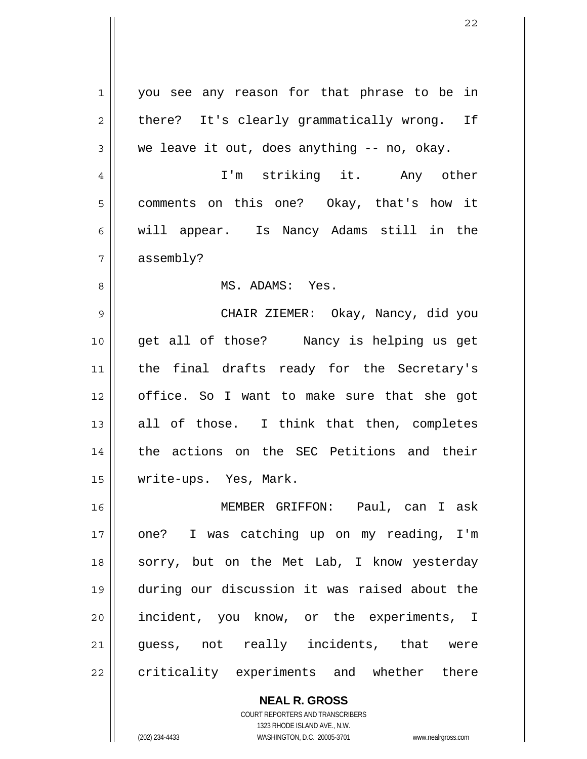| 1  | you see any reason for that phrase to be in   |
|----|-----------------------------------------------|
| 2  | there? It's clearly grammatically wrong. If   |
| 3  | we leave it out, does anything -- no, okay.   |
| 4  | I'm striking it. Any other                    |
| 5  | comments on this one? Okay, that's how it     |
| 6  | will appear. Is Nancy Adams still in the      |
| 7  | assembly?                                     |
| 8  | MS. ADAMS: Yes.                               |
| 9  | CHAIR ZIEMER: Okay, Nancy, did you            |
| 10 | get all of those? Nancy is helping us get     |
| 11 | the final drafts ready for the Secretary's    |
| 12 | office. So I want to make sure that she got   |
| 13 | all of those. I think that then, completes    |
| 14 | the actions on the SEC Petitions and their    |
| 15 | write-ups. Yes, Mark.                         |
| 16 | MEMBER GRIFFON: Paul, can I ask               |
| 17 | one? I was catching up on my reading, I'm     |
| 18 | sorry, but on the Met Lab, I know yesterday   |
| 19 | during our discussion it was raised about the |
| 20 | incident, you know, or the experiments, I     |
| 21 | guess, not really incidents, that were        |
| 22 | criticality experiments and whether there     |
|    |                                               |

**NEAL R. GROSS** COURT REPORTERS AND TRANSCRIBERS 1323 RHODE ISLAND AVE., N.W.

 $\mathsf{I}$ 

(202) 234-4433 WASHINGTON, D.C. 20005-3701 www.nealrgross.com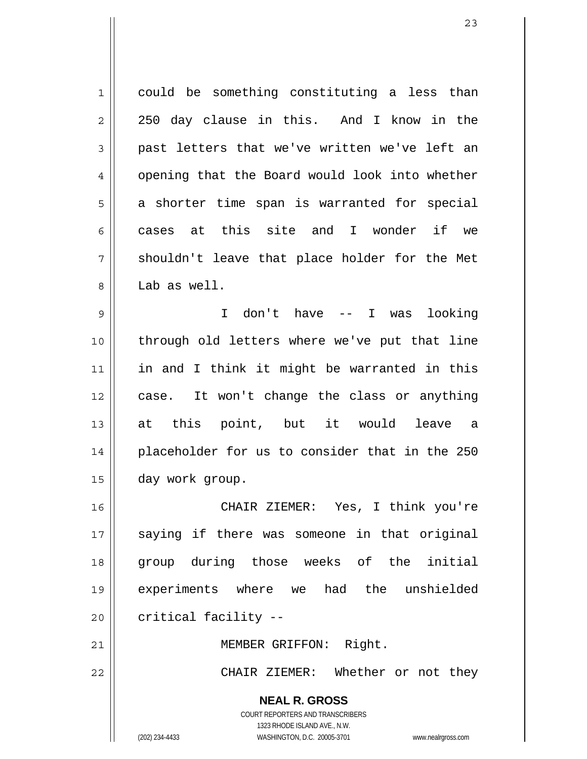1 2 3 4 5 6 7 8 9 could be something constituting a less than 250 day clause in this. And I know in the past letters that we've written we've left an opening that the Board would look into whether a shorter time span is warranted for special cases at this site and I wonder if we shouldn't leave that place holder for the Met Lab as well. I don't have -- I was looking

10 11 12 13 14 15 through old letters where we've put that line in and I think it might be warranted in this case. It won't change the class or anything at this point, but it would leave a placeholder for us to consider that in the 250 day work group.

16 17 18 19 20 CHAIR ZIEMER: Yes, I think you're saying if there was someone in that original group during those weeks of the initial experiments where we had the unshielded critical facility --

21 22 MEMBER GRIFFON: Right. CHAIR ZIEMER: Whether or not they

> **NEAL R. GROSS** COURT REPORTERS AND TRANSCRIBERS 1323 RHODE ISLAND AVE., N.W. (202) 234-4433 WASHINGTON, D.C. 20005-3701 www.nealrgross.com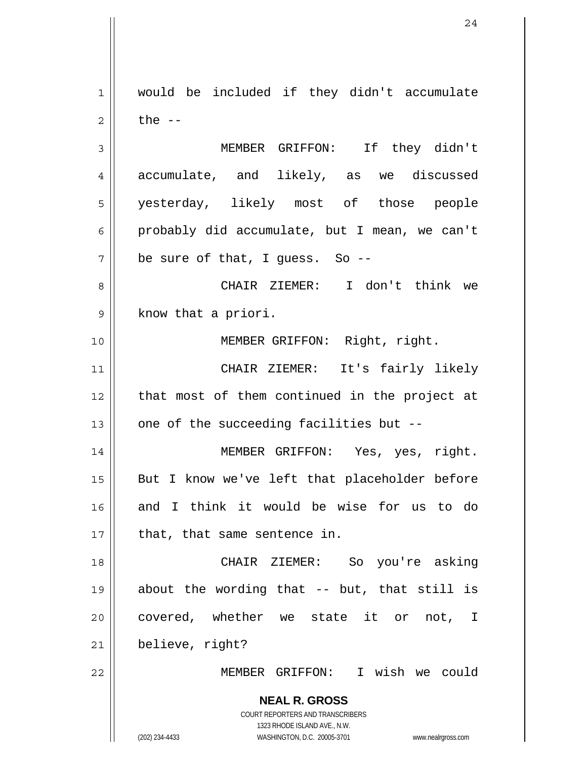1 2 would be included if they didn't accumulate the  $--$ 

3 4 5 6 7 MEMBER GRIFFON: If they didn't accumulate, and likely, as we discussed yesterday, likely most of those people probably did accumulate, but I mean, we can't be sure of that, I guess. So --

8 9 CHAIR ZIEMER: I don't think we know that a priori.

MEMBER GRIFFON: Right, right.

11 12 13 CHAIR ZIEMER: It's fairly likely that most of them continued in the project at one of the succeeding facilities but --

14 15 16 17 MEMBER GRIFFON: Yes, yes, right. But I know we've left that placeholder before and I think it would be wise for us to do that, that same sentence in.

18 19 20 21 CHAIR ZIEMER: So you're asking about the wording that -- but, that still is covered, whether we state it or not, I believe, right?

MEMBER GRIFFON: I wish we could

**NEAL R. GROSS** COURT REPORTERS AND TRANSCRIBERS

1323 RHODE ISLAND AVE., N.W.

10

22

(202) 234-4433 WASHINGTON, D.C. 20005-3701 www.nealrgross.com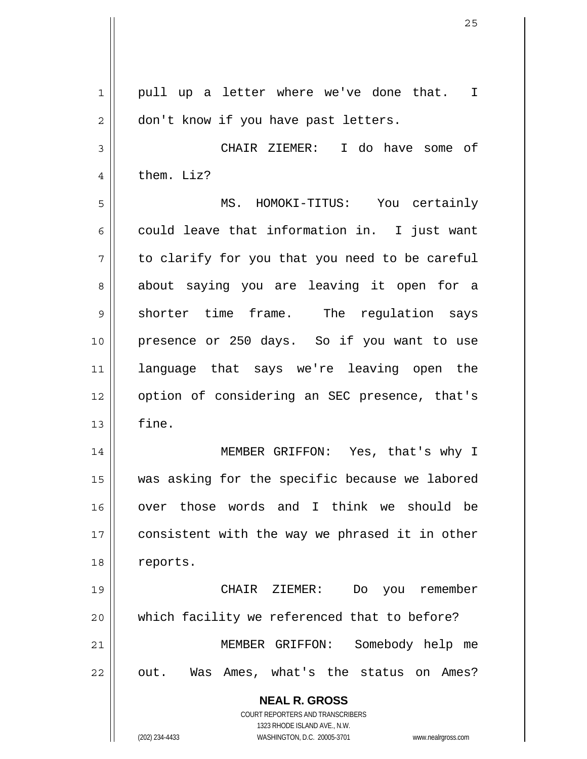| 1            | pull up a letter where we've done that.<br>$\mathbf I$                                              |
|--------------|-----------------------------------------------------------------------------------------------------|
| $\mathbf{2}$ | don't know if you have past letters.                                                                |
| 3            | CHAIR ZIEMER: I do have some of                                                                     |
| 4            | them. Liz?                                                                                          |
| 5            | MS. HOMOKI-TITUS: You certainly                                                                     |
| 6            | could leave that information in. I just want                                                        |
| 7            | to clarify for you that you need to be careful                                                      |
| 8            | about saying you are leaving it open for a                                                          |
| 9            | shorter time frame. The regulation says                                                             |
| 10           | presence or 250 days. So if you want to use                                                         |
| 11           | language that says we're leaving open the                                                           |
| 12           | option of considering an SEC presence, that's                                                       |
| 13           | fine.                                                                                               |
| 14           | MEMBER GRIFFON: Yes, that's why I                                                                   |
| 15           | was asking for the specific because we labored                                                      |
| 16           | over those words and I think we should be                                                           |
| 17           | consistent with the way we phrased it in other                                                      |
| 18           | reports.                                                                                            |
| 19           | you remember<br>CHAIR ZIEMER:<br>Do                                                                 |
| 20           | which facility we referenced that to before?                                                        |
| 21           | MEMBER GRIFFON:<br>Somebody help me                                                                 |
| 22           | out. Was Ames, what's the status on Ames?                                                           |
|              | <b>NEAL R. GROSS</b>                                                                                |
|              | <b>COURT REPORTERS AND TRANSCRIBERS</b>                                                             |
|              | 1323 RHODE ISLAND AVE., N.W.<br>(202) 234-4433<br>WASHINGTON, D.C. 20005-3701<br>www.nealrgross.com |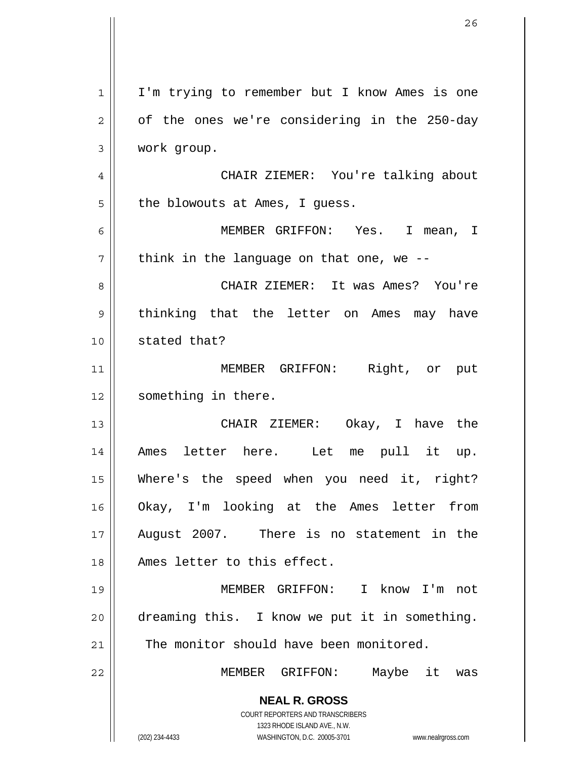**NEAL R. GROSS** COURT REPORTERS AND TRANSCRIBERS 1323 RHODE ISLAND AVE., N.W. (202) 234-4433 WASHINGTON, D.C. 20005-3701 www.nealrgross.com 1 2 3 4 5 6 7 8 9 10 11 12 13 14 15 16 17 18 19 20 21 22 I'm trying to remember but I know Ames is one of the ones we're considering in the 250-day work group. CHAIR ZIEMER: You're talking about the blowouts at Ames, I guess. MEMBER GRIFFON: Yes. I mean, I think in the language on that one, we -- CHAIR ZIEMER: It was Ames? You're thinking that the letter on Ames may have stated that? MEMBER GRIFFON: Right, or put something in there. CHAIR ZIEMER: Okay, I have the Ames letter here. Let me pull it up. Where's the speed when you need it, right? Okay, I'm looking at the Ames letter from August 2007. There is no statement in the Ames letter to this effect. MEMBER GRIFFON: I know I'm not dreaming this. I know we put it in something. The monitor should have been monitored. MEMBER GRIFFON: Maybe it was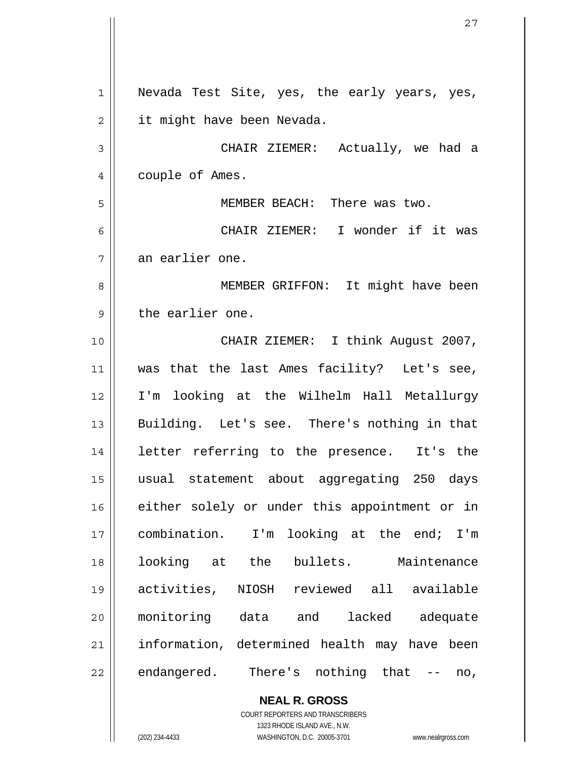1 2 3 4 5 6 7 8 9 10 11 12 13 14 15 16 17 18 19 20 21 22 Nevada Test Site, yes, the early years, yes, it might have been Nevada. CHAIR ZIEMER: Actually, we had a couple of Ames. MEMBER BEACH: There was two. CHAIR ZIEMER: I wonder if it was an earlier one. MEMBER GRIFFON: It might have been the earlier one. CHAIR ZIEMER: I think August 2007, was that the last Ames facility? Let's see, I'm looking at the Wilhelm Hall Metallurgy Building. Let's see. There's nothing in that letter referring to the presence. It's the usual statement about aggregating 250 days either solely or under this appointment or in combination. I'm looking at the end; I'm looking at the bullets. Maintenance activities, NIOSH reviewed all available monitoring data and lacked adequate information, determined health may have been endangered. There's nothing that -- no,

> **NEAL R. GROSS** COURT REPORTERS AND TRANSCRIBERS 1323 RHODE ISLAND AVE., N.W.

(202) 234-4433 WASHINGTON, D.C. 20005-3701 www.nealrgross.com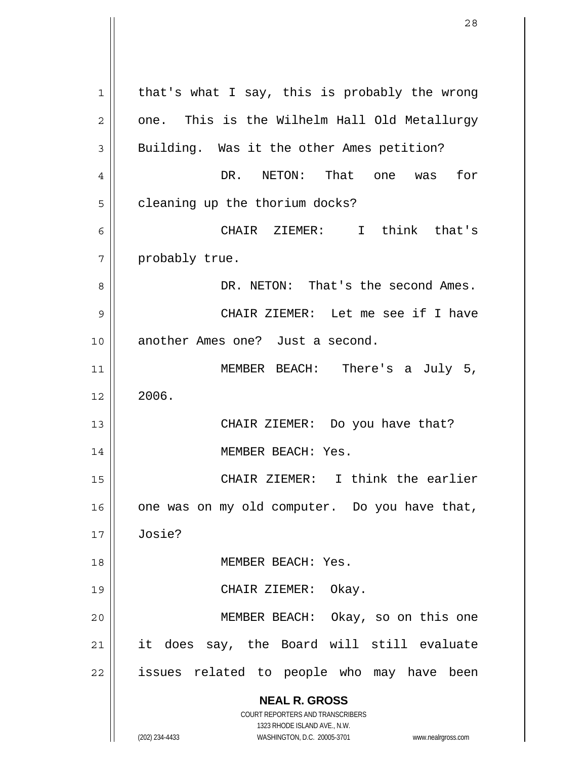**NEAL R. GROSS** COURT REPORTERS AND TRANSCRIBERS 1323 RHODE ISLAND AVE., N.W. (202) 234-4433 WASHINGTON, D.C. 20005-3701 www.nealrgross.com 1 2 3 4 5 6 7 8 9 10 11 12 13 14 15 16 17 18 19 20 21 22 that's what I say, this is probably the wrong one. This is the Wilhelm Hall Old Metallurgy Building. Was it the other Ames petition? DR. NETON: That one was for cleaning up the thorium docks? CHAIR ZIEMER: I think that's probably true. DR. NETON: That's the second Ames. CHAIR ZIEMER: Let me see if I have another Ames one? Just a second. MEMBER BEACH: There's a July 5, 2006. CHAIR ZIEMER: Do you have that? MEMBER BEACH: Yes. CHAIR ZIEMER: I think the earlier one was on my old computer. Do you have that, Josie? MEMBER BEACH: Yes. CHAIR ZIEMER: Okay. MEMBER BEACH: Okay, so on this one it does say, the Board will still evaluate issues related to people who may have been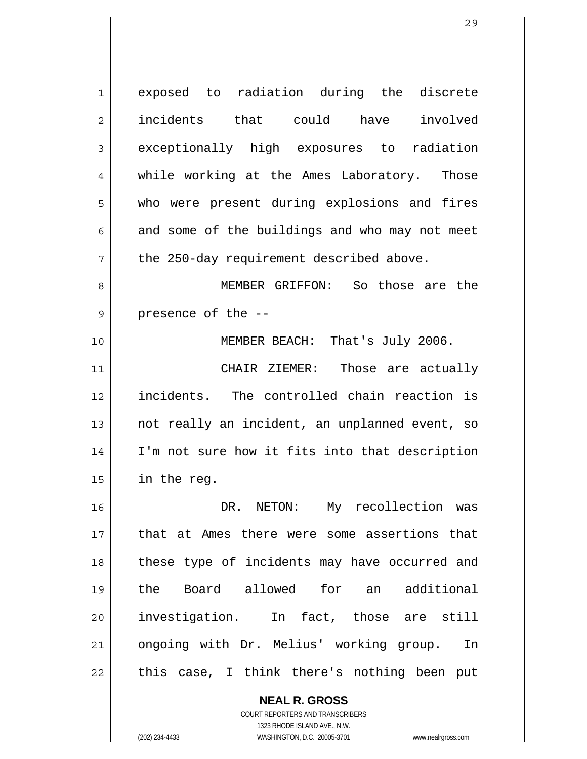1 2 3 4 5 6 7 8 9 10 11 12 13 14 15 16 17 18 19 20 21 22 exposed to radiation during the discrete incidents that could have involved exceptionally high exposures to radiation while working at the Ames Laboratory. Those who were present during explosions and fires and some of the buildings and who may not meet the 250-day requirement described above. MEMBER GRIFFON: So those are the presence of the -- MEMBER BEACH: That's July 2006. CHAIR ZIEMER: Those are actually incidents. The controlled chain reaction is not really an incident, an unplanned event, so I'm not sure how it fits into that description in the reg. DR. NETON: My recollection was that at Ames there were some assertions that these type of incidents may have occurred and the Board allowed for an additional investigation. In fact, those are still ongoing with Dr. Melius' working group. In this case, I think there's nothing been put

> **NEAL R. GROSS** COURT REPORTERS AND TRANSCRIBERS 1323 RHODE ISLAND AVE., N.W.

(202) 234-4433 WASHINGTON, D.C. 20005-3701 www.nealrgross.com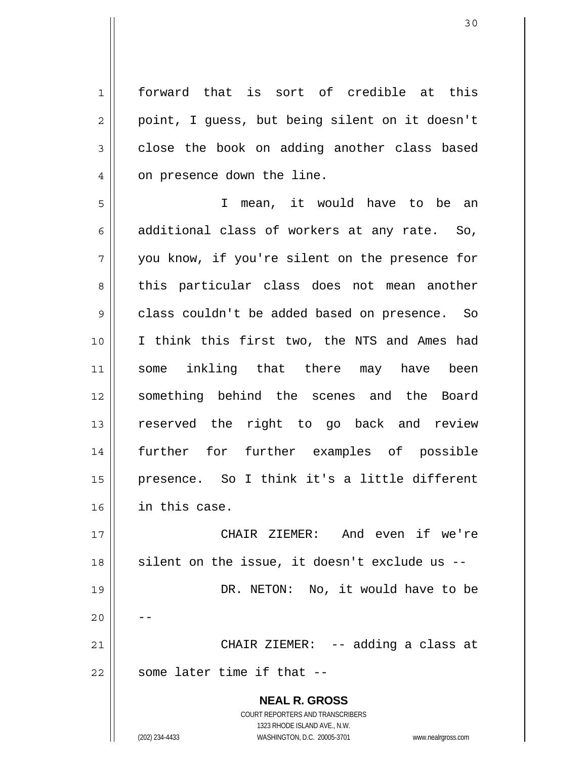1 2 3 4 forward that is sort of credible at this point, I guess, but being silent on it doesn't close the book on adding another class based on presence down the line.

5 6 7 8 9 10 11 12 13 14 15 16 I mean, it would have to be an additional class of workers at any rate. So, you know, if you're silent on the presence for this particular class does not mean another class couldn't be added based on presence. So I think this first two, the NTS and Ames had some inkling that there may have been something behind the scenes and the Board reserved the right to go back and review further for further examples of possible presence. So I think it's a little different in this case.

17 18 19 20 21 22 CHAIR ZIEMER: And even if we're silent on the issue, it doesn't exclude us -- DR. NETON: No, it would have to be -- CHAIR ZIEMER: -- adding a class at some later time if that --

> **NEAL R. GROSS** COURT REPORTERS AND TRANSCRIBERS 1323 RHODE ISLAND AVE., N.W. (202) 234-4433 WASHINGTON, D.C. 20005-3701 www.nealrgross.com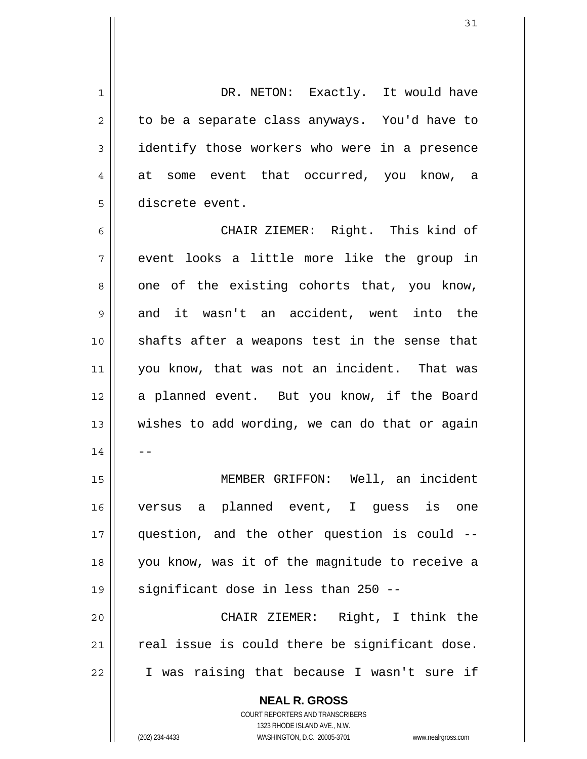**NEAL R. GROSS** COURT REPORTERS AND TRANSCRIBERS 1 2 3 4 5 6 7 8 9 10 11 12 13 14 15 16 17 18 19 20 21 22 DR. NETON: Exactly. It would have to be a separate class anyways. You'd have to identify those workers who were in a presence at some event that occurred, you know, a discrete event. CHAIR ZIEMER: Right. This kind of event looks a little more like the group in one of the existing cohorts that, you know, and it wasn't an accident, went into the shafts after a weapons test in the sense that you know, that was not an incident. That was a planned event. But you know, if the Board wishes to add wording, we can do that or again -- MEMBER GRIFFON: Well, an incident versus a planned event, I guess is one question, and the other question is could - you know, was it of the magnitude to receive a significant dose in less than 250 -- CHAIR ZIEMER: Right, I think the real issue is could there be significant dose. I was raising that because I wasn't sure if

1323 RHODE ISLAND AVE., N.W.

(202) 234-4433 WASHINGTON, D.C. 20005-3701 www.nealrgross.com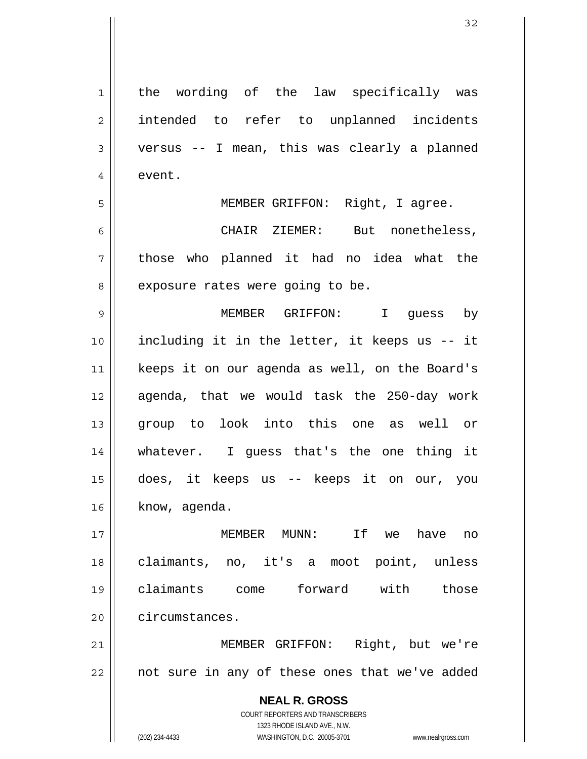| $\mathbf 1$    | the wording of the law specifically was                             |
|----------------|---------------------------------------------------------------------|
| $\overline{2}$ | intended to refer to unplanned incidents                            |
| 3              | versus -- I mean, this was clearly a planned                        |
| 4              | event.                                                              |
| 5              | MEMBER GRIFFON: Right, I agree.                                     |
| 6              | CHAIR ZIEMER: But nonetheless,                                      |
| 7              | those who planned it had no idea what the                           |
| 8              | exposure rates were going to be.                                    |
| 9              | MEMBER GRIFFON: I guess by                                          |
| 10             | including it in the letter, it keeps us -- it                       |
| 11             | keeps it on our agenda as well, on the Board's                      |
| 12             | agenda, that we would task the 250-day work                         |
| 13             | group to look into this one as well or                              |
| 14             | whatever. I guess that's the one thing it                           |
| 15             | does, it keeps us -- keeps it on our, you                           |
| 16             | know, agenda.                                                       |
| 17             | MEMBER MUNN:<br>If<br>we have<br>no                                 |
| 18             | claimants, no, it's a moot point, unless                            |
| 19             | claimants come forward with those                                   |
| 20             | circumstances.                                                      |
| 21             | Right, but we're<br>MEMBER GRIFFON:                                 |
| 22             | not sure in any of these ones that we've added                      |
|                |                                                                     |
|                | <b>NEAL R. GROSS</b>                                                |
|                | COURT REPORTERS AND TRANSCRIBERS<br>1323 RHODE ISLAND AVE., N.W.    |
|                | (202) 234-4433<br>WASHINGTON, D.C. 20005-3701<br>www.nealrgross.com |

 $\mathsf{I}$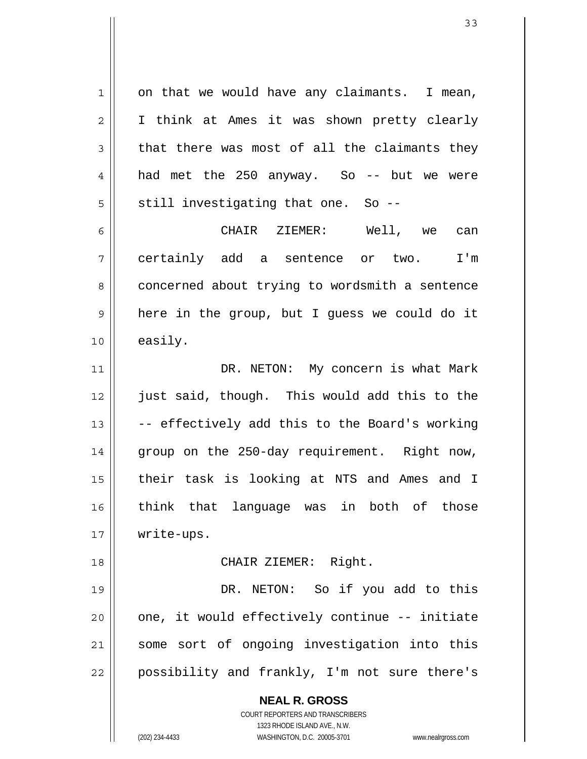**NEAL R. GROSS** COURT REPORTERS AND TRANSCRIBERS 1 2 3 4 5 6 7 8 9 10 11 12 13 14 15 16 17 18 19 20 21 22 on that we would have any claimants. I mean, I think at Ames it was shown pretty clearly that there was most of all the claimants they had met the 250 anyway. So -- but we were still investigating that one. So -- CHAIR ZIEMER: Well, we can certainly add a sentence or two. I'm concerned about trying to wordsmith a sentence here in the group, but I guess we could do it easily. DR. NETON: My concern is what Mark just said, though. This would add this to the -- effectively add this to the Board's working group on the 250-day requirement. Right now, their task is looking at NTS and Ames and I think that language was in both of those write-ups. CHAIR ZIEMER: Right. DR. NETON: So if you add to this one, it would effectively continue -- initiate some sort of ongoing investigation into this possibility and frankly, I'm not sure there's

1323 RHODE ISLAND AVE., N.W.

(202) 234-4433 WASHINGTON, D.C. 20005-3701 www.nealrgross.com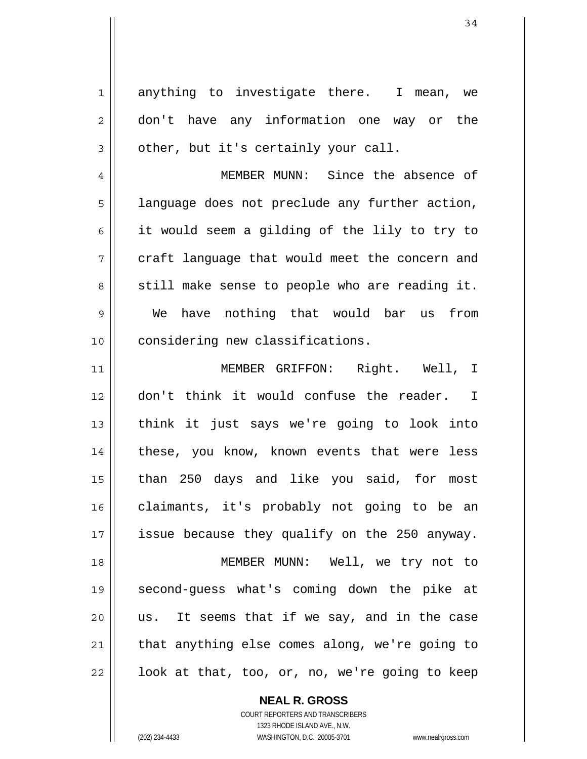1 2 3 4 5 6 7 8 9 10 11 12 13 14 15 16 17 18 19 20 21 22 anything to investigate there. I mean, we don't have any information one way or the other, but it's certainly your call. MEMBER MUNN: Since the absence of language does not preclude any further action, it would seem a gilding of the lily to try to craft language that would meet the concern and still make sense to people who are reading it. We have nothing that would bar us from considering new classifications. MEMBER GRIFFON: Right. Well, I don't think it would confuse the reader. I think it just says we're going to look into these, you know, known events that were less than 250 days and like you said, for most claimants, it's probably not going to be an issue because they qualify on the 250 anyway. MEMBER MUNN: Well, we try not to second-guess what's coming down the pike at us. It seems that if we say, and in the case that anything else comes along, we're going to look at that, too, or, no, we're going to keep

> **NEAL R. GROSS** COURT REPORTERS AND TRANSCRIBERS

> > 1323 RHODE ISLAND AVE., N.W.

(202) 234-4433 WASHINGTON, D.C. 20005-3701 www.nealrgross.com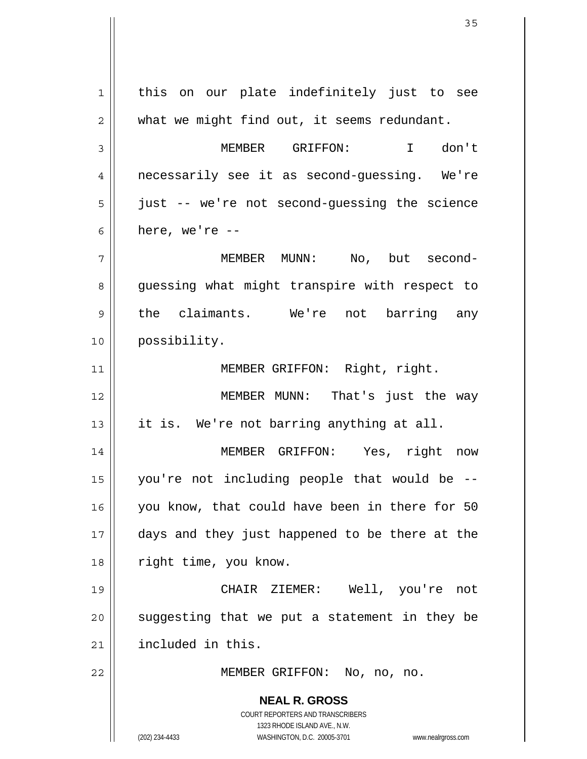| $\mathbf 1$<br>what we might find out, it seems redundant.<br>$\overline{c}$<br>$\mathfrak{Z}$<br>MEMBER GRIFFON:<br>I don't<br>necessarily see it as second-guessing. We're<br>4<br>just -- we're not second-guessing the science<br>5<br>here, we're $--$<br>6<br>7<br>MEMBER MUNN: No, but second-<br>guessing what might transpire with respect to<br>8<br>9<br>possibility.<br>10<br>MEMBER GRIFFON: Right, right.<br>11<br>12<br>it is. We're not barring anything at all.<br>13<br>14<br>MEMBER GRIFFON: Yes, right now<br>you're not including people that would be --<br>15<br>you know, that could have been in there for 50<br>16<br>days and they just happened to be there at the<br>17<br>right time, you know.<br>18<br>CHAIR ZIEMER: Well, you're not<br>19<br>suggesting that we put a statement in they be<br>20<br>included in this.<br>21<br>22<br>MEMBER GRIFFON: No, no, no. |                                            |
|----------------------------------------------------------------------------------------------------------------------------------------------------------------------------------------------------------------------------------------------------------------------------------------------------------------------------------------------------------------------------------------------------------------------------------------------------------------------------------------------------------------------------------------------------------------------------------------------------------------------------------------------------------------------------------------------------------------------------------------------------------------------------------------------------------------------------------------------------------------------------------------------------|--------------------------------------------|
|                                                                                                                                                                                                                                                                                                                                                                                                                                                                                                                                                                                                                                                                                                                                                                                                                                                                                                    | this on our plate indefinitely just to see |
|                                                                                                                                                                                                                                                                                                                                                                                                                                                                                                                                                                                                                                                                                                                                                                                                                                                                                                    |                                            |
|                                                                                                                                                                                                                                                                                                                                                                                                                                                                                                                                                                                                                                                                                                                                                                                                                                                                                                    |                                            |
|                                                                                                                                                                                                                                                                                                                                                                                                                                                                                                                                                                                                                                                                                                                                                                                                                                                                                                    |                                            |
|                                                                                                                                                                                                                                                                                                                                                                                                                                                                                                                                                                                                                                                                                                                                                                                                                                                                                                    |                                            |
|                                                                                                                                                                                                                                                                                                                                                                                                                                                                                                                                                                                                                                                                                                                                                                                                                                                                                                    |                                            |
|                                                                                                                                                                                                                                                                                                                                                                                                                                                                                                                                                                                                                                                                                                                                                                                                                                                                                                    |                                            |
|                                                                                                                                                                                                                                                                                                                                                                                                                                                                                                                                                                                                                                                                                                                                                                                                                                                                                                    |                                            |
|                                                                                                                                                                                                                                                                                                                                                                                                                                                                                                                                                                                                                                                                                                                                                                                                                                                                                                    | the claimants. We're not barring any       |
|                                                                                                                                                                                                                                                                                                                                                                                                                                                                                                                                                                                                                                                                                                                                                                                                                                                                                                    |                                            |
|                                                                                                                                                                                                                                                                                                                                                                                                                                                                                                                                                                                                                                                                                                                                                                                                                                                                                                    |                                            |
|                                                                                                                                                                                                                                                                                                                                                                                                                                                                                                                                                                                                                                                                                                                                                                                                                                                                                                    | MEMBER MUNN: That's just the way           |
|                                                                                                                                                                                                                                                                                                                                                                                                                                                                                                                                                                                                                                                                                                                                                                                                                                                                                                    |                                            |
|                                                                                                                                                                                                                                                                                                                                                                                                                                                                                                                                                                                                                                                                                                                                                                                                                                                                                                    |                                            |
|                                                                                                                                                                                                                                                                                                                                                                                                                                                                                                                                                                                                                                                                                                                                                                                                                                                                                                    |                                            |
|                                                                                                                                                                                                                                                                                                                                                                                                                                                                                                                                                                                                                                                                                                                                                                                                                                                                                                    |                                            |
|                                                                                                                                                                                                                                                                                                                                                                                                                                                                                                                                                                                                                                                                                                                                                                                                                                                                                                    |                                            |
|                                                                                                                                                                                                                                                                                                                                                                                                                                                                                                                                                                                                                                                                                                                                                                                                                                                                                                    |                                            |
|                                                                                                                                                                                                                                                                                                                                                                                                                                                                                                                                                                                                                                                                                                                                                                                                                                                                                                    |                                            |
|                                                                                                                                                                                                                                                                                                                                                                                                                                                                                                                                                                                                                                                                                                                                                                                                                                                                                                    |                                            |
|                                                                                                                                                                                                                                                                                                                                                                                                                                                                                                                                                                                                                                                                                                                                                                                                                                                                                                    |                                            |
|                                                                                                                                                                                                                                                                                                                                                                                                                                                                                                                                                                                                                                                                                                                                                                                                                                                                                                    |                                            |
| COURT REPORTERS AND TRANSCRIBERS                                                                                                                                                                                                                                                                                                                                                                                                                                                                                                                                                                                                                                                                                                                                                                                                                                                                   | <b>NEAL R. GROSS</b>                       |
| 1323 RHODE ISLAND AVE., N.W.<br>(202) 234-4433<br>WASHINGTON, D.C. 20005-3701<br>www.nealrgross.com                                                                                                                                                                                                                                                                                                                                                                                                                                                                                                                                                                                                                                                                                                                                                                                                |                                            |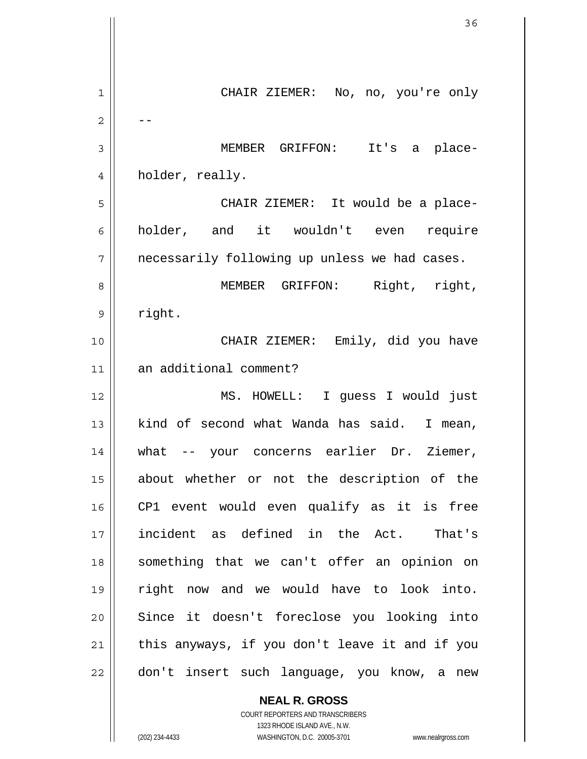1 2 3 4 5 6 7 8 9 10 11 12 13 14 15 16 17 18 19 20 21 22 CHAIR ZIEMER: No, no, you're only -- MEMBER GRIFFON: It's a placeholder, really. CHAIR ZIEMER: It would be a placeholder, and it wouldn't even require necessarily following up unless we had cases. MEMBER GRIFFON: Right, right, right. CHAIR ZIEMER: Emily, did you have an additional comment? MS. HOWELL: I guess I would just kind of second what Wanda has said. I mean, what -- your concerns earlier Dr. Ziemer, about whether or not the description of the CP1 event would even qualify as it is free incident as defined in the Act. That's something that we can't offer an opinion on right now and we would have to look into. Since it doesn't foreclose you looking into this anyways, if you don't leave it and if you don't insert such language, you know, a new

> **NEAL R. GROSS** COURT REPORTERS AND TRANSCRIBERS 1323 RHODE ISLAND AVE., N.W.

(202) 234-4433 WASHINGTON, D.C. 20005-3701 www.nealrgross.com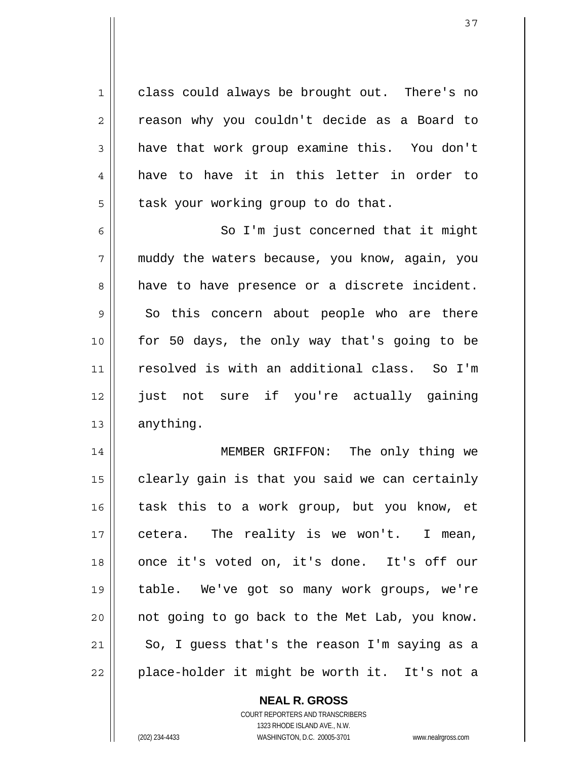1 class could always be brought out. There's no reason why you couldn't decide as a Board to have that work group examine this. You don't have to have it in this letter in order to task your working group to do that.

6 7 8 9 10 11 12 13 So I'm just concerned that it might muddy the waters because, you know, again, you have to have presence or a discrete incident. So this concern about people who are there for 50 days, the only way that's going to be resolved is with an additional class. So I'm just not sure if you're actually gaining anything.

14 15 16 17 18 19 20 21 22 MEMBER GRIFFON: The only thing we clearly gain is that you said we can certainly task this to a work group, but you know, et cetera. The reality is we won't. I mean, once it's voted on, it's done. It's off our table. We've got so many work groups, we're not going to go back to the Met Lab, you know. So, I guess that's the reason I'm saying as a place-holder it might be worth it. It's not a

**NEAL R. GROSS**

COURT REPORTERS AND TRANSCRIBERS 1323 RHODE ISLAND AVE., N.W. (202) 234-4433 WASHINGTON, D.C. 20005-3701 www.nealrgross.com

2

3

4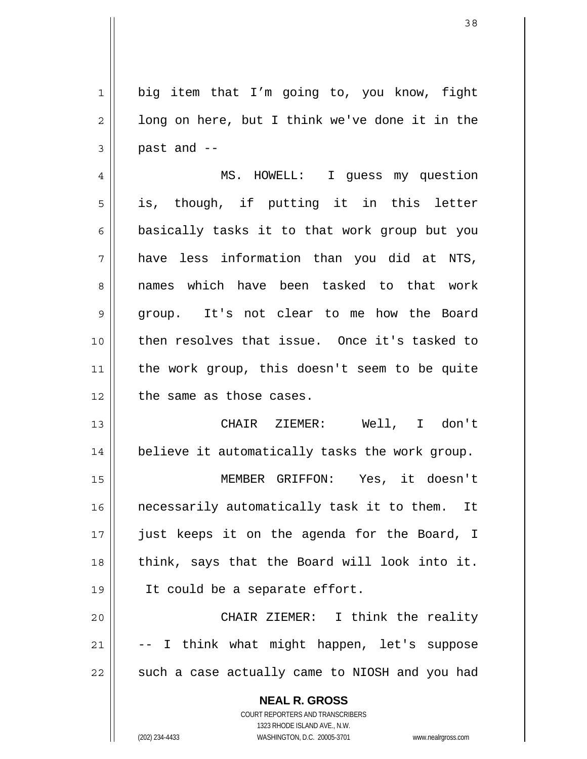**NEAL R. GROSS** 1 2 3 4 5 6 7 8 9 10 11 12 13 14 15 16 17 18 19 20 21 22 big item that I'm going to, you know, fight long on here, but I think we've done it in the past and -- MS. HOWELL: I guess my question is, though, if putting it in this letter basically tasks it to that work group but you have less information than you did at NTS, names which have been tasked to that work group. It's not clear to me how the Board then resolves that issue. Once it's tasked to the work group, this doesn't seem to be quite the same as those cases. CHAIR ZIEMER: Well, I don't believe it automatically tasks the work group. MEMBER GRIFFON: Yes, it doesn't necessarily automatically task it to them. It just keeps it on the agenda for the Board, I think, says that the Board will look into it. It could be a separate effort. CHAIR ZIEMER: I think the reality -- I think what might happen, let's suppose such a case actually came to NIOSH and you had

> COURT REPORTERS AND TRANSCRIBERS 1323 RHODE ISLAND AVE., N.W.

(202) 234-4433 WASHINGTON, D.C. 20005-3701 www.nealrgross.com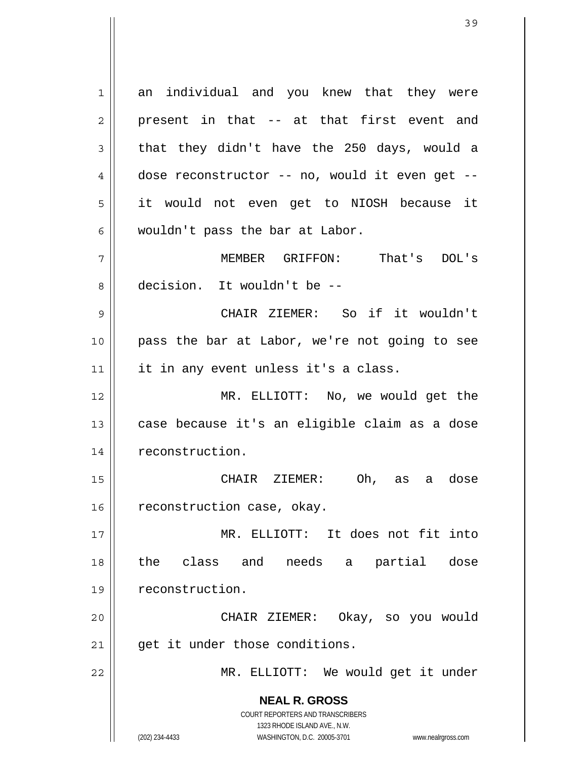**NEAL R. GROSS** COURT REPORTERS AND TRANSCRIBERS 1323 RHODE ISLAND AVE., N.W. (202) 234-4433 WASHINGTON, D.C. 20005-3701 www.nealrgross.com 1 2 3 4 5 6 7 8 9 10 11 12 13 14 15 16 17 18 19 20 21 22 an individual and you knew that they were present in that -- at that first event and that they didn't have the 250 days, would a dose reconstructor -- no, would it even get - it would not even get to NIOSH because it wouldn't pass the bar at Labor. MEMBER GRIFFON: That's DOL's decision. It wouldn't be -- CHAIR ZIEMER: So if it wouldn't pass the bar at Labor, we're not going to see it in any event unless it's a class. MR. ELLIOTT: No, we would get the case because it's an eligible claim as a dose reconstruction. CHAIR ZIEMER: Oh, as a dose reconstruction case, okay. MR. ELLIOTT: It does not fit into the class and needs a partial dose reconstruction. CHAIR ZIEMER: Okay, so you would get it under those conditions. MR. ELLIOTT: We would get it under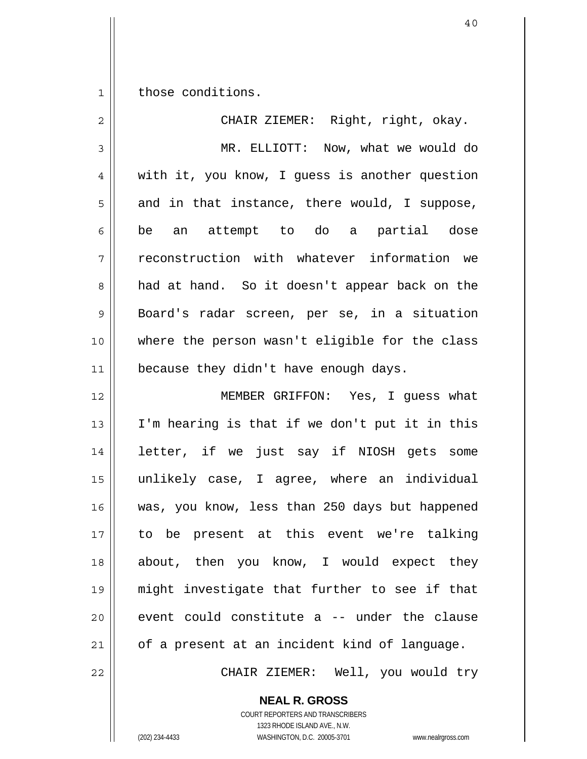1 those conditions.

| $\overline{2}$ | CHAIR ZIEMER: Right, right, okay.              |
|----------------|------------------------------------------------|
| $\mathfrak{Z}$ | MR. ELLIOTT: Now, what we would do             |
| $\overline{4}$ | with it, you know, I guess is another question |
| 5              | and in that instance, there would, I suppose,  |
| 6              | be an attempt to do a partial dose             |
| 7              | reconstruction with whatever information we    |
| 8              | had at hand. So it doesn't appear back on the  |
| 9              | Board's radar screen, per se, in a situation   |
| 10             | where the person wasn't eligible for the class |
| 11             | because they didn't have enough days.          |
| 12             | MEMBER GRIFFON: Yes, I guess what              |
| 13             | I'm hearing is that if we don't put it in this |
| 14             | letter, if we just say if NIOSH gets some      |
| 15             | unlikely case, I agree, where an individual    |
| 16             | was, you know, less than 250 days but happened |
| 17             | to be present at this event we're talking      |
| 18             | about, then you know, I would expect they      |
| 19             | might investigate that further to see if that  |
| 20             | event could constitute a -- under the clause   |
| 21             | of a present at an incident kind of language.  |
| 22             | CHAIR ZIEMER: Well, you would try              |

**NEAL R. GROSS** COURT REPORTERS AND TRANSCRIBERS

1323 RHODE ISLAND AVE., N.W.

(202) 234-4433 WASHINGTON, D.C. 20005-3701 www.nealrgross.com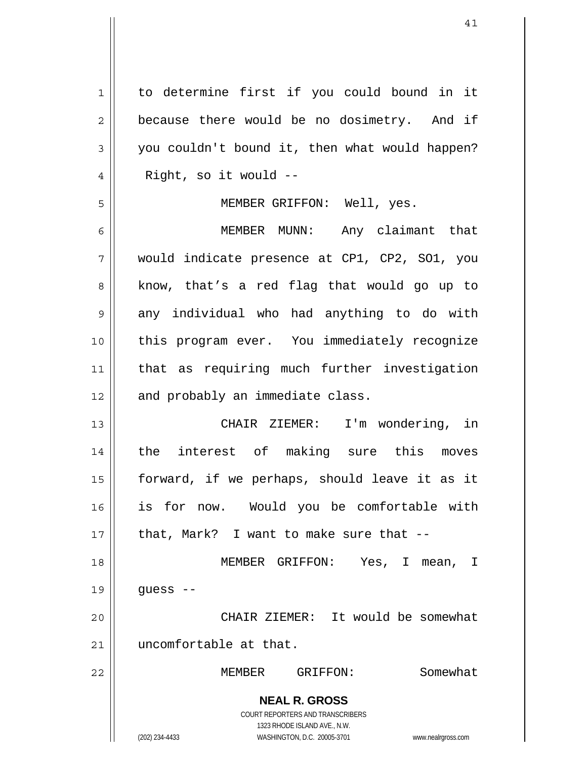**NEAL R. GROSS** COURT REPORTERS AND TRANSCRIBERS 1323 RHODE ISLAND AVE., N.W. (202) 234-4433 WASHINGTON, D.C. 20005-3701 www.nealrgross.com 1 2 3 4 5 6 7 8 9 10 11 12 13 14 15 16 17 18 19 20 21 22 to determine first if you could bound in it because there would be no dosimetry. And if you couldn't bound it, then what would happen? Right, so it would -- MEMBER GRIFFON: Well, yes. MEMBER MUNN: Any claimant that would indicate presence at CP1, CP2, SO1, you know, that's a red flag that would go up to any individual who had anything to do with this program ever. You immediately recognize that as requiring much further investigation and probably an immediate class. CHAIR ZIEMER: I'm wondering, in the interest of making sure this moves forward, if we perhaps, should leave it as it is for now. Would you be comfortable with that, Mark? I want to make sure that -- MEMBER GRIFFON: Yes, I mean, I guess -- CHAIR ZIEMER: It would be somewhat uncomfortable at that. MEMBER GRIFFON: Somewhat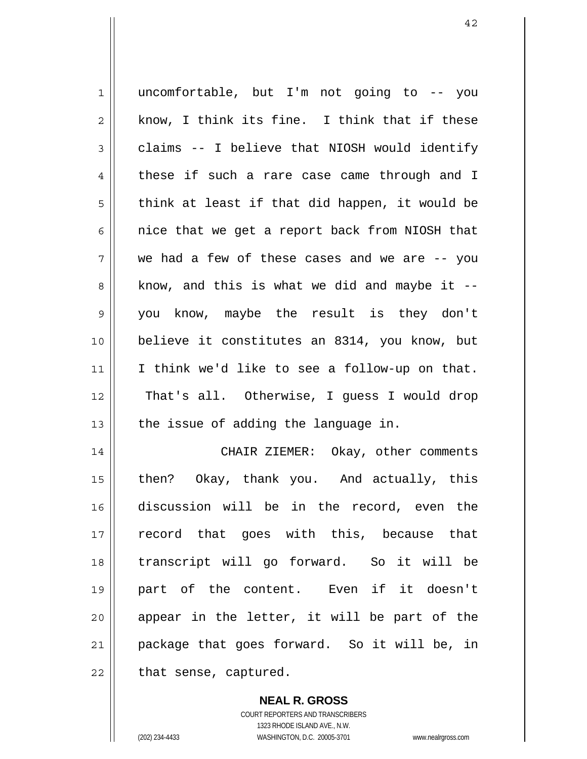1 2 3 4 5 6 7 8 9 10 11 12 13 14 15 16 17 18 19 20 21 uncomfortable, but I'm not going to -- you know, I think its fine. I think that if these claims -- I believe that NIOSH would identify these if such a rare case came through and I think at least if that did happen, it would be nice that we get a report back from NIOSH that we had a few of these cases and we are -- you know, and this is what we did and maybe it - you know, maybe the result is they don't believe it constitutes an 8314, you know, but I think we'd like to see a follow-up on that. That's all. Otherwise, I guess I would drop the issue of adding the language in. CHAIR ZIEMER: Okay, other comments then? Okay, thank you. And actually, this discussion will be in the record, even the record that goes with this, because that transcript will go forward. So it will be part of the content. Even if it doesn't appear in the letter, it will be part of the package that goes forward. So it will be, in

22

that sense, captured.

**NEAL R. GROSS** COURT REPORTERS AND TRANSCRIBERS 1323 RHODE ISLAND AVE., N.W. (202) 234-4433 WASHINGTON, D.C. 20005-3701 www.nealrgross.com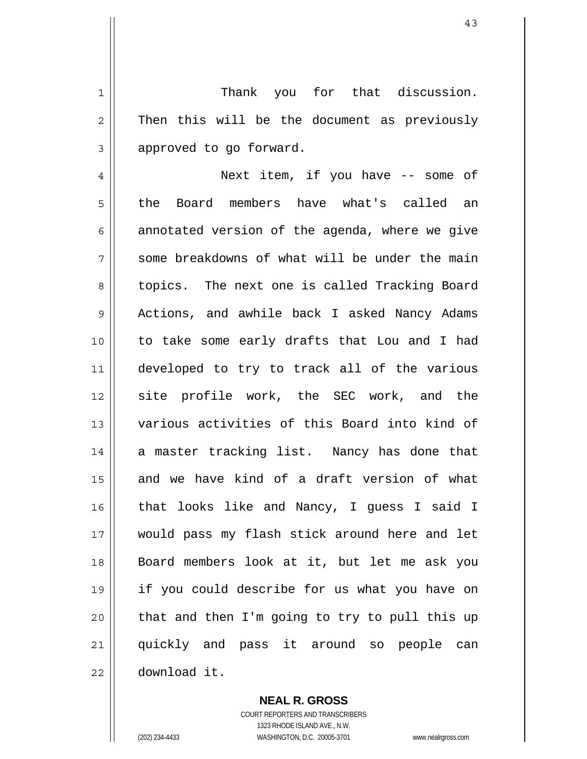Thank you for that discussion. Then this will be the document as previously approved to go forward.

4 5 6 7 8 9 10 11 12 13 14 15 16 17 18 19 20 21 22 Next item, if you have -- some of the Board members have what's called an annotated version of the agenda, where we give some breakdowns of what will be under the main topics. The next one is called Tracking Board Actions, and awhile back I asked Nancy Adams to take some early drafts that Lou and I had developed to try to track all of the various site profile work, the SEC work, and the various activities of this Board into kind of a master tracking list. Nancy has done that and we have kind of a draft version of what that looks like and Nancy, I guess I said I would pass my flash stick around here and let Board members look at it, but let me ask you if you could describe for us what you have on that and then I'm going to try to pull this up quickly and pass it around so people can download it.

> **NEAL R. GROSS** COURT REPORTERS AND TRANSCRIBERS 1323 RHODE ISLAND AVE., N.W. (202) 234-4433 WASHINGTON, D.C. 20005-3701 www.nealrgross.com

1

2

3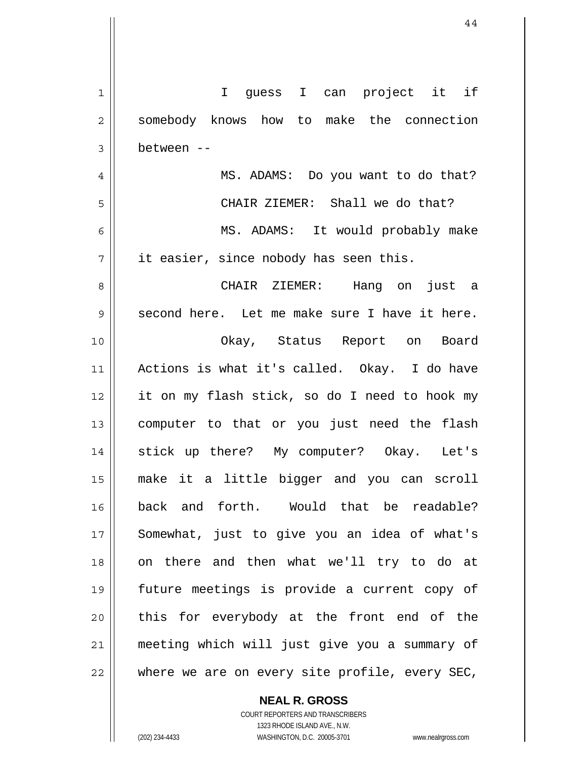| 1  | I guess I can project it if                    |
|----|------------------------------------------------|
| 2  | somebody knows how to make the connection      |
| 3  | between --                                     |
| 4  | MS. ADAMS: Do you want to do that?             |
| 5  | CHAIR ZIEMER: Shall we do that?                |
| 6  | MS. ADAMS: It would probably make              |
| 7  | it easier, since nobody has seen this.         |
| 8  | CHAIR ZIEMER: Hang on just a                   |
| 9  | second here. Let me make sure I have it here.  |
| 10 | Okay, Status Report on Board                   |
| 11 | Actions is what it's called. Okay. I do have   |
| 12 | it on my flash stick, so do I need to hook my  |
| 13 | computer to that or you just need the flash    |
| 14 | stick up there? My computer? Okay. Let's       |
| 15 | make it a little bigger and you can scroll     |
| 16 | back and forth. Would that be readable?        |
| 17 | Somewhat, just to give you an idea of what's   |
| 18 | on there and then what we'll try to do at      |
| 19 | future meetings is provide a current copy of   |
| 20 | this for everybody at the front end of the     |
| 21 | meeting which will just give you a summary of  |
| 22 | where we are on every site profile, every SEC, |

**NEAL R. GROSS**

COURT REPORTERS AND TRANSCRIBERS 1323 RHODE ISLAND AVE., N.W. (202) 234-4433 WASHINGTON, D.C. 20005-3701 www.nealrgross.com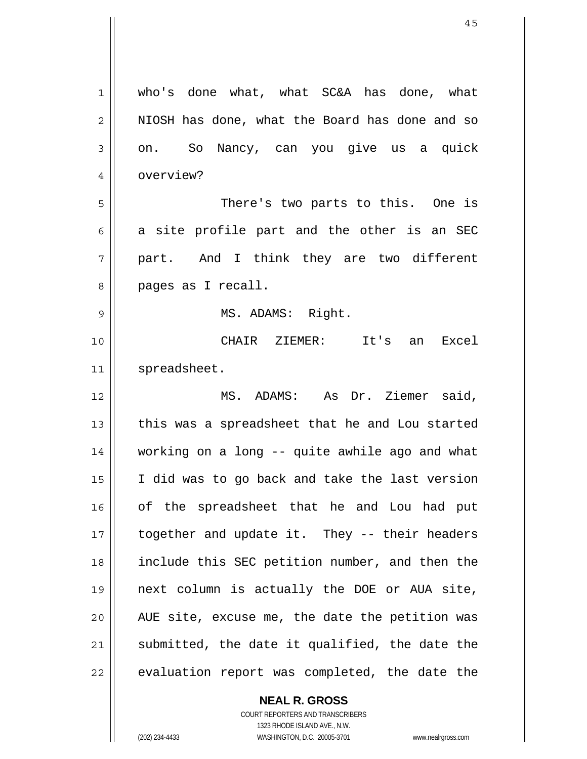| 1  | who's done what, what SC&A has done, what      |
|----|------------------------------------------------|
| 2  | NIOSH has done, what the Board has done and so |
| 3  | on. So Nancy, can you give us a quick          |
| 4  | overview?                                      |
| 5  | There's two parts to this. One is              |
| 6  | a site profile part and the other is an SEC    |
| 7  | part. And I think they are two different       |
| 8  | pages as I recall.                             |
| 9  | MS. ADAMS: Right.                              |
| 10 | CHAIR ZIEMER: It's an Excel                    |
| 11 | spreadsheet.                                   |
| 12 | MS. ADAMS: As Dr. Ziemer said,                 |
| 13 | this was a spreadsheet that he and Lou started |
| 14 | working on a long -- quite awhile ago and what |
| 15 | I did was to go back and take the last version |
| 16 | of the spreadsheet that he and Lou had put     |
| 17 | together and update it. They -- their headers  |
| 18 | include this SEC petition number, and then the |
| 19 | next column is actually the DOE or AUA site,   |
| 20 | AUE site, excuse me, the date the petition was |
| 21 | submitted, the date it qualified, the date the |
| 22 | evaluation report was completed, the date the  |

**NEAL R. GROSS**

 $\mathbf{I}$ 

COURT REPORTERS AND TRANSCRIBERS 1323 RHODE ISLAND AVE., N.W. (202) 234-4433 WASHINGTON, D.C. 20005-3701 www.nealrgross.com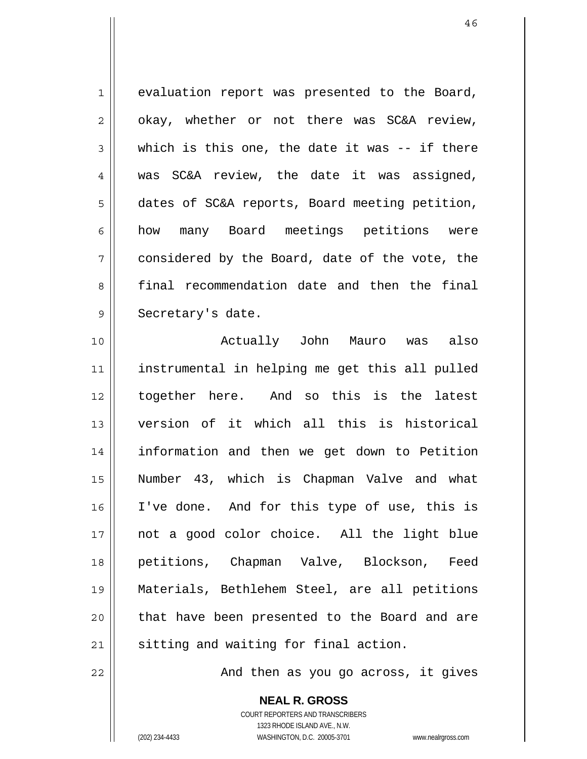1 2 3 4 5 6 7 8 9 evaluation report was presented to the Board, okay, whether or not there was SC&A review, which is this one, the date it was -- if there was SC&A review, the date it was assigned, dates of SC&A reports, Board meeting petition, how many Board meetings petitions were considered by the Board, date of the vote, the final recommendation date and then the final Secretary's date.

10 11 12 13 14 15 16 17 18 19 20 21 Actually John Mauro was also instrumental in helping me get this all pulled together here. And so this is the latest version of it which all this is historical information and then we get down to Petition Number 43, which is Chapman Valve and what I've done. And for this type of use, this is not a good color choice. All the light blue petitions, Chapman Valve, Blockson, Feed Materials, Bethlehem Steel, are all petitions that have been presented to the Board and are sitting and waiting for final action.

And then as you go across, it gives

**NEAL R. GROSS** COURT REPORTERS AND TRANSCRIBERS 1323 RHODE ISLAND AVE., N.W.

22

(202) 234-4433 WASHINGTON, D.C. 20005-3701 www.nealrgross.com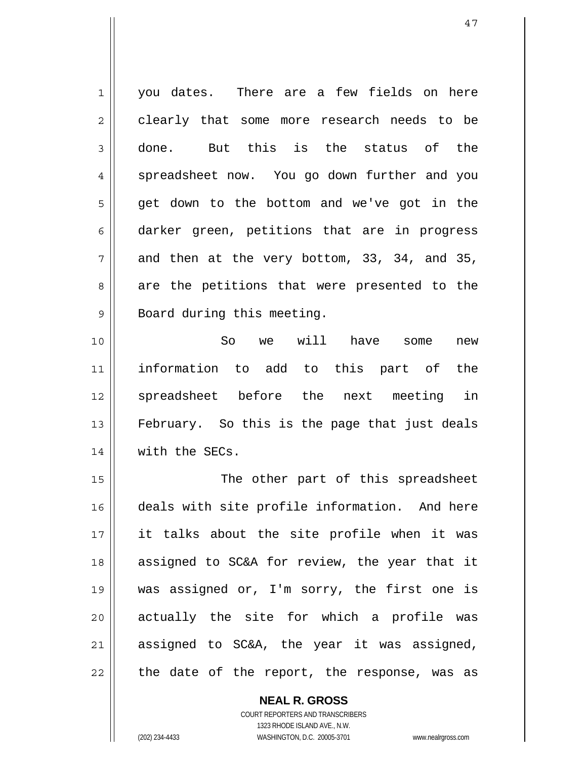1 2 3 4 5 6 7 8 9 you dates. There are a few fields on here clearly that some more research needs to be done. But this is the status of the spreadsheet now. You go down further and you get down to the bottom and we've got in the darker green, petitions that are in progress and then at the very bottom, 33, 34, and 35, are the petitions that were presented to the Board during this meeting.

10 11 12 13 14 So we will have some new information to add to this part of the spreadsheet before the next meeting in February. So this is the page that just deals with the SECs.

15 16 17 18 19 20 21 22 The other part of this spreadsheet deals with site profile information. And here it talks about the site profile when it was assigned to SC&A for review, the year that it was assigned or, I'm sorry, the first one is actually the site for which a profile was assigned to SC&A, the year it was assigned, the date of the report, the response, was as

> **NEAL R. GROSS** COURT REPORTERS AND TRANSCRIBERS 1323 RHODE ISLAND AVE., N.W. (202) 234-4433 WASHINGTON, D.C. 20005-3701 www.nealrgross.com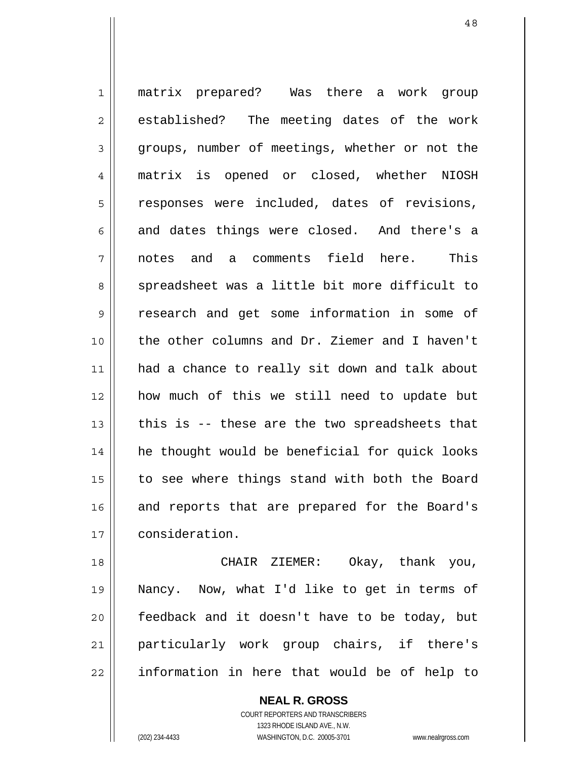1 2 3 4 5 6 7 8 9 10 11 12 13 14 15 16 17 matrix prepared? Was there a work group established? The meeting dates of the work groups, number of meetings, whether or not the matrix is opened or closed, whether NIOSH responses were included, dates of revisions, and dates things were closed. And there's a notes and a comments field here. This spreadsheet was a little bit more difficult to research and get some information in some of the other columns and Dr. Ziemer and I haven't had a chance to really sit down and talk about how much of this we still need to update but this is -- these are the two spreadsheets that he thought would be beneficial for quick looks to see where things stand with both the Board and reports that are prepared for the Board's consideration.

18 19 20 21 22 CHAIR ZIEMER: Okay, thank you, Nancy. Now, what I'd like to get in terms of feedback and it doesn't have to be today, but particularly work group chairs, if there's information in here that would be of help to

> **NEAL R. GROSS** COURT REPORTERS AND TRANSCRIBERS 1323 RHODE ISLAND AVE., N.W. (202) 234-4433 WASHINGTON, D.C. 20005-3701 www.nealrgross.com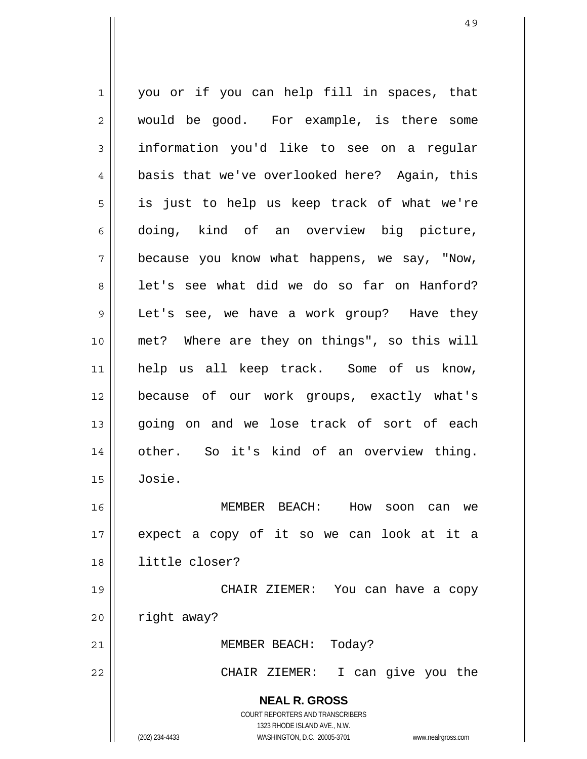**NEAL R. GROSS** COURT REPORTERS AND TRANSCRIBERS 1323 RHODE ISLAND AVE., N.W. 1 2 3 4 5 6 7 8 9 10 11 12 13 14 15 16 17 18 19 20 21 22 you or if you can help fill in spaces, that would be good. For example, is there some information you'd like to see on a regular basis that we've overlooked here? Again, this is just to help us keep track of what we're doing, kind of an overview big picture, because you know what happens, we say, "Now, let's see what did we do so far on Hanford? Let's see, we have a work group? Have they met? Where are they on things", so this will help us all keep track. Some of us know, because of our work groups, exactly what's going on and we lose track of sort of each other. So it's kind of an overview thing. Josie. MEMBER BEACH: How soon can we expect a copy of it so we can look at it a little closer? CHAIR ZIEMER: You can have a copy right away? MEMBER BEACH: Today? CHAIR ZIEMER: I can give you the

(202) 234-4433 WASHINGTON, D.C. 20005-3701 www.nealrgross.com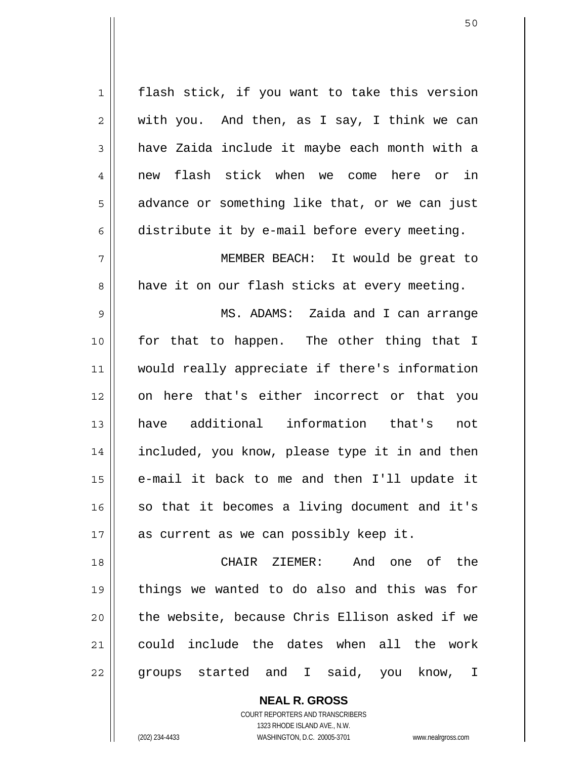1 2 3 4 5 6 7 8 9 10 11 12 13 14 15 16 17 18 19 20 21 22 flash stick, if you want to take this version with you. And then, as I say, I think we can have Zaida include it maybe each month with a new flash stick when we come here or in advance or something like that, or we can just distribute it by e-mail before every meeting. MEMBER BEACH: It would be great to have it on our flash sticks at every meeting. MS. ADAMS: Zaida and I can arrange for that to happen. The other thing that I would really appreciate if there's information on here that's either incorrect or that you have additional information that's not included, you know, please type it in and then e-mail it back to me and then I'll update it so that it becomes a living document and it's as current as we can possibly keep it. CHAIR ZIEMER: And one of the things we wanted to do also and this was for the website, because Chris Ellison asked if we could include the dates when all the work groups started and I said, you know, I

> COURT REPORTERS AND TRANSCRIBERS 1323 RHODE ISLAND AVE., N.W. (202) 234-4433 WASHINGTON, D.C. 20005-3701 www.nealrgross.com

**NEAL R. GROSS**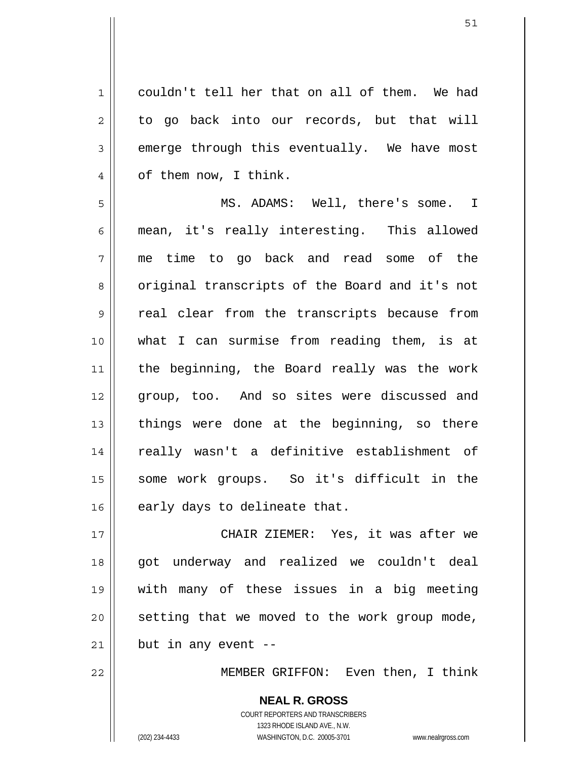1 2 3 4 couldn't tell her that on all of them. We had to go back into our records, but that will emerge through this eventually. We have most of them now, I think.

5 6 7 8 9 10 11 12 13 14 15 16 MS. ADAMS: Well, there's some. I mean, it's really interesting. This allowed me time to go back and read some of the original transcripts of the Board and it's not real clear from the transcripts because from what I can surmise from reading them, is at the beginning, the Board really was the work group, too. And so sites were discussed and things were done at the beginning, so there really wasn't a definitive establishment of some work groups. So it's difficult in the early days to delineate that.

17 18 19 20 21 CHAIR ZIEMER: Yes, it was after we got underway and realized we couldn't deal with many of these issues in a big meeting setting that we moved to the work group mode, but in any event --

22

MEMBER GRIFFON: Even then, I think

**NEAL R. GROSS** COURT REPORTERS AND TRANSCRIBERS 1323 RHODE ISLAND AVE., N.W. (202) 234-4433 WASHINGTON, D.C. 20005-3701 www.nealrgross.com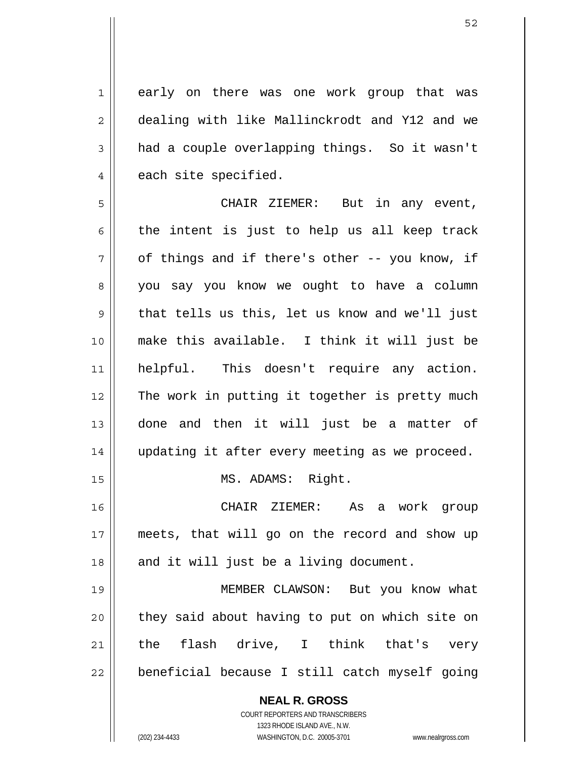early on there was one work group that was dealing with like Mallinckrodt and Y12 and we had a couple overlapping things. So it wasn't each site specified.

5 6 7 8 9 10 11 12 13 14 15 CHAIR ZIEMER: But in any event, the intent is just to help us all keep track of things and if there's other -- you know, if you say you know we ought to have a column that tells us this, let us know and we'll just make this available. I think it will just be helpful. This doesn't require any action. The work in putting it together is pretty much done and then it will just be a matter of updating it after every meeting as we proceed. MS. ADAMS: Right.

 CHAIR ZIEMER: As a work group meets, that will go on the record and show up and it will just be a living document.

19 20 21 22 MEMBER CLAWSON: But you know what they said about having to put on which site on the flash drive, I think that's very beneficial because I still catch myself going

> **NEAL R. GROSS** COURT REPORTERS AND TRANSCRIBERS 1323 RHODE ISLAND AVE., N.W. (202) 234-4433 WASHINGTON, D.C. 20005-3701 www.nealrgross.com

1

2

3

4

16

17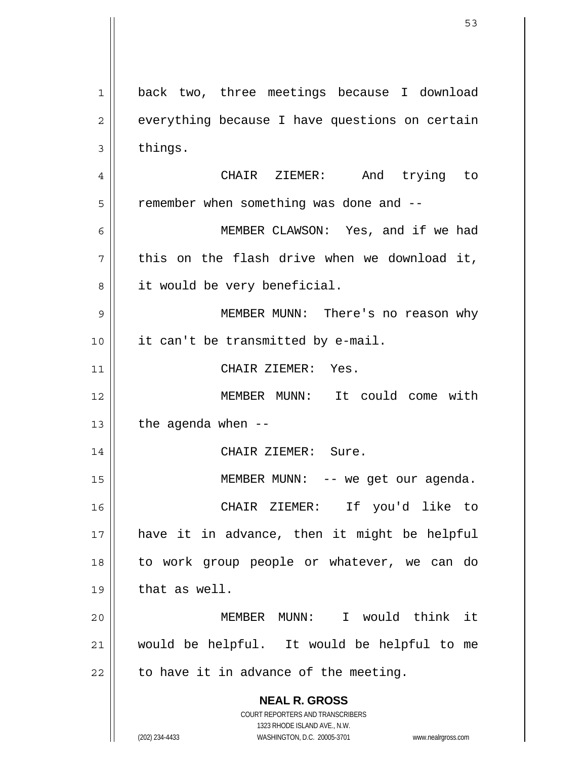**NEAL R. GROSS** COURT REPORTERS AND TRANSCRIBERS 1323 RHODE ISLAND AVE., N.W. (202) 234-4433 WASHINGTON, D.C. 20005-3701 www.nealrgross.com 1 2 3 4 5 6 7 8 9 10 11 12 13 14 15 16 17 18 19 20 21 22 back two, three meetings because I download everything because I have questions on certain things. CHAIR ZIEMER: And trying to remember when something was done and -- MEMBER CLAWSON: Yes, and if we had this on the flash drive when we download it, it would be very beneficial. MEMBER MUNN: There's no reason why it can't be transmitted by e-mail. CHAIR ZIEMER: Yes. MEMBER MUNN: It could come with the agenda when -- CHAIR ZIEMER: Sure. MEMBER MUNN: -- we get our agenda. CHAIR ZIEMER: If you'd like to have it in advance, then it might be helpful to work group people or whatever, we can do that as well. MEMBER MUNN: I would think it would be helpful. It would be helpful to me to have it in advance of the meeting.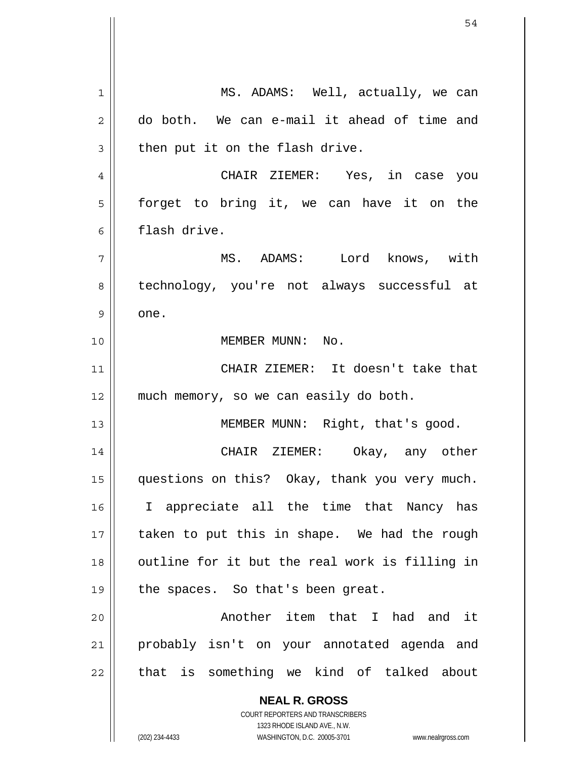**NEAL R. GROSS** 1 2 3 4 5 6 7 8 9 10 11 12 13 14 15 16 17 18 19 20 21 22 MS. ADAMS: Well, actually, we can do both. We can e-mail it ahead of time and then put it on the flash drive. CHAIR ZIEMER: Yes, in case you forget to bring it, we can have it on the flash drive. MS. ADAMS: Lord knows, with technology, you're not always successful at one. MEMBER MUNN: No. CHAIR ZIEMER: It doesn't take that much memory, so we can easily do both. MEMBER MUNN: Right, that's good. CHAIR ZIEMER: Okay, any other questions on this? Okay, thank you very much. I appreciate all the time that Nancy has taken to put this in shape. We had the rough outline for it but the real work is filling in the spaces. So that's been great. Another item that I had and it probably isn't on your annotated agenda and that is something we kind of talked about

> COURT REPORTERS AND TRANSCRIBERS 1323 RHODE ISLAND AVE., N.W.

(202) 234-4433 WASHINGTON, D.C. 20005-3701 www.nealrgross.com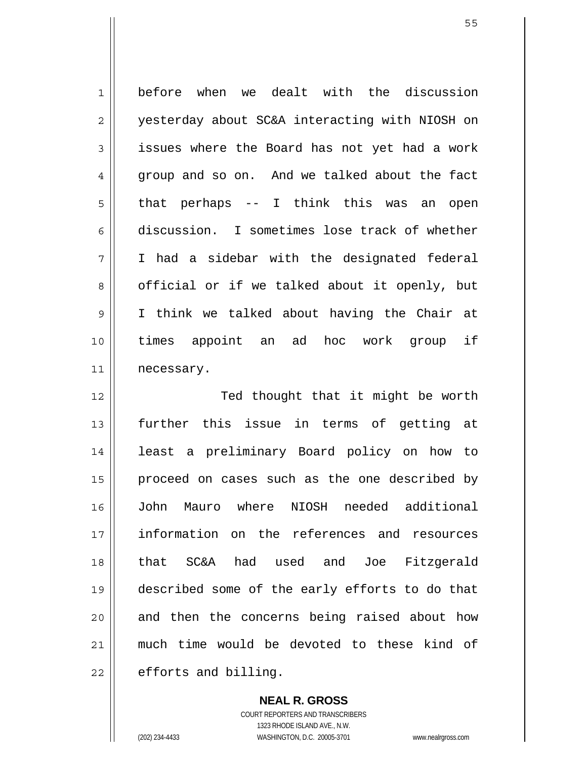1 2 3 4 5 6 7 8 9 10 11 before when we dealt with the discussion yesterday about SC&A interacting with NIOSH on issues where the Board has not yet had a work group and so on. And we talked about the fact that perhaps -- I think this was an open discussion. I sometimes lose track of whether I had a sidebar with the designated federal official or if we talked about it openly, but I think we talked about having the Chair at times appoint an ad hoc work group if necessary.

12 13 14 15 16 17 18 19 20 21 22 Ted thought that it might be worth further this issue in terms of getting at least a preliminary Board policy on how to proceed on cases such as the one described by John Mauro where NIOSH needed additional information on the references and resources that SC&A had used and Joe Fitzgerald described some of the early efforts to do that and then the concerns being raised about how much time would be devoted to these kind of efforts and billing.

> **NEAL R. GROSS** COURT REPORTERS AND TRANSCRIBERS 1323 RHODE ISLAND AVE., N.W. (202) 234-4433 WASHINGTON, D.C. 20005-3701 www.nealrgross.com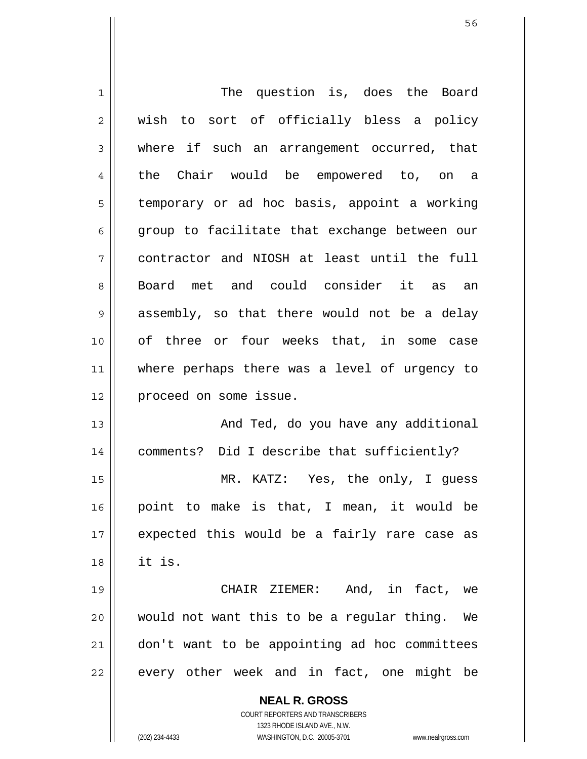| 1  | The question is, does the Board                                     |
|----|---------------------------------------------------------------------|
| 2  | wish to sort of officially bless a policy                           |
| 3  | where if such an arrangement occurred, that                         |
| 4  | the Chair would be empowered to, on a                               |
| 5  | temporary or ad hoc basis, appoint a working                        |
| 6  | group to facilitate that exchange between our                       |
| 7  | contractor and NIOSH at least until the full                        |
| 8  | Board met and could consider it as an                               |
| 9  | assembly, so that there would not be a delay                        |
| 10 | of three or four weeks that, in some case                           |
| 11 | where perhaps there was a level of urgency to                       |
| 12 | proceed on some issue.                                              |
| 13 | And Ted, do you have any additional                                 |
| 14 | comments? Did I describe that sufficiently?                         |
| 15 | MR. KATZ: Yes, the only, I guess                                    |
| 16 | point to make is that, I mean, it would be                          |
| 17 | expected this would be a fairly rare case as                        |
| 18 | it is.                                                              |
| 19 | CHAIR ZIEMER: And, in fact, we                                      |
| 20 | would not want this to be a regular thing.<br>We                    |
| 21 | don't want to be appointing ad hoc committees                       |
| 22 | every other week and in fact, one might be                          |
|    |                                                                     |
|    | <b>NEAL R. GROSS</b>                                                |
|    | COURT REPORTERS AND TRANSCRIBERS                                    |
|    | 1323 RHODE ISLAND AVE., N.W.                                        |
|    | (202) 234-4433<br>WASHINGTON, D.C. 20005-3701<br>www.nealrgross.com |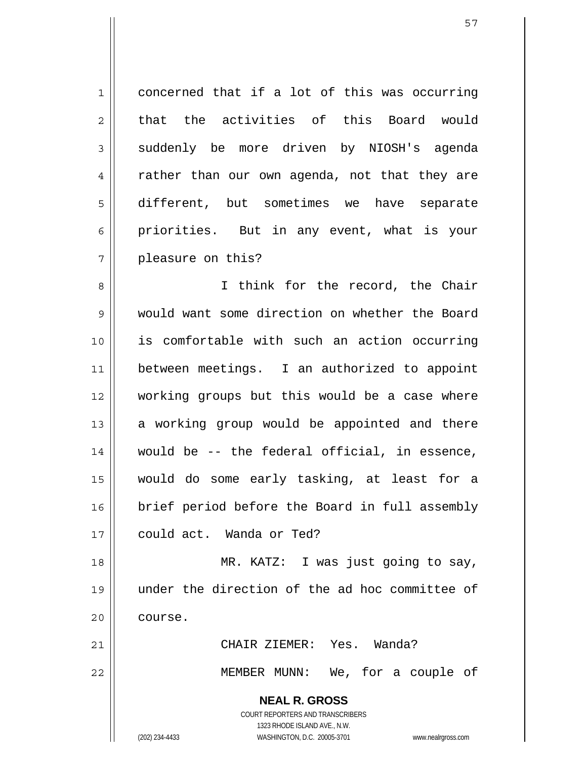1 2 3 4 5 6 7 concerned that if a lot of this was occurring that the activities of this Board would suddenly be more driven by NIOSH's agenda rather than our own agenda, not that they are different, but sometimes we have separate priorities. But in any event, what is your pleasure on this?

8 9 10 11 12 13 14 15 16 17 I think for the record, the Chair would want some direction on whether the Board is comfortable with such an action occurring between meetings. I an authorized to appoint working groups but this would be a case where a working group would be appointed and there would be -- the federal official, in essence, would do some early tasking, at least for a brief period before the Board in full assembly could act. Wanda or Ted?

18 19 20 MR. KATZ: I was just going to say, under the direction of the ad hoc committee of course.

> CHAIR ZIEMER: Yes. Wanda? MEMBER MUNN: We, for a couple of

**NEAL R. GROSS** COURT REPORTERS AND TRANSCRIBERS 1323 RHODE ISLAND AVE., N.W. (202) 234-4433 WASHINGTON, D.C. 20005-3701 www.nealrgross.com

21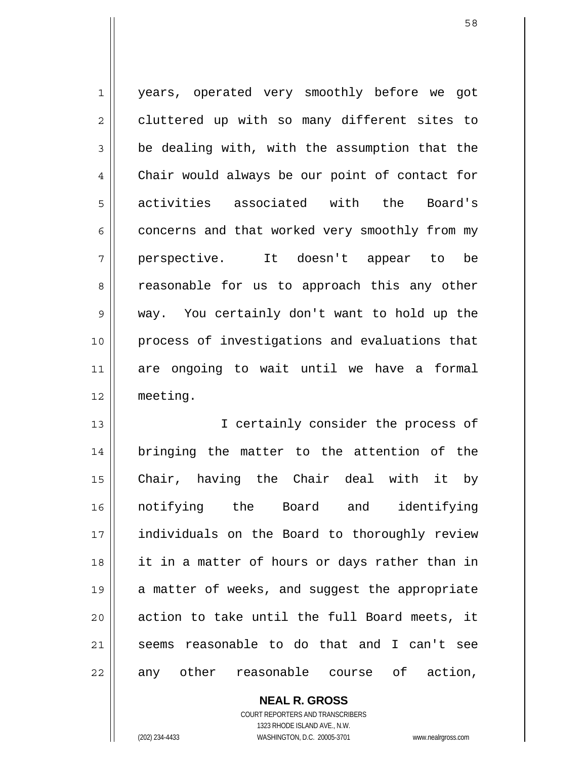1 2 3 4 5 6 7 8 9 10 11 12 years, operated very smoothly before we got cluttered up with so many different sites to be dealing with, with the assumption that the Chair would always be our point of contact for activities associated with the Board's concerns and that worked very smoothly from my perspective. It doesn't appear to be reasonable for us to approach this any other way. You certainly don't want to hold up the process of investigations and evaluations that are ongoing to wait until we have a formal meeting.

13 14 15 16 17 18 19 20 21 22 I certainly consider the process of bringing the matter to the attention of the Chair, having the Chair deal with it by notifying the Board and identifying individuals on the Board to thoroughly review it in a matter of hours or days rather than in a matter of weeks, and suggest the appropriate action to take until the full Board meets, it seems reasonable to do that and I can't see any other reasonable course of action,

> **NEAL R. GROSS** COURT REPORTERS AND TRANSCRIBERS 1323 RHODE ISLAND AVE., N.W. (202) 234-4433 WASHINGTON, D.C. 20005-3701 www.nealrgross.com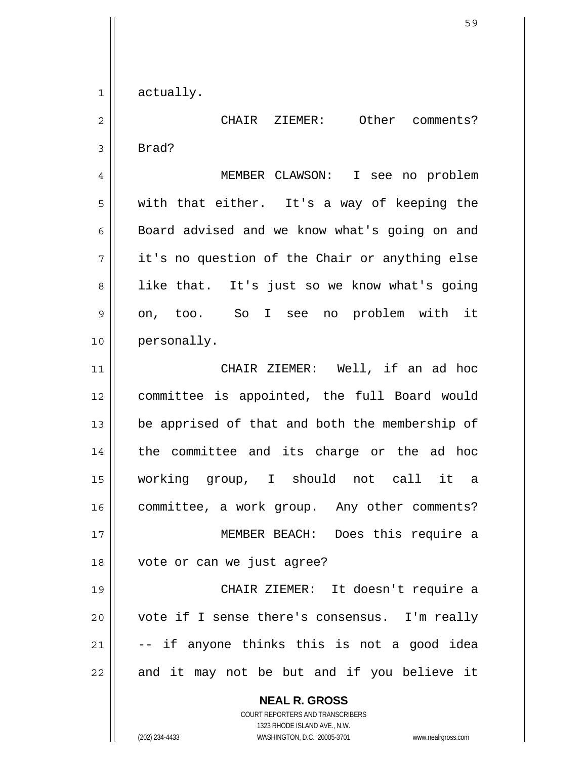1 actually.

2 3 CHAIR ZIEMER: Other comments? Brad?

4 5 6 7 8 9 10 MEMBER CLAWSON: I see no problem with that either. It's a way of keeping the Board advised and we know what's going on and it's no question of the Chair or anything else like that. It's just so we know what's going on, too. So I see no problem with it personally.

11 12 13 14 15 16 17 18 19 20 CHAIR ZIEMER: Well, if an ad hoc committee is appointed, the full Board would be apprised of that and both the membership of the committee and its charge or the ad hoc working group, I should not call it a committee, a work group. Any other comments? MEMBER BEACH: Does this require a vote or can we just agree? CHAIR ZIEMER: It doesn't require a vote if I sense there's consensus. I'm really

21 22 -- if anyone thinks this is not a good idea and it may not be but and if you believe it

> **NEAL R. GROSS** COURT REPORTERS AND TRANSCRIBERS 1323 RHODE ISLAND AVE., N.W. (202) 234-4433 WASHINGTON, D.C. 20005-3701 www.nealrgross.com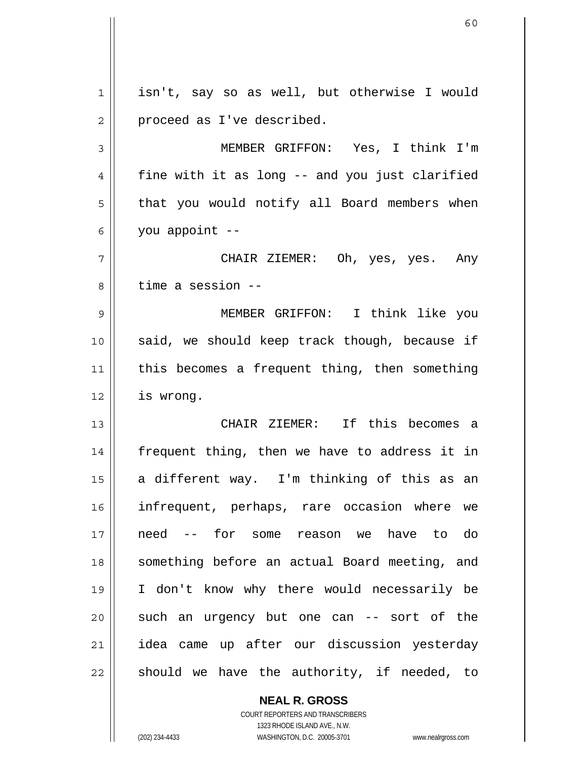1 2 3 4 5 6 7 8 9 10 11 12 13 14 15 16 17 18 19 20 21 22 isn't, say so as well, but otherwise I would proceed as I've described. MEMBER GRIFFON: Yes, I think I'm fine with it as long -- and you just clarified that you would notify all Board members when you appoint -- CHAIR ZIEMER: Oh, yes, yes. Any time a session -- MEMBER GRIFFON: I think like you said, we should keep track though, because if this becomes a frequent thing, then something is wrong. CHAIR ZIEMER: If this becomes a frequent thing, then we have to address it in a different way. I'm thinking of this as an infrequent, perhaps, rare occasion where we need -- for some reason we have to do something before an actual Board meeting, and I don't know why there would necessarily be such an urgency but one can -- sort of the idea came up after our discussion yesterday should we have the authority, if needed, to

**NEAL R. GROSS**

COURT REPORTERS AND TRANSCRIBERS 1323 RHODE ISLAND AVE., N.W. (202) 234-4433 WASHINGTON, D.C. 20005-3701 www.nealrgross.com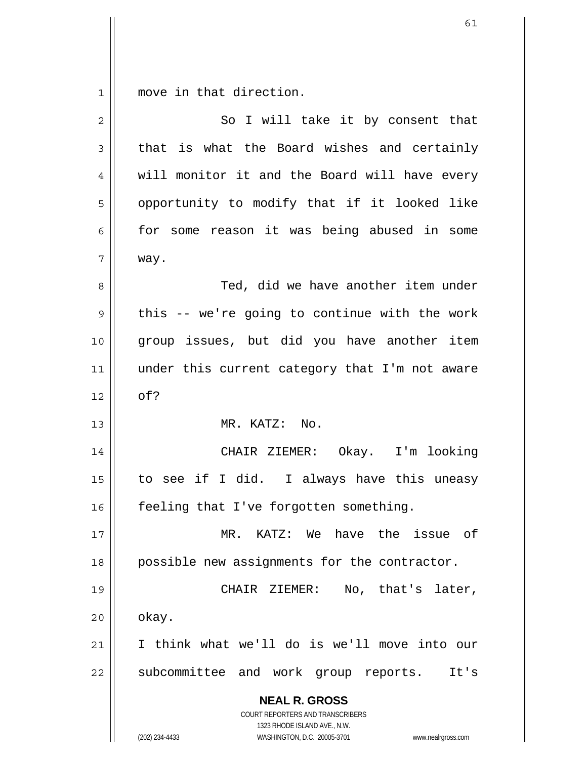$1||$ move in that direction.

| 2           | So I will take it by consent that                                                                                                                               |
|-------------|-----------------------------------------------------------------------------------------------------------------------------------------------------------------|
| 3           | that is what the Board wishes and certainly                                                                                                                     |
| 4           | will monitor it and the Board will have every                                                                                                                   |
| 5           | opportunity to modify that if it looked like                                                                                                                    |
| 6           | for some reason it was being abused in some                                                                                                                     |
| 7           | way.                                                                                                                                                            |
| 8           | Ted, did we have another item under                                                                                                                             |
| $\mathsf 9$ | this -- we're going to continue with the work                                                                                                                   |
| 10          | group issues, but did you have another item                                                                                                                     |
| 11          | under this current category that I'm not aware                                                                                                                  |
| 12          | of?                                                                                                                                                             |
| 13          | MR. KATZ: No.                                                                                                                                                   |
| 14          | CHAIR ZIEMER: Okay. I'm looking                                                                                                                                 |
| 15          | to see if I did. I always have this uneasy                                                                                                                      |
| 16          | feeling that I've forgotten something.                                                                                                                          |
| 17          | MR. KATZ: We have the issue<br>of                                                                                                                               |
| 18          | possible new assignments for the contractor.                                                                                                                    |
| 19          | No, that's later,<br>CHAIR ZIEMER:                                                                                                                              |
| 20          | okay.                                                                                                                                                           |
| 21          | I think what we'll do is we'll move into our                                                                                                                    |
| 22          | subcommittee and work group reports.<br>It's                                                                                                                    |
|             | <b>NEAL R. GROSS</b><br>COURT REPORTERS AND TRANSCRIBERS<br>1323 RHODE ISLAND AVE., N.W.<br>WASHINGTON, D.C. 20005-3701<br>(202) 234-4433<br>www.nealrgross.com |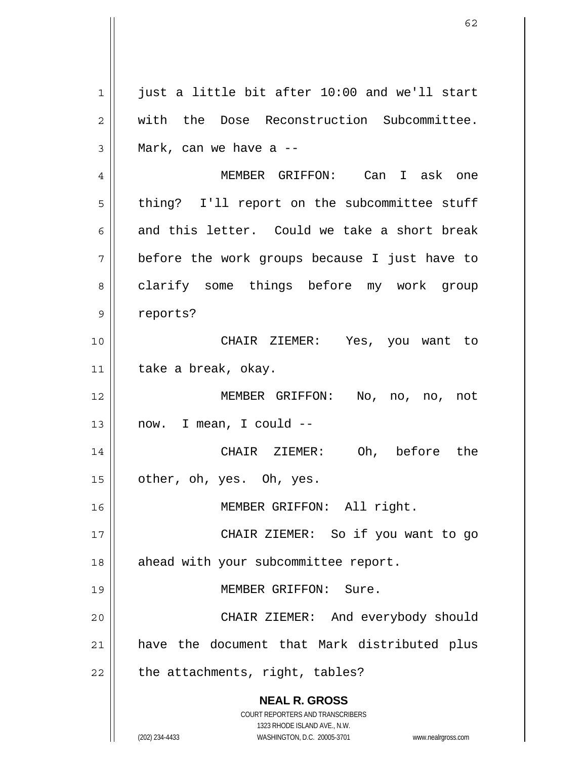**NEAL R. GROSS** COURT REPORTERS AND TRANSCRIBERS 1323 RHODE ISLAND AVE., N.W. (202) 234-4433 WASHINGTON, D.C. 20005-3701 www.nealrgross.com 1 2 3 4 5 6 7 8 9 10 11 12 13 14 15 16 17 18 19 20 21 22 just a little bit after 10:00 and we'll start with the Dose Reconstruction Subcommittee. Mark, can we have a -- MEMBER GRIFFON: Can I ask one thing? I'll report on the subcommittee stuff and this letter. Could we take a short break before the work groups because I just have to clarify some things before my work group reports? CHAIR ZIEMER: Yes, you want to take a break, okay. MEMBER GRIFFON: No, no, no, not now. I mean, I could -- CHAIR ZIEMER: Oh, before the other, oh, yes. Oh, yes. MEMBER GRIFFON: All right. CHAIR ZIEMER: So if you want to go ahead with your subcommittee report. MEMBER GRIFFON: Sure. CHAIR ZIEMER: And everybody should have the document that Mark distributed plus the attachments, right, tables?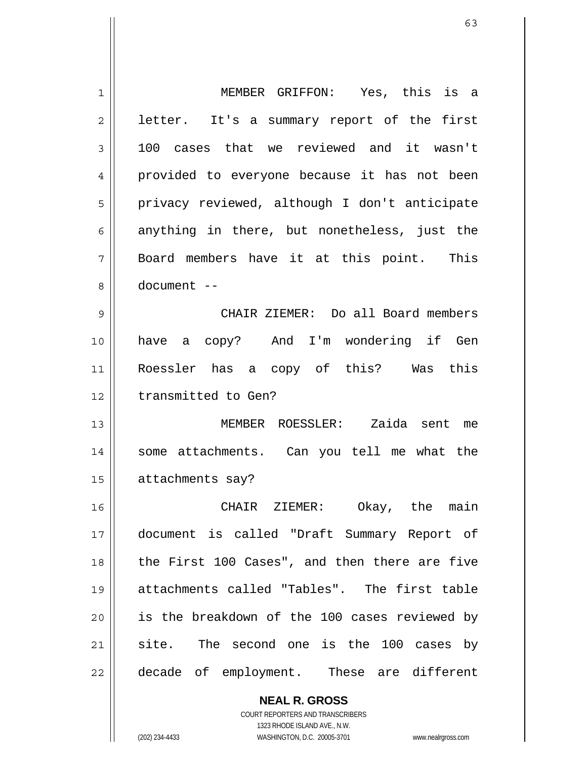| $\mathbf 1$ | MEMBER GRIFFON: Yes, this is a                |
|-------------|-----------------------------------------------|
| 2           | letter. It's a summary report of the first    |
| 3           | cases that we reviewed and it wasn't<br>100   |
| 4           | provided to everyone because it has not been  |
| 5           | privacy reviewed, although I don't anticipate |
| 6           | anything in there, but nonetheless, just the  |
| 7           | Board members have it at this point. This     |
| 8           | document --                                   |
| 9           | CHAIR ZIEMER: Do all Board members            |
| 10          | have a copy? And I'm wondering if Gen         |
| 11          | Roessler has a copy of this? Was this         |
| 12          | transmitted to Gen?                           |
| 13          | MEMBER ROESSLER: Zaida sent<br>me             |
| 14          | some attachments. Can you tell me what the    |
| 15          | attachments say?                              |
| 16          | CHAIR ZIEMER: Okay, the main                  |
| 17          | document is called "Draft Summary Report of   |
| 18          | the First 100 Cases", and then there are five |
| 19          | attachments called "Tables". The first table  |
| 20          | is the breakdown of the 100 cases reviewed by |
| 21          | site. The second one is the 100 cases by      |
| 22          | decade of employment. These are different     |
|             | <b>NEAL R. GROSS</b>                          |

COURT REPORTERS AND TRANSCRIBERS 1323 RHODE ISLAND AVE., N.W.

 $\mathsf{II}$ 

(202) 234-4433 WASHINGTON, D.C. 20005-3701 www.nealrgross.com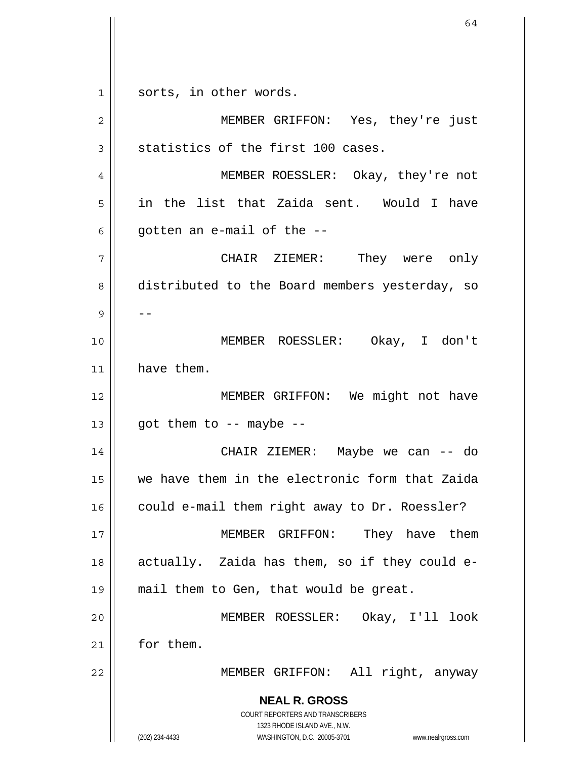**NEAL R. GROSS** COURT REPORTERS AND TRANSCRIBERS 1323 RHODE ISLAND AVE., N.W. 1 2 3 4 5 6 7 8 9 10 11 12 13 14 15 16 17 18 19 20 21 22 sorts, in other words. MEMBER GRIFFON: Yes, they're just statistics of the first 100 cases. MEMBER ROESSLER: Okay, they're not in the list that Zaida sent. Would I have gotten an e-mail of the -- CHAIR ZIEMER: They were only distributed to the Board members yesterday, so -- MEMBER ROESSLER: Okay, I don't have them. MEMBER GRIFFON: We might not have got them to  $-$ - maybe  $-$ - CHAIR ZIEMER: Maybe we can -- do we have them in the electronic form that Zaida could e-mail them right away to Dr. Roessler? MEMBER GRIFFON: They have them actually. Zaida has them, so if they could email them to Gen, that would be great. MEMBER ROESSLER: Okay, I'll look for them. MEMBER GRIFFON: All right, anyway

(202) 234-4433 WASHINGTON, D.C. 20005-3701 www.nealrgross.com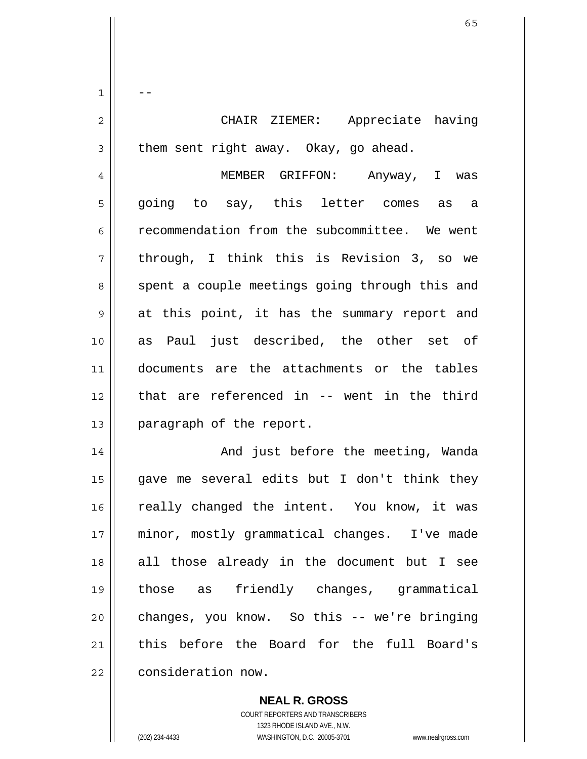1 2 3 4 5 6 7 8 9 10 11 12 13 -- CHAIR ZIEMER: Appreciate having them sent right away. Okay, go ahead. MEMBER GRIFFON: Anyway, I was going to say, this letter comes as a recommendation from the subcommittee. We went through, I think this is Revision 3, so we spent a couple meetings going through this and at this point, it has the summary report and as Paul just described, the other set of documents are the attachments or the tables that are referenced in -- went in the third paragraph of the report.

14 15 16 17 18 19 20 21 22 And just before the meeting, Wanda gave me several edits but I don't think they really changed the intent. You know, it was minor, mostly grammatical changes. I've made all those already in the document but I see those as friendly changes, grammatical changes, you know. So this -- we're bringing this before the Board for the full Board's consideration now.

> **NEAL R. GROSS** COURT REPORTERS AND TRANSCRIBERS 1323 RHODE ISLAND AVE., N.W. (202) 234-4433 WASHINGTON, D.C. 20005-3701 www.nealrgross.com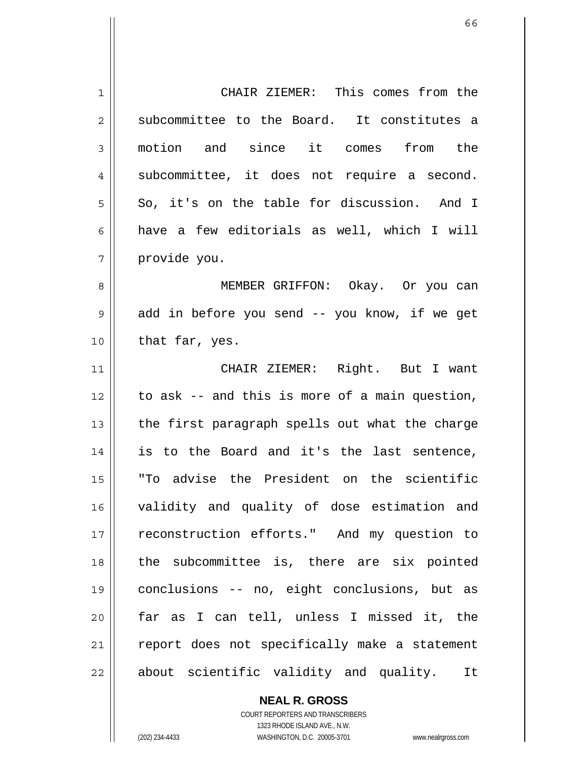| 1           | CHAIR ZIEMER: This comes from the              |
|-------------|------------------------------------------------|
| 2           | subcommittee to the Board. It constitutes a    |
| 3           | motion and since it comes from the             |
| 4           | subcommittee, it does not require a second.    |
| 5           | So, it's on the table for discussion. And I    |
| 6           | have a few editorials as well, which I will    |
| 7           | provide you.                                   |
| 8           | MEMBER GRIFFON: Okay. Or you can               |
| $\mathsf 9$ | add in before you send -- you know, if we get  |
| 10          | that far, yes.                                 |
| 11          | CHAIR ZIEMER: Right. But I want                |
| 12          | to ask -- and this is more of a main question, |
| 13          | the first paragraph spells out what the charge |
| 14          | is to the Board and it's the last sentence,    |
| 15          | "To advise the President on the scientific     |
| 16          | validity and quality of dose estimation and    |
| 17          | reconstruction efforts." And my question to    |
| 18          | the subcommittee is, there are six pointed     |
| 19          | conclusions -- no, eight conclusions, but as   |
| 20          | far as I can tell, unless I missed it, the     |
| 21          | report does not specifically make a statement  |
| 22          | about scientific validity and quality.<br>It   |
|             |                                                |

COURT REPORTERS AND TRANSCRIBERS 1323 RHODE ISLAND AVE., N.W. (202) 234-4433 WASHINGTON, D.C. 20005-3701 www.nealrgross.com

**NEAL R. GROSS**

 $\mathbf{I}$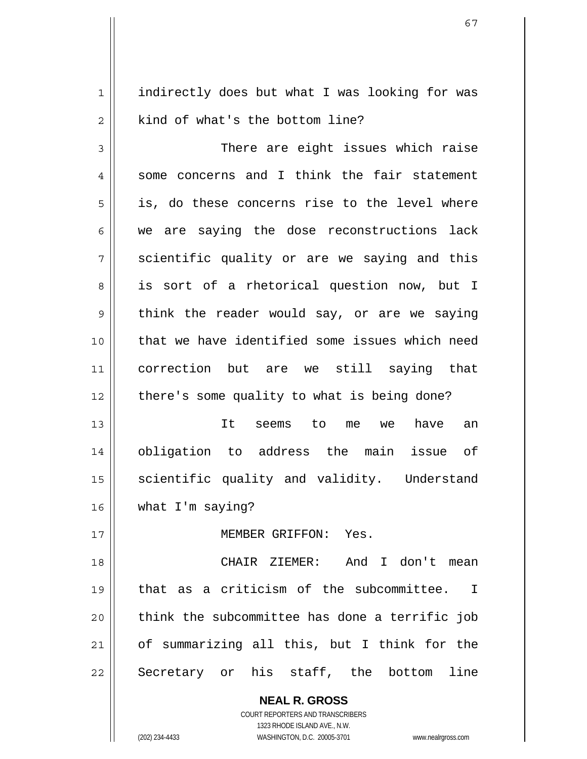1 2 indirectly does but what I was looking for was kind of what's the bottom line?

3 4 5 6 7 8 9 10 11 12 There are eight issues which raise some concerns and I think the fair statement is, do these concerns rise to the level where we are saying the dose reconstructions lack scientific quality or are we saying and this is sort of a rhetorical question now, but I think the reader would say, or are we saying that we have identified some issues which need correction but are we still saying that there's some quality to what is being done?

13 14 15 16 It seems to me we have an obligation to address the main issue of scientific quality and validity. Understand what I'm saying?

MEMBER GRIFFON: Yes.

18 19 20 21 22 CHAIR ZIEMER: And I don't mean that as a criticism of the subcommittee. I think the subcommittee has done a terrific job of summarizing all this, but I think for the Secretary or his staff, the bottom line

> **NEAL R. GROSS** COURT REPORTERS AND TRANSCRIBERS 1323 RHODE ISLAND AVE., N.W. (202) 234-4433 WASHINGTON, D.C. 20005-3701 www.nealrgross.com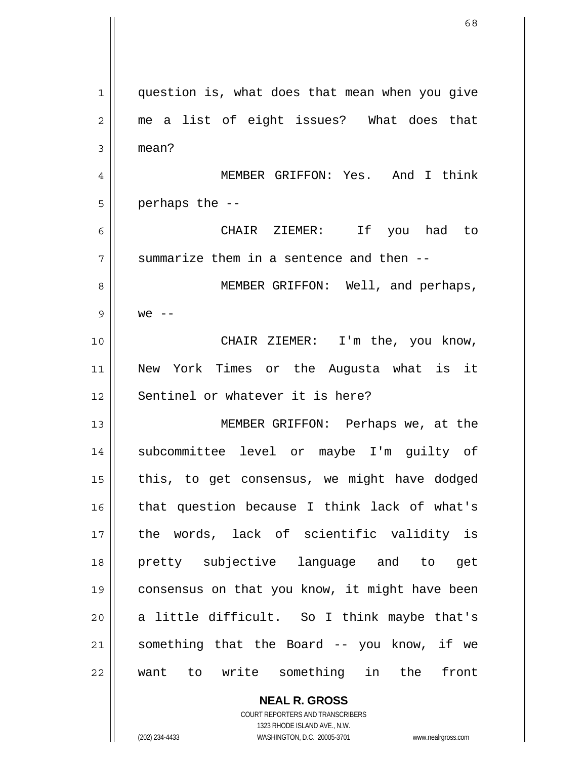1 2 3 4 5 6 7 8 9 10 11 12 13 14 15 16 17 18 19 20 21 22 question is, what does that mean when you give me a list of eight issues? What does that mean? MEMBER GRIFFON: Yes. And I think perhaps the -- CHAIR ZIEMER: If you had to summarize them in a sentence and then -- MEMBER GRIFFON: Well, and perhaps,  $we$   $---$  CHAIR ZIEMER: I'm the, you know, New York Times or the Augusta what is it Sentinel or whatever it is here? MEMBER GRIFFON: Perhaps we, at the subcommittee level or maybe I'm guilty of this, to get consensus, we might have dodged that question because I think lack of what's the words, lack of scientific validity is pretty subjective language and to get consensus on that you know, it might have been a little difficult. So I think maybe that's something that the Board -- you know, if we want to write something in the front

> **NEAL R. GROSS** COURT REPORTERS AND TRANSCRIBERS 1323 RHODE ISLAND AVE., N.W. (202) 234-4433 WASHINGTON, D.C. 20005-3701 www.nealrgross.com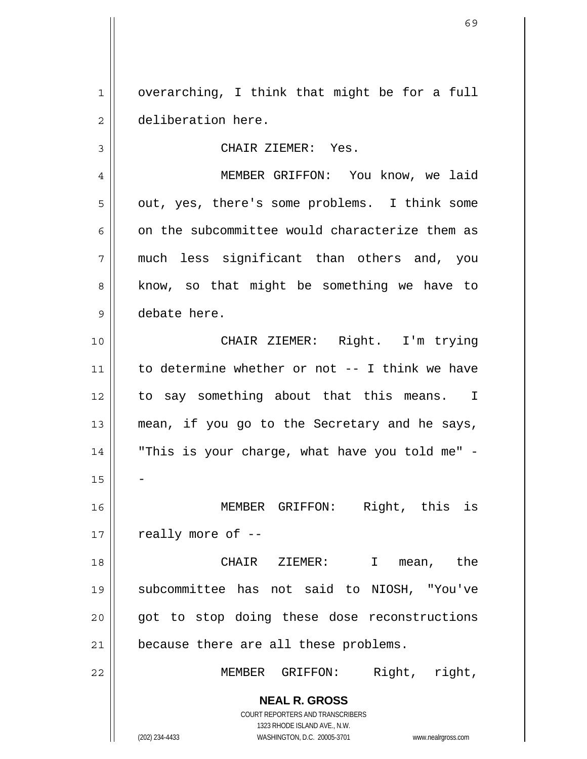1 2 overarching, I think that might be for a full deliberation here.

CHAIR ZIEMER: Yes.

7 MEMBER GRIFFON: You know, we laid out, yes, there's some problems. I think some on the subcommittee would characterize them as much less significant than others and, you know, so that might be something we have to debate here.

10 11 12 13 14 15 16 17 18 19 CHAIR ZIEMER: Right. I'm trying to determine whether or not -- I think we have to say something about that this means. I mean, if you go to the Secretary and he says, "This is your charge, what have you told me" - - MEMBER GRIFFON: Right, this is really more of -- CHAIR ZIEMER: I mean, the subcommittee has not said to NIOSH, "You've

20 21 got to stop doing these dose reconstructions because there are all these problems.

MEMBER GRIFFON: Right, right,

**NEAL R. GROSS**

COURT REPORTERS AND TRANSCRIBERS 1323 RHODE ISLAND AVE., N.W. (202) 234-4433 WASHINGTON, D.C. 20005-3701 www.nealrgross.com

3

4

5

6

8

9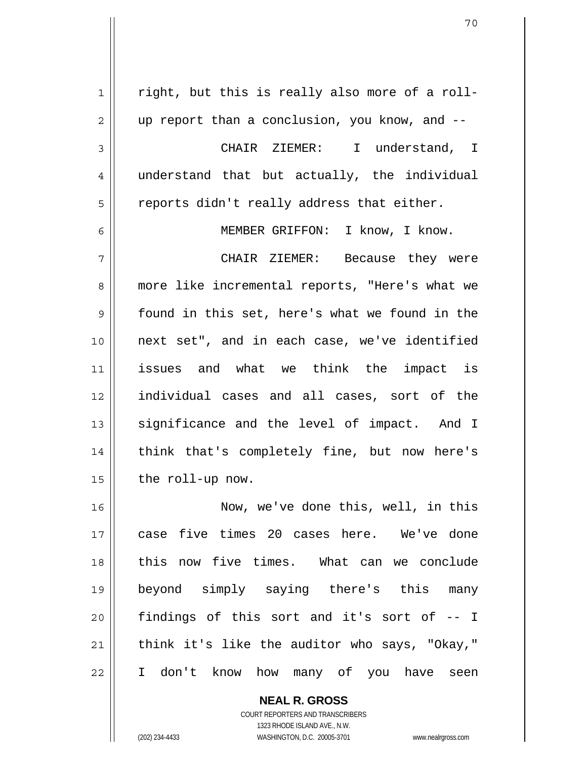1 2 3 4 5 6 7 8 9 10 11 12 13 14 15 16 17 18 19 20 21 22 right, but this is really also more of a rollup report than a conclusion, you know, and -- CHAIR ZIEMER: I understand, I understand that but actually, the individual reports didn't really address that either. MEMBER GRIFFON: I know, I know. CHAIR ZIEMER: Because they were more like incremental reports, "Here's what we found in this set, here's what we found in the next set", and in each case, we've identified issues and what we think the impact is individual cases and all cases, sort of the significance and the level of impact. And I think that's completely fine, but now here's the roll-up now. Now, we've done this, well, in this case five times 20 cases here. We've done this now five times. What can we conclude beyond simply saying there's this many findings of this sort and it's sort of -- I think it's like the auditor who says, "Okay," I don't know how many of you have seen

> **NEAL R. GROSS** COURT REPORTERS AND TRANSCRIBERS 1323 RHODE ISLAND AVE., N.W. (202) 234-4433 WASHINGTON, D.C. 20005-3701 www.nealrgross.com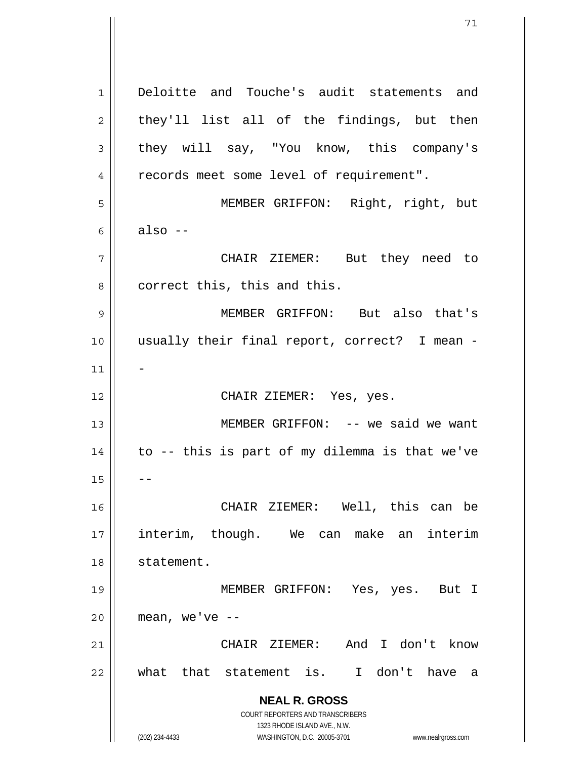**NEAL R. GROSS** COURT REPORTERS AND TRANSCRIBERS 1323 RHODE ISLAND AVE., N.W. (202) 234-4433 WASHINGTON, D.C. 20005-3701 www.nealrgross.com 1 2 3 4 5 6 7 8 9 10 11 12 13 14 15 16 17 18 19 20 21 22 Deloitte and Touche's audit statements and they'll list all of the findings, but then they will say, "You know, this company's records meet some level of requirement". MEMBER GRIFFON: Right, right, but also -- CHAIR ZIEMER: But they need to correct this, this and this. MEMBER GRIFFON: But also that's usually their final report, correct? I mean - - CHAIR ZIEMER: Yes, yes. MEMBER GRIFFON: -- we said we want to -- this is part of my dilemma is that we've -- CHAIR ZIEMER: Well, this can be interim, though. We can make an interim statement. MEMBER GRIFFON: Yes, yes. But I mean, we've  $--$  CHAIR ZIEMER: And I don't know what that statement is. I don't have a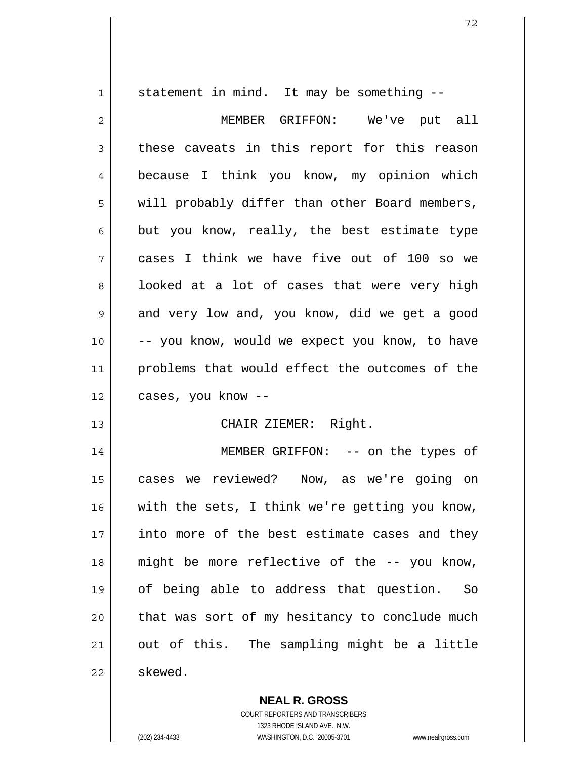1 2 3 4 5 6 7 8 9 10 11 12 13 14 15 16 17 18 19 20 21 22 statement in mind. It may be something -- MEMBER GRIFFON: We've put all these caveats in this report for this reason because I think you know, my opinion which will probably differ than other Board members, but you know, really, the best estimate type cases I think we have five out of 100 so we looked at a lot of cases that were very high and very low and, you know, did we get a good -- you know, would we expect you know, to have problems that would effect the outcomes of the cases, you know -- CHAIR ZIEMER: Right. MEMBER GRIFFON: -- on the types of cases we reviewed? Now, as we're going on with the sets, I think we're getting you know, into more of the best estimate cases and they might be more reflective of the -- you know, of being able to address that question. So that was sort of my hesitancy to conclude much out of this. The sampling might be a little skewed.

> **NEAL R. GROSS** COURT REPORTERS AND TRANSCRIBERS 1323 RHODE ISLAND AVE., N.W.

(202) 234-4433 WASHINGTON, D.C. 20005-3701 www.nealrgross.com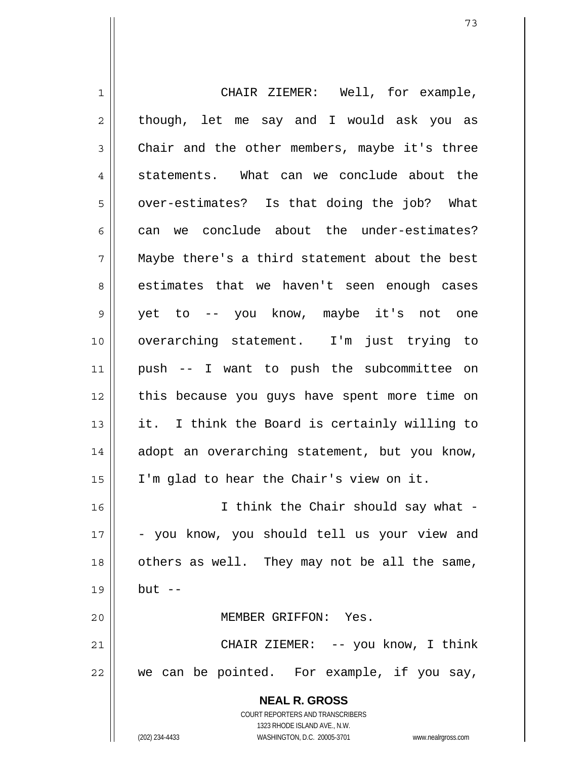**NEAL R. GROSS** COURT REPORTERS AND TRANSCRIBERS 1323 RHODE ISLAND AVE., N.W. 1 2 3 4 5 6 7 8 9 10 11 12 13 14 15 16 17 18 19 20 21 22 CHAIR ZIEMER: Well, for example, though, let me say and I would ask you as Chair and the other members, maybe it's three statements. What can we conclude about the over-estimates? Is that doing the job? What can we conclude about the under-estimates? Maybe there's a third statement about the best estimates that we haven't seen enough cases yet to -- you know, maybe it's not one overarching statement. I'm just trying to push -- I want to push the subcommittee on this because you guys have spent more time on it. I think the Board is certainly willing to adopt an overarching statement, but you know, I'm glad to hear the Chair's view on it. I think the Chair should say what -- you know, you should tell us your view and others as well. They may not be all the same, but  $--$  MEMBER GRIFFON: Yes. CHAIR ZIEMER: -- you know, I think we can be pointed. For example, if you say,

(202) 234-4433 WASHINGTON, D.C. 20005-3701 www.nealrgross.com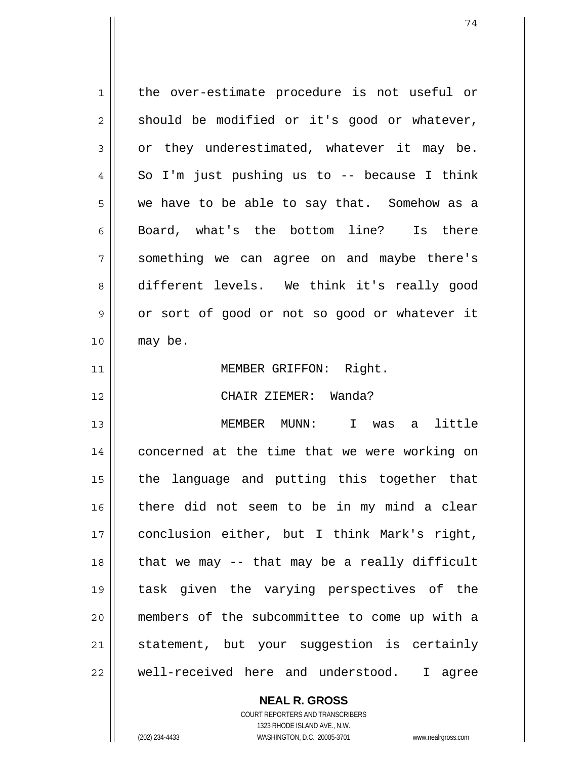| 1  | the over-estimate procedure is not useful or  |
|----|-----------------------------------------------|
| 2  | should be modified or it's good or whatever,  |
| 3  | or they underestimated, whatever it may be.   |
| 4  | So I'm just pushing us to $-$ because I think |
| 5  | we have to be able to say that. Somehow as a  |
| 6  | Board, what's the bottom line? Is there       |
| 7  | something we can agree on and maybe there's   |
| 8  | different levels. We think it's really good   |
| 9  | or sort of good or not so good or whatever it |
| 10 | may be.                                       |
| 11 | MEMBER GRIFFON: Right.                        |
| 12 | CHAIR ZIEMER: Wanda?                          |
| 13 | MEMBER MUNN: I was a little                   |
| 14 | concerned at the time that we were working on |
| 15 | the language and putting this together that   |
| 16 | there did not seem to be in my mind a clear   |
| 17 | conclusion either, but I think Mark's right,  |
| 18 | that we may -- that may be a really difficult |
| 19 | task given the varying perspectives of the    |
| 20 | members of the subcommittee to come up with a |
| 21 | statement, but your suggestion is certainly   |
| 22 | well-received here and understood.<br>I agree |

**NEAL R. GROSS**

 $\mathbf{I}$ 

COURT REPORTERS AND TRANSCRIBERS 1323 RHODE ISLAND AVE., N.W. (202) 234-4433 WASHINGTON, D.C. 20005-3701 www.nealrgross.com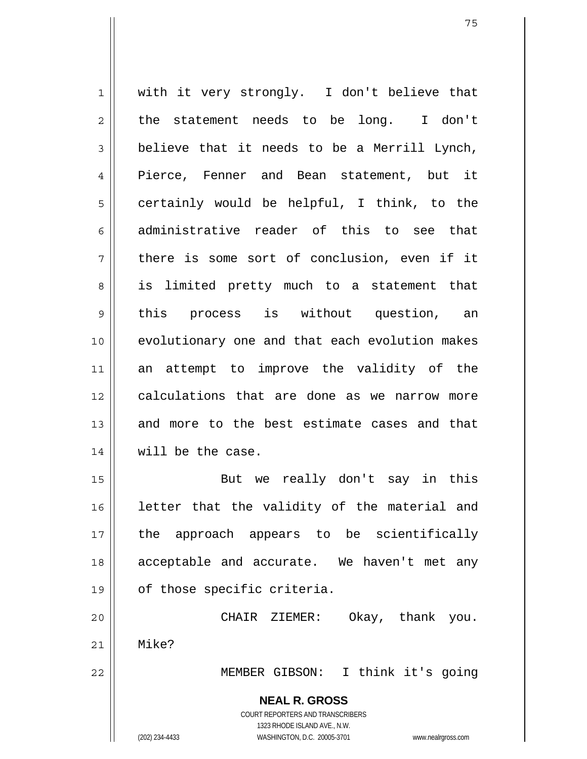1 2 3 4 5 6 7 8 9 10 11 12 13 14 15 16 17 18 19 20 21 22 with it very strongly. I don't believe that the statement needs to be long. I don't believe that it needs to be a Merrill Lynch, Pierce, Fenner and Bean statement, but it certainly would be helpful, I think, to the administrative reader of this to see that there is some sort of conclusion, even if it is limited pretty much to a statement that this process is without question, an evolutionary one and that each evolution makes an attempt to improve the validity of the calculations that are done as we narrow more and more to the best estimate cases and that will be the case. But we really don't say in this letter that the validity of the material and the approach appears to be scientifically acceptable and accurate. We haven't met any of those specific criteria. CHAIR ZIEMER: Okay, thank you. Mike? MEMBER GIBSON: I think it's going

> **NEAL R. GROSS** COURT REPORTERS AND TRANSCRIBERS 1323 RHODE ISLAND AVE., N.W. (202) 234-4433 WASHINGTON, D.C. 20005-3701 www.nealrgross.com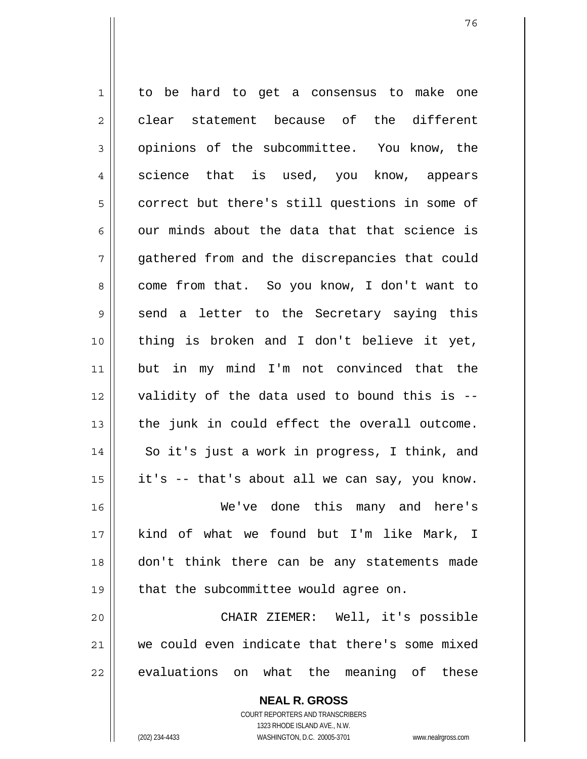1 2 3 4 5 6 7 8 9 10 11 12 13 14 15 16 17 18 19 20 21 22 to be hard to get a consensus to make one clear statement because of the different opinions of the subcommittee. You know, the science that is used, you know, appears correct but there's still questions in some of our minds about the data that that science is gathered from and the discrepancies that could come from that. So you know, I don't want to send a letter to the Secretary saying this thing is broken and I don't believe it yet, but in my mind I'm not convinced that the validity of the data used to bound this is - the junk in could effect the overall outcome. So it's just a work in progress, I think, and it's -- that's about all we can say, you know. We've done this many and here's kind of what we found but I'm like Mark, I don't think there can be any statements made that the subcommittee would agree on. CHAIR ZIEMER: Well, it's possible we could even indicate that there's some mixed evaluations on what the meaning of these

> COURT REPORTERS AND TRANSCRIBERS 1323 RHODE ISLAND AVE., N.W. (202) 234-4433 WASHINGTON, D.C. 20005-3701 www.nealrgross.com

**NEAL R. GROSS**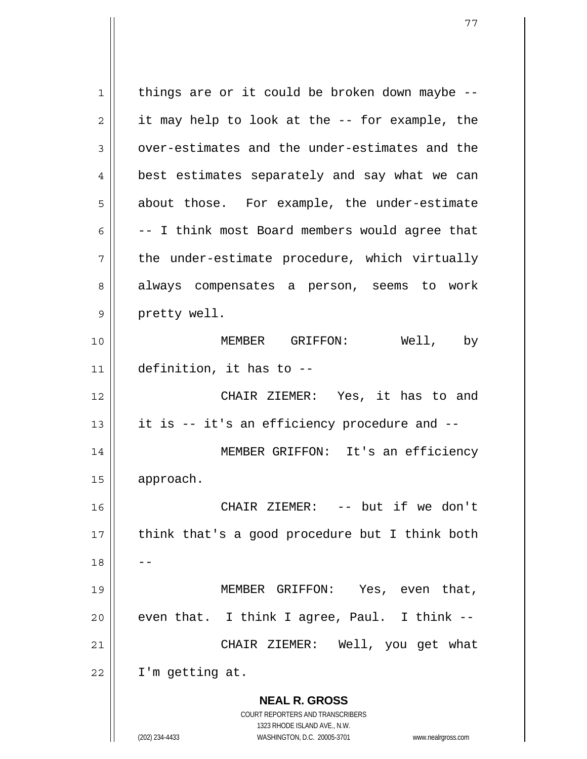**NEAL R. GROSS** COURT REPORTERS AND TRANSCRIBERS 1323 RHODE ISLAND AVE., N.W. (202) 234-4433 WASHINGTON, D.C. 20005-3701 www.nealrgross.com 1 2 3 4 5 6 7 8 9 10 11 12 13 14 15 16 17 18 19 20 21 22 things are or it could be broken down maybe - it may help to look at the -- for example, the over-estimates and the under-estimates and the best estimates separately and say what we can about those. For example, the under-estimate -- I think most Board members would agree that the under-estimate procedure, which virtually always compensates a person, seems to work pretty well. MEMBER GRIFFON: Well, by definition, it has to -- CHAIR ZIEMER: Yes, it has to and it is -- it's an efficiency procedure and -- MEMBER GRIFFON: It's an efficiency approach. CHAIR ZIEMER: -- but if we don't think that's a good procedure but I think both -- MEMBER GRIFFON: Yes, even that, even that. I think I agree, Paul. I think -- CHAIR ZIEMER: Well, you get what I'm getting at.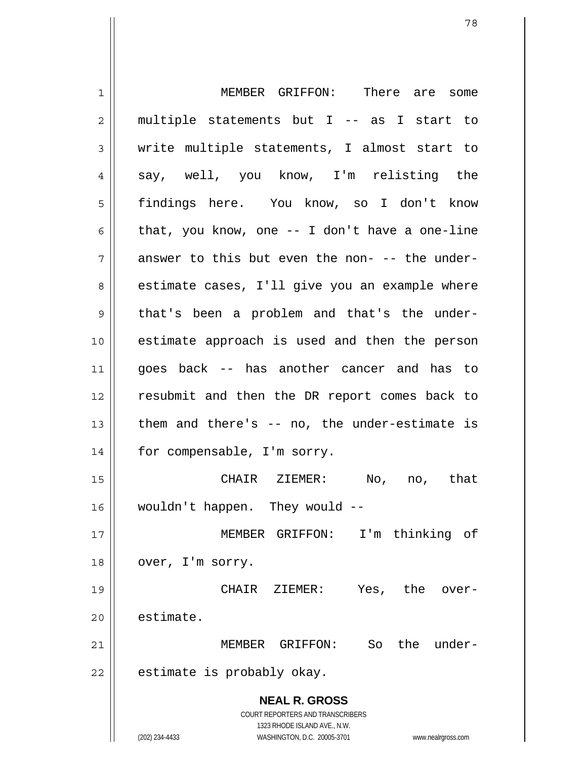**NEAL R. GROSS** COURT REPORTERS AND TRANSCRIBERS 1323 RHODE ISLAND AVE., N.W. (202) 234-4433 WASHINGTON, D.C. 20005-3701 www.nealrgross.com 1 2 3 4 5 6 7 8 9 10 11 12 13 14 15 16 17 18 19 20 21 22 MEMBER GRIFFON: There are some multiple statements but I -- as I start to write multiple statements, I almost start to say, well, you know, I'm relisting the findings here. You know, so I don't know that, you know, one -- I don't have a one-line answer to this but even the non- -- the underestimate cases, I'll give you an example where that's been a problem and that's the underestimate approach is used and then the person goes back -- has another cancer and has to resubmit and then the DR report comes back to them and there's -- no, the under-estimate is for compensable, I'm sorry. CHAIR ZIEMER: No, no, that wouldn't happen. They would -- MEMBER GRIFFON: I'm thinking of over, I'm sorry. CHAIR ZIEMER: Yes, the overestimate. MEMBER GRIFFON: So the underestimate is probably okay.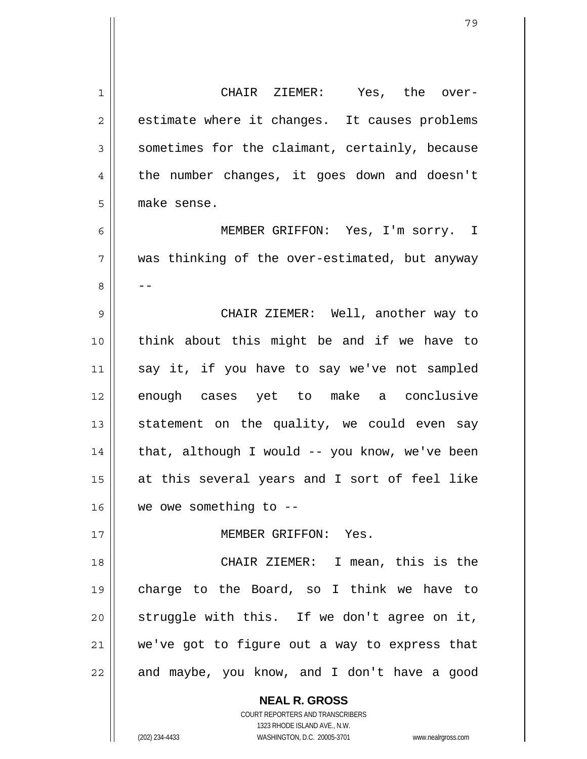**NEAL R. GROSS** 1 2 3 4 5 6 7 8 9 10 11 12 13 14 15 16 17 18 19 20 21 22 CHAIR ZIEMER: Yes, the overestimate where it changes. It causes problems sometimes for the claimant, certainly, because the number changes, it goes down and doesn't make sense. MEMBER GRIFFON: Yes, I'm sorry. I was thinking of the over-estimated, but anyway -- CHAIR ZIEMER: Well, another way to think about this might be and if we have to say it, if you have to say we've not sampled enough cases yet to make a conclusive statement on the quality, we could even say that, although I would -- you know, we've been at this several years and I sort of feel like we owe something to -- MEMBER GRIFFON: Yes. CHAIR ZIEMER: I mean, this is the charge to the Board, so I think we have to struggle with this. If we don't agree on it, we've got to figure out a way to express that and maybe, you know, and I don't have a good

> COURT REPORTERS AND TRANSCRIBERS 1323 RHODE ISLAND AVE., N.W.

(202) 234-4433 WASHINGTON, D.C. 20005-3701 www.nealrgross.com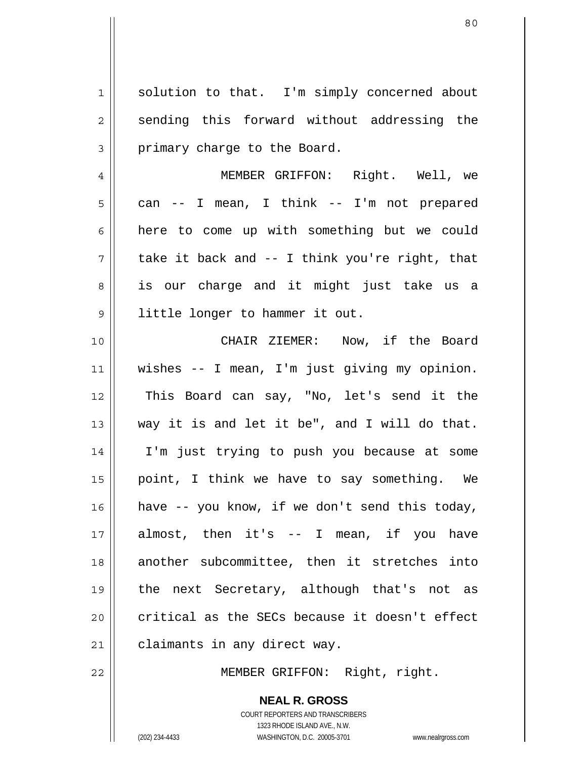1 2 3 solution to that. I'm simply concerned about sending this forward without addressing the primary charge to the Board.

4 5 6 7 8 9 MEMBER GRIFFON: Right. Well, we can -- I mean, I think -- I'm not prepared here to come up with something but we could take it back and -- I think you're right, that is our charge and it might just take us a little longer to hammer it out.

10 11 12 13 14 15 16 17 18 19 20 21 CHAIR ZIEMER: Now, if the Board wishes -- I mean, I'm just giving my opinion. This Board can say, "No, let's send it the way it is and let it be", and I will do that. I'm just trying to push you because at some point, I think we have to say something. We have -- you know, if we don't send this today, almost, then it's -- I mean, if you have another subcommittee, then it stretches into the next Secretary, although that's not as critical as the SECs because it doesn't effect claimants in any direct way.

22

MEMBER GRIFFON: Right, right.

**NEAL R. GROSS**

COURT REPORTERS AND TRANSCRIBERS 1323 RHODE ISLAND AVE., N.W. (202) 234-4433 WASHINGTON, D.C. 20005-3701 www.nealrgross.com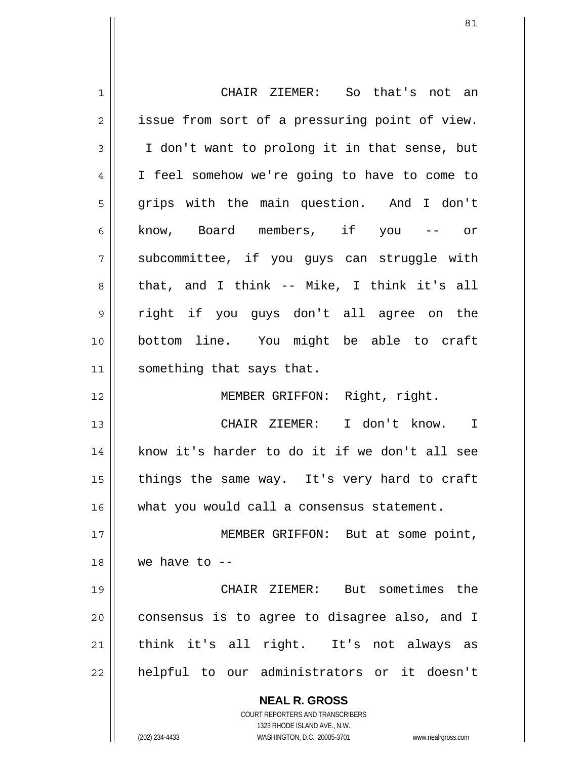| 1  | CHAIR ZIEMER: So that's not an                                      |
|----|---------------------------------------------------------------------|
| 2  | issue from sort of a pressuring point of view.                      |
| 3  | I don't want to prolong it in that sense, but                       |
| 4  | I feel somehow we're going to have to come to                       |
| 5  | grips with the main question. And I don't                           |
| 6  | know, Board members, if you -- or                                   |
| 7  | subcommittee, if you guys can struggle with                         |
| 8  | that, and I think -- Mike, I think it's all                         |
| 9  | right if you guys don't all agree on the                            |
| 10 | bottom line. You might be able to craft                             |
| 11 | something that says that.                                           |
| 12 | MEMBER GRIFFON: Right, right.                                       |
| 13 | CHAIR ZIEMER: I don't know. I                                       |
| 14 | know it's harder to do it if we don't all see                       |
| 15 | things the same way. It's very hard to craft                        |
| 16 | what you would call a consensus statement.                          |
| 17 | MEMBER GRIFFON: But at some point,                                  |
| 18 | we have to $-$                                                      |
| 19 | CHAIR ZIEMER: But sometimes the                                     |
| 20 | consensus is to agree to disagree also, and I                       |
| 21 | think it's all right. It's not always as                            |
| 22 | helpful to our administrators or it doesn't                         |
|    | <b>NEAL R. GROSS</b>                                                |
|    | COURT REPORTERS AND TRANSCRIBERS                                    |
|    | 1323 RHODE ISLAND AVE., N.W.                                        |
|    | (202) 234-4433<br>WASHINGTON, D.C. 20005-3701<br>www.nealrgross.com |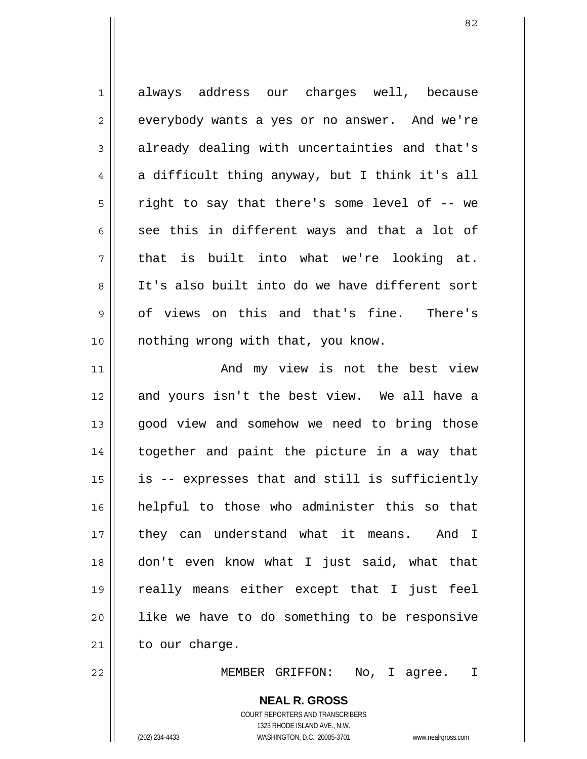1 2 3 4 5 6 7 8 9 10 11 12 13 14 15 16 17 18 19 always address our charges well, because everybody wants a yes or no answer. And we're already dealing with uncertainties and that's a difficult thing anyway, but I think it's all right to say that there's some level of -- we see this in different ways and that a lot of that is built into what we're looking at. It's also built into do we have different sort of views on this and that's fine. There's nothing wrong with that, you know. And my view is not the best view and yours isn't the best view. We all have a good view and somehow we need to bring those together and paint the picture in a way that is -- expresses that and still is sufficiently helpful to those who administer this so that they can understand what it means. And I don't even know what I just said, what that really means either except that I just feel

21 to our charge.

22

20

MEMBER GRIFFON: No, I agree. I

## **NEAL R. GROSS**

like we have to do something to be responsive

COURT REPORTERS AND TRANSCRIBERS 1323 RHODE ISLAND AVE., N.W. (202) 234-4433 WASHINGTON, D.C. 20005-3701 www.nealrgross.com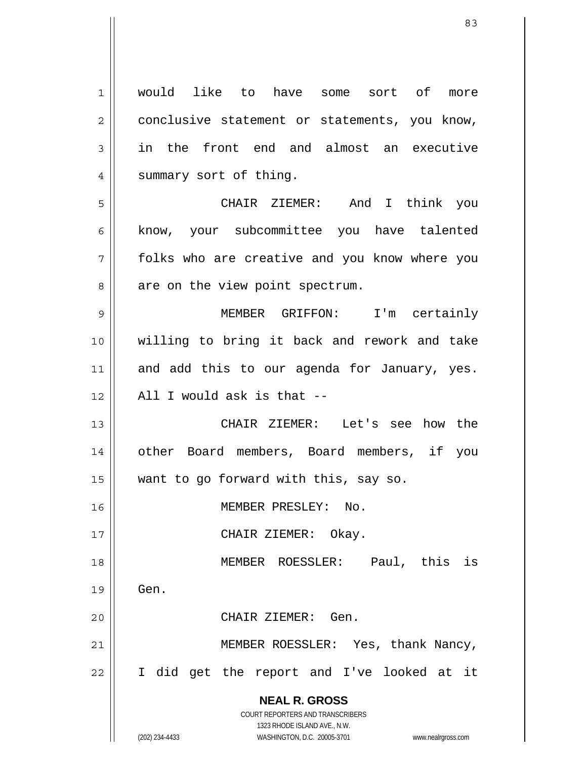**NEAL R. GROSS** COURT REPORTERS AND TRANSCRIBERS 1323 RHODE ISLAND AVE., N.W. (202) 234-4433 WASHINGTON, D.C. 20005-3701 www.nealrgross.com 1 2 3 4 5 6 7 8 9 10 11 12 13 14 15 16 17 18 19 20 21 22 would like to have some sort of more conclusive statement or statements, you know, in the front end and almost an executive summary sort of thing. CHAIR ZIEMER: And I think you know, your subcommittee you have talented folks who are creative and you know where you are on the view point spectrum. MEMBER GRIFFON: I'm certainly willing to bring it back and rework and take and add this to our agenda for January, yes. All I would ask is that -- CHAIR ZIEMER: Let's see how the other Board members, Board members, if you want to go forward with this, say so. MEMBER PRESLEY: No. CHAIR ZIEMER: Okay. MEMBER ROESSLER: Paul, this is Gen. CHAIR ZIEMER: Gen. MEMBER ROESSLER: Yes, thank Nancy, I did get the report and I've looked at it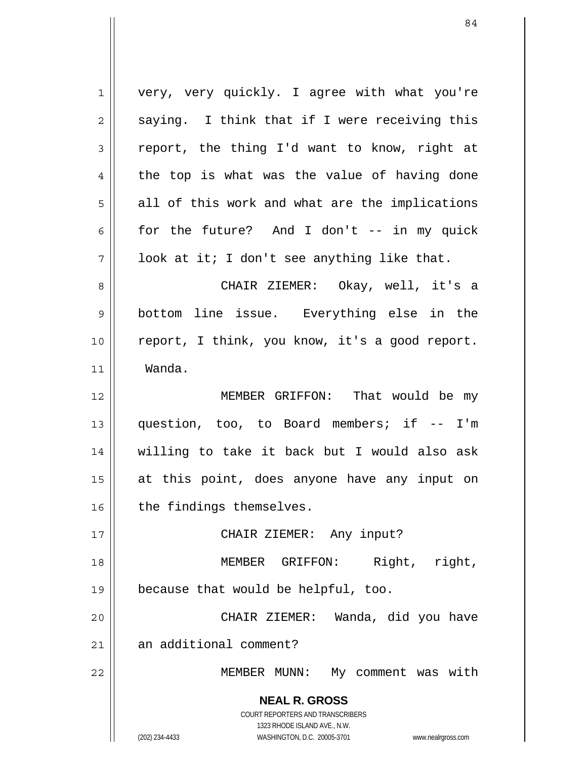**NEAL R. GROSS** COURT REPORTERS AND TRANSCRIBERS 1323 RHODE ISLAND AVE., N.W. (202) 234-4433 WASHINGTON, D.C. 20005-3701 www.nealrgross.com 1 2 3 4 5 6 7 8 9 10 11 12 13 14 15 16 17 18 19 20 21 22 very, very quickly. I agree with what you're saying. I think that if I were receiving this report, the thing I'd want to know, right at the top is what was the value of having done all of this work and what are the implications for the future? And I don't -- in my quick look at it; I don't see anything like that. CHAIR ZIEMER: Okay, well, it's a bottom line issue. Everything else in the report, I think, you know, it's a good report. Wanda. MEMBER GRIFFON: That would be my question, too, to Board members; if -- I'm willing to take it back but I would also ask at this point, does anyone have any input on the findings themselves. CHAIR ZIEMER: Any input? MEMBER GRIFFON: Right, right, because that would be helpful, too. CHAIR ZIEMER: Wanda, did you have an additional comment? MEMBER MUNN: My comment was with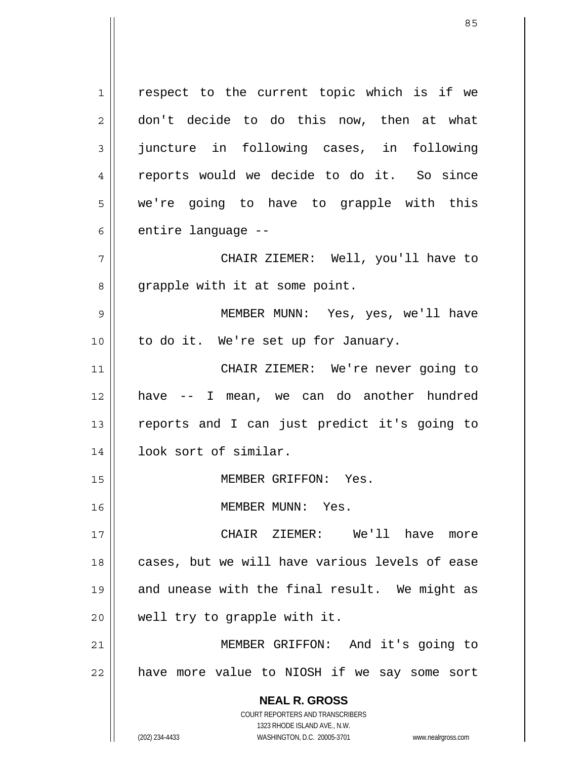**NEAL R. GROSS** COURT REPORTERS AND TRANSCRIBERS 1323 RHODE ISLAND AVE., N.W. 1 2 3 4 5 6 7 8 9 10 11 12 13 14 15 16 17 18 19 20 21 22 respect to the current topic which is if we don't decide to do this now, then at what juncture in following cases, in following reports would we decide to do it. So since we're going to have to grapple with this entire language -- CHAIR ZIEMER: Well, you'll have to grapple with it at some point. MEMBER MUNN: Yes, yes, we'll have to do it. We're set up for January. CHAIR ZIEMER: We're never going to have -- I mean, we can do another hundred reports and I can just predict it's going to look sort of similar. MEMBER GRIFFON: Yes. MEMBER MUNN: Yes. CHAIR ZIEMER: We'll have more cases, but we will have various levels of ease and unease with the final result. We might as well try to grapple with it. MEMBER GRIFFON: And it's going to have more value to NIOSH if we say some sort

(202) 234-4433 WASHINGTON, D.C. 20005-3701 www.nealrgross.com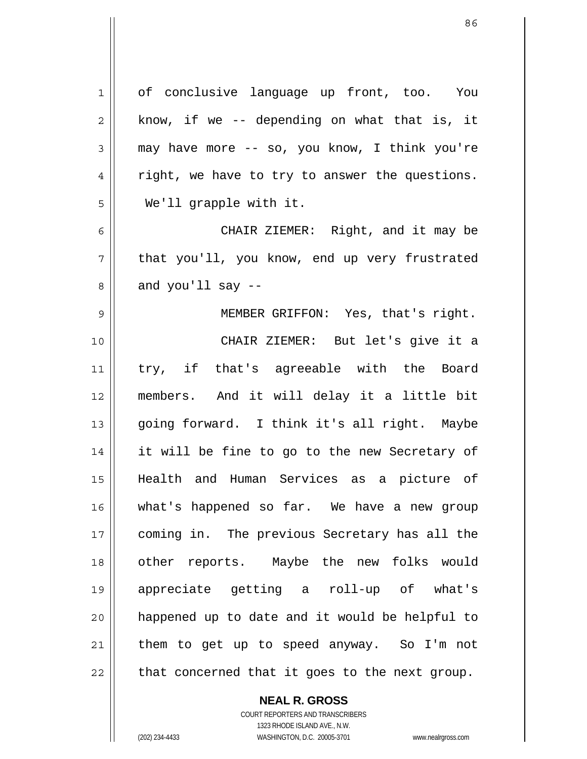| 1  | of conclusive language up front, too. You      |
|----|------------------------------------------------|
| 2  | know, if we -- depending on what that is, it   |
| 3  | may have more -- so, you know, I think you're  |
| 4  | right, we have to try to answer the questions. |
| 5  | We'll grapple with it.                         |
| 6  | CHAIR ZIEMER: Right, and it may be             |
| 7  | that you'll, you know, end up very frustrated  |
| 8  | and you'll say $-$                             |
| 9  | MEMBER GRIFFON: Yes, that's right.             |
| 10 | CHAIR ZIEMER: But let's give it a              |
| 11 | try, if that's agreeable with the Board        |
| 12 | members. And it will delay it a little bit     |
| 13 | going forward. I think it's all right. Maybe   |
| 14 | it will be fine to go to the new Secretary of  |
| 15 | Health and Human Services as a picture of      |
| 16 | what's happened so far. We have a new group    |
| 17 | coming in. The previous Secretary has all the  |
| 18 | other reports. Maybe the new folks would       |
| 19 | appreciate getting a roll-up of what's         |
| 20 | happened up to date and it would be helpful to |
| 21 | them to get up to speed anyway. So I'm not     |
| 22 | that concerned that it goes to the next group. |
|    |                                                |

**NEAL R. GROSS** COURT REPORTERS AND TRANSCRIBERS

1323 RHODE ISLAND AVE., N.W.

(202) 234-4433 WASHINGTON, D.C. 20005-3701 www.nealrgross.com

 $\mathbf{I}$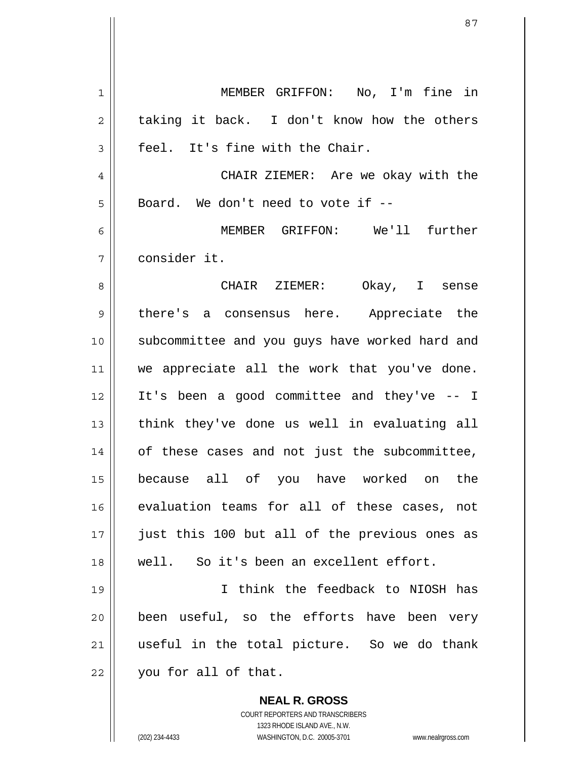**NEAL R. GROSS** 1 2 3 4 5 6 7 8 9 10 11 12 13 14 15 16 17 18 19 20 21 22 MEMBER GRIFFON: No, I'm fine in taking it back. I don't know how the others feel. It's fine with the Chair. CHAIR ZIEMER: Are we okay with the Board. We don't need to vote if -- MEMBER GRIFFON: We'll further consider it. CHAIR ZIEMER: Okay, I sense there's a consensus here. Appreciate the subcommittee and you guys have worked hard and we appreciate all the work that you've done. It's been a good committee and they've -- I think they've done us well in evaluating all of these cases and not just the subcommittee, because all of you have worked on the evaluation teams for all of these cases, not just this 100 but all of the previous ones as well. So it's been an excellent effort. I think the feedback to NIOSH has been useful, so the efforts have been very useful in the total picture. So we do thank you for all of that.

> COURT REPORTERS AND TRANSCRIBERS 1323 RHODE ISLAND AVE., N.W.

(202) 234-4433 WASHINGTON, D.C. 20005-3701 www.nealrgross.com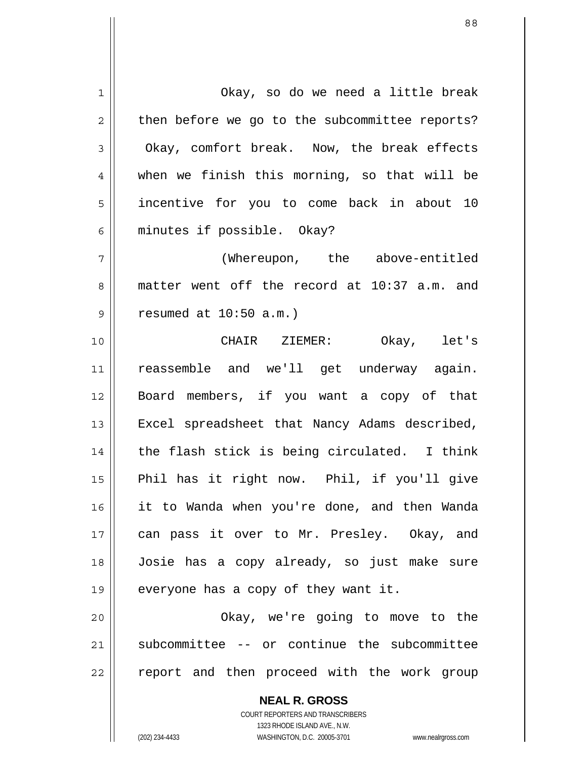**NEAL R. GROSS** 1 2 3 4 5 6 7 8 9 10 11 12 13 14 15 16 17 18 19 20 21 22 Okay, so do we need a little break then before we go to the subcommittee reports? Okay, comfort break. Now, the break effects when we finish this morning, so that will be incentive for you to come back in about 10 minutes if possible. Okay? (Whereupon, the above-entitled matter went off the record at 10:37 a.m. and resumed at 10:50 a.m.) CHAIR ZIEMER: Okay, let's reassemble and we'll get underway again. Board members, if you want a copy of that Excel spreadsheet that Nancy Adams described, the flash stick is being circulated. I think Phil has it right now. Phil, if you'll give it to Wanda when you're done, and then Wanda can pass it over to Mr. Presley. Okay, and Josie has a copy already, so just make sure everyone has a copy of they want it. Okay, we're going to move to the subcommittee -- or continue the subcommittee report and then proceed with the work group

> COURT REPORTERS AND TRANSCRIBERS 1323 RHODE ISLAND AVE., N.W.

(202) 234-4433 WASHINGTON, D.C. 20005-3701 www.nealrgross.com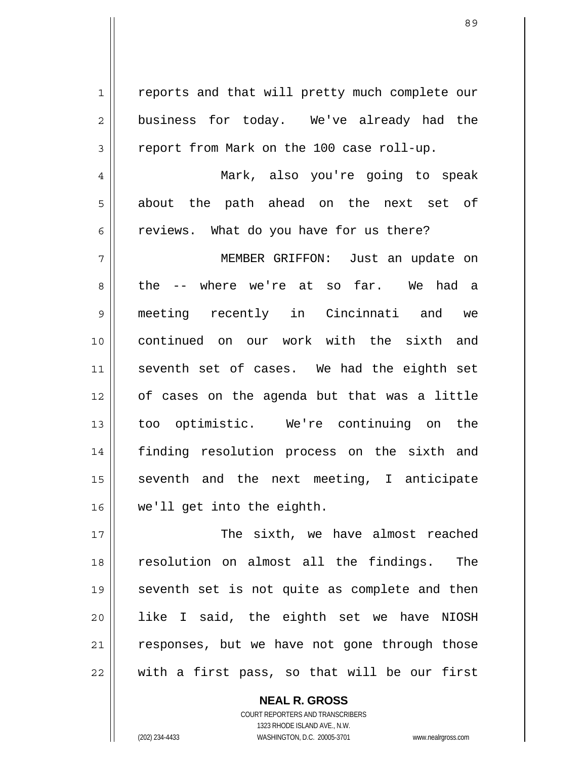89

1 2 3 4 5 6 7 8 9 10 11 12 13 14 15 16 17 18 reports and that will pretty much complete our business for today. We've already had the report from Mark on the 100 case roll-up. Mark, also you're going to speak about the path ahead on the next set of reviews. What do you have for us there? MEMBER GRIFFON: Just an update on the -- where we're at so far. We had a meeting recently in Cincinnati and we continued on our work with the sixth and seventh set of cases. We had the eighth set of cases on the agenda but that was a little too optimistic. We're continuing on the finding resolution process on the sixth and seventh and the next meeting, I anticipate we'll get into the eighth. The sixth, we have almost reached resolution on almost all the findings. The

19 20 21 22 seventh set is not quite as complete and then like I said, the eighth set we have NIOSH responses, but we have not gone through those with a first pass, so that will be our first

> **NEAL R. GROSS** COURT REPORTERS AND TRANSCRIBERS 1323 RHODE ISLAND AVE., N.W. (202) 234-4433 WASHINGTON, D.C. 20005-3701 www.nealrgross.com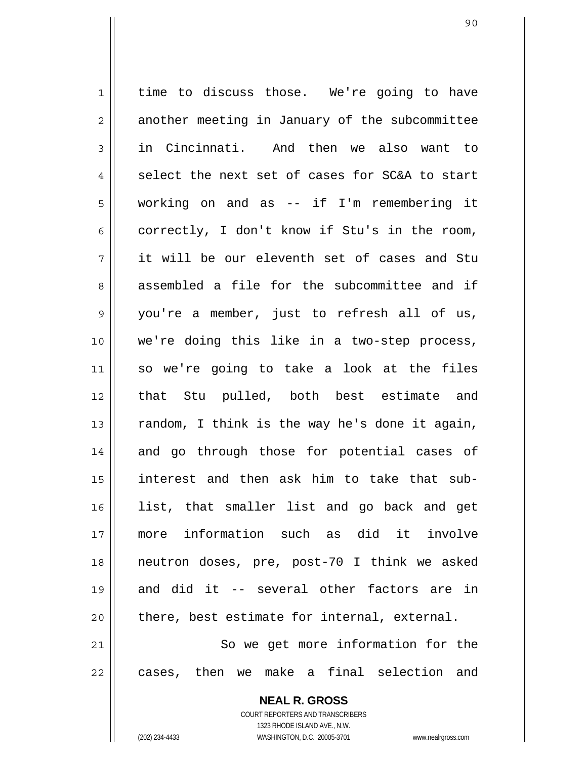1 2 3 4 5 6 7 8 9 10 11 12 13 14 15 16 17 18 19 20 21 22 time to discuss those. We're going to have another meeting in January of the subcommittee in Cincinnati. And then we also want to select the next set of cases for SC&A to start working on and as -- if I'm remembering it correctly, I don't know if Stu's in the room, it will be our eleventh set of cases and Stu assembled a file for the subcommittee and if you're a member, just to refresh all of us, we're doing this like in a two-step process, so we're going to take a look at the files that Stu pulled, both best estimate and random, I think is the way he's done it again, and go through those for potential cases of interest and then ask him to take that sublist, that smaller list and go back and get more information such as did it involve neutron doses, pre, post-70 I think we asked and did it -- several other factors are in there, best estimate for internal, external. So we get more information for the cases, then we make a final selection and

> **NEAL R. GROSS** COURT REPORTERS AND TRANSCRIBERS 1323 RHODE ISLAND AVE., N.W.

(202) 234-4433 WASHINGTON, D.C. 20005-3701 www.nealrgross.com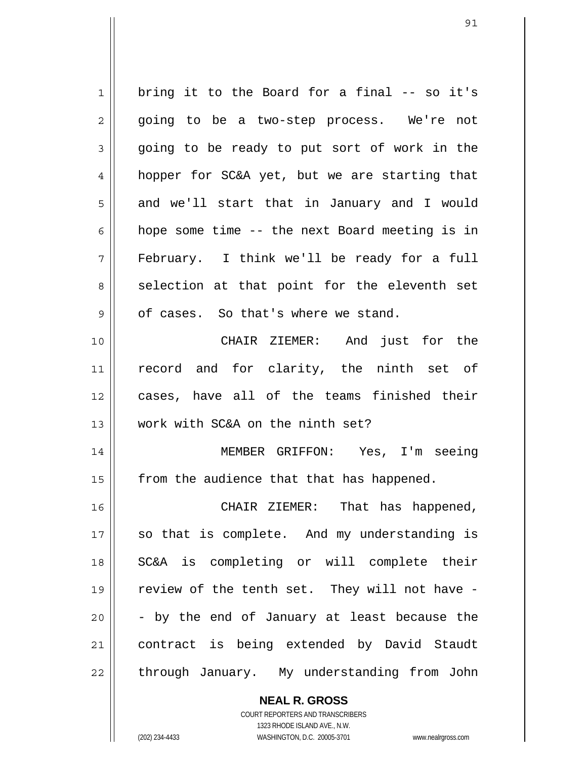1 2 3 4 5 6 7 8 9 10 11 12 13 14 15 16 17 18 19 20 21 22 bring it to the Board for a final -- so it's going to be a two-step process. We're not going to be ready to put sort of work in the hopper for SC&A yet, but we are starting that and we'll start that in January and I would hope some time -- the next Board meeting is in February. I think we'll be ready for a full selection at that point for the eleventh set of cases. So that's where we stand. CHAIR ZIEMER: And just for the record and for clarity, the ninth set of cases, have all of the teams finished their work with SC&A on the ninth set? MEMBER GRIFFON: Yes, I'm seeing from the audience that that has happened. CHAIR ZIEMER: That has happened, so that is complete. And my understanding is SC&A is completing or will complete their review of the tenth set. They will not have - - by the end of January at least because the contract is being extended by David Staudt through January. My understanding from John

> **NEAL R. GROSS** COURT REPORTERS AND TRANSCRIBERS

> > 1323 RHODE ISLAND AVE., N.W.

(202) 234-4433 WASHINGTON, D.C. 20005-3701 www.nealrgross.com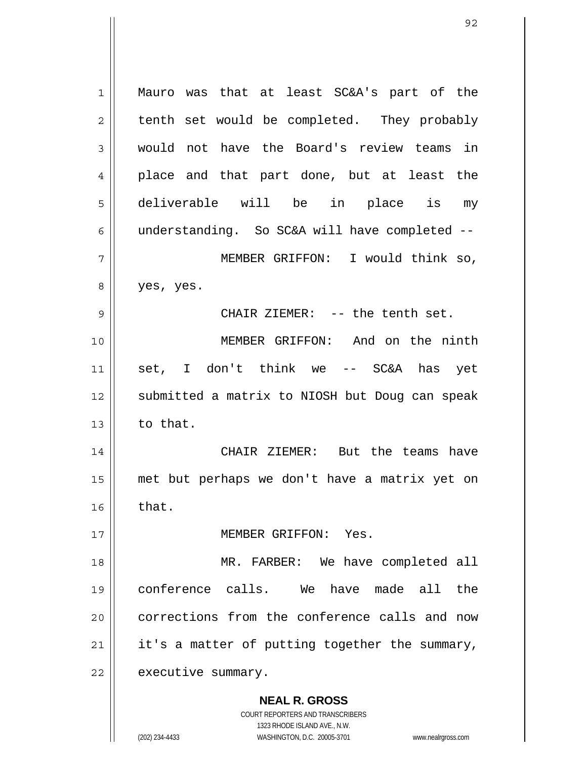**NEAL R. GROSS** COURT REPORTERS AND TRANSCRIBERS 1 2 3 4 5 6 7 8 9 10 11 12 13 14 15 16 17 18 19 20 21 22 Mauro was that at least SC&A's part of the tenth set would be completed. They probably would not have the Board's review teams in place and that part done, but at least the deliverable will be in place is my understanding. So SC&A will have completed -- MEMBER GRIFFON: I would think so, yes, yes. CHAIR ZIEMER: -- the tenth set. MEMBER GRIFFON: And on the ninth set, I don't think we -- SC&A has yet submitted a matrix to NIOSH but Doug can speak to that. CHAIR ZIEMER: But the teams have met but perhaps we don't have a matrix yet on that. MEMBER GRIFFON: Yes. MR. FARBER: We have completed all conference calls. We have made all the corrections from the conference calls and now it's a matter of putting together the summary, executive summary.

1323 RHODE ISLAND AVE., N.W.

(202) 234-4433 WASHINGTON, D.C. 20005-3701 www.nealrgross.com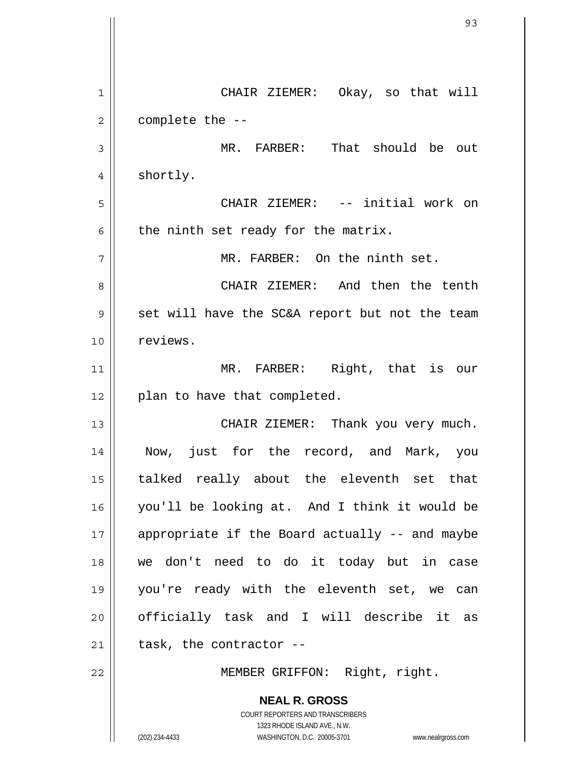| 1  | CHAIR ZIEMER: Okay, so that will                                    |
|----|---------------------------------------------------------------------|
| 2  | complete the --                                                     |
| 3  | That should be out<br>MR. FARBER:                                   |
| 4  | shortly.                                                            |
| 5  | CHAIR ZIEMER: -- initial work on                                    |
| 6  | the ninth set ready for the matrix.                                 |
| 7  | MR. FARBER: On the ninth set.                                       |
| 8  | CHAIR ZIEMER: And then the tenth                                    |
| 9  | set will have the SC&A report but not the team                      |
| 10 | reviews.                                                            |
| 11 | MR. FARBER: Right, that is our                                      |
| 12 | plan to have that completed.                                        |
| 13 | CHAIR ZIEMER: Thank you very much.                                  |
| 14 | Now, just for the record, and Mark, you                             |
| 15 | talked really about the eleventh set that                           |
| 16 | you'll be looking at. And I think it would be                       |
| 17 | appropriate if the Board actually -- and maybe                      |
| 18 | we don't need to do it today but in case                            |
| 19 | you're ready with the eleventh set, we can                          |
| 20 | officially task and I will describe it as                           |
| 21 | task, the contractor --                                             |
| 22 | MEMBER GRIFFON: Right, right.                                       |
|    | <b>NEAL R. GROSS</b>                                                |
|    | COURT REPORTERS AND TRANSCRIBERS<br>1323 RHODE ISLAND AVE., N.W.    |
|    | (202) 234-4433<br>WASHINGTON, D.C. 20005-3701<br>www.nealrgross.com |

 $\overline{\phantom{a}}$ 

 $\mathbb{I}$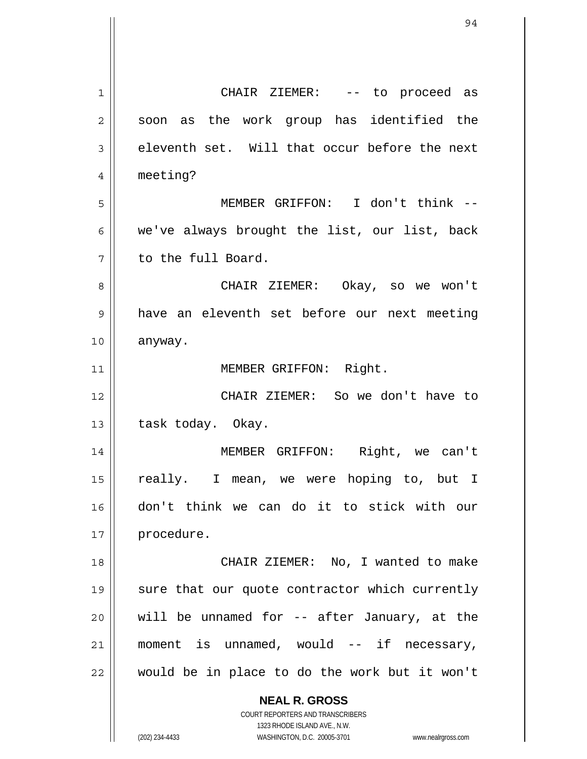| 1              | CHAIR ZIEMER: -- to proceed as                                                                      |
|----------------|-----------------------------------------------------------------------------------------------------|
| $\overline{2}$ | soon as the work group has identified the                                                           |
| 3              | eleventh set. Will that occur before the next                                                       |
| 4              | meeting?                                                                                            |
| 5              | MEMBER GRIFFON: I don't think --                                                                    |
| 6              | we've always brought the list, our list, back                                                       |
| 7              | to the full Board.                                                                                  |
| 8              | CHAIR ZIEMER: Okay, so we won't                                                                     |
| 9              | have an eleventh set before our next meeting                                                        |
| 10             | anyway.                                                                                             |
| 11             | MEMBER GRIFFON: Right.                                                                              |
| 12             | CHAIR ZIEMER: So we don't have to                                                                   |
| 13             | task today. Okay.                                                                                   |
| 14             | MEMBER GRIFFON: Right, we can't                                                                     |
| 15             | really. I mean, we were hoping to, but I                                                            |
| 16             | don't think we can do it to stick with our                                                          |
| 17             | procedure.                                                                                          |
| 18             | CHAIR ZIEMER: No, I wanted to make                                                                  |
| 19             | sure that our quote contractor which currently                                                      |
| 20             | will be unnamed for -- after January, at the                                                        |
| 21             | moment is unnamed, would -- if necessary,                                                           |
| 22             | would be in place to do the work but it won't                                                       |
|                | <b>NEAL R. GROSS</b>                                                                                |
|                | <b>COURT REPORTERS AND TRANSCRIBERS</b>                                                             |
|                | 1323 RHODE ISLAND AVE., N.W.<br>(202) 234-4433<br>WASHINGTON, D.C. 20005-3701<br>www.nealrgross.com |
|                |                                                                                                     |

 $\mathsf{I}$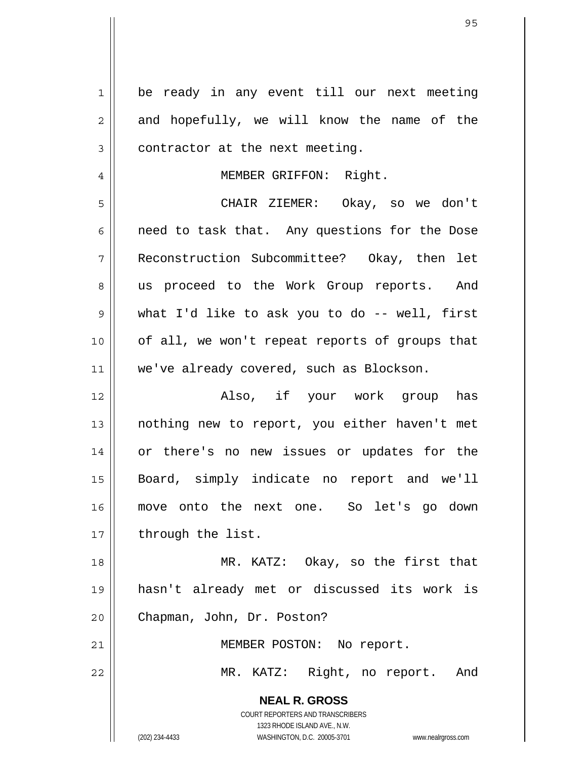| $\mathbf{1}$ | be ready in any event till our next meeting                         |
|--------------|---------------------------------------------------------------------|
| 2            | and hopefully, we will know the name of the                         |
| 3            | contractor at the next meeting.                                     |
| 4            | MEMBER GRIFFON: Right.                                              |
| 5            | CHAIR ZIEMER: Okay, so we don't                                     |
| 6            | need to task that. Any questions for the Dose                       |
| 7            | Reconstruction Subcommittee? Okay, then let                         |
| 8            | us proceed to the Work Group reports. And                           |
| 9            | what I'd like to ask you to do -- well, first                       |
| 10           | of all, we won't repeat reports of groups that                      |
| 11           | we've already covered, such as Blockson.                            |
| 12           | Also, if your work group has                                        |
| 13           | nothing new to report, you either haven't met                       |
| 14           | or there's no new issues or updates for the                         |
|              | Board, simply indicate no report and we'll                          |
| 15           |                                                                     |
| 16           | move onto the next one. So let's go down                            |
| 17           | through the list.                                                   |
| 18           | MR. KATZ: Okay, so the first that                                   |
| 19           | hasn't already met or discussed its work is                         |
| 20           | Chapman, John, Dr. Poston?                                          |
| 21           | MEMBER POSTON: No report.                                           |
| 22           | MR. KATZ: Right, no report. And                                     |
|              | <b>NEAL R. GROSS</b>                                                |
|              | COURT REPORTERS AND TRANSCRIBERS                                    |
|              | 1323 RHODE ISLAND AVE., N.W.                                        |
|              | (202) 234-4433<br>WASHINGTON, D.C. 20005-3701<br>www.nealrgross.com |

 $\overline{\mathsf{I}}$ 

 $\mathsf{l}$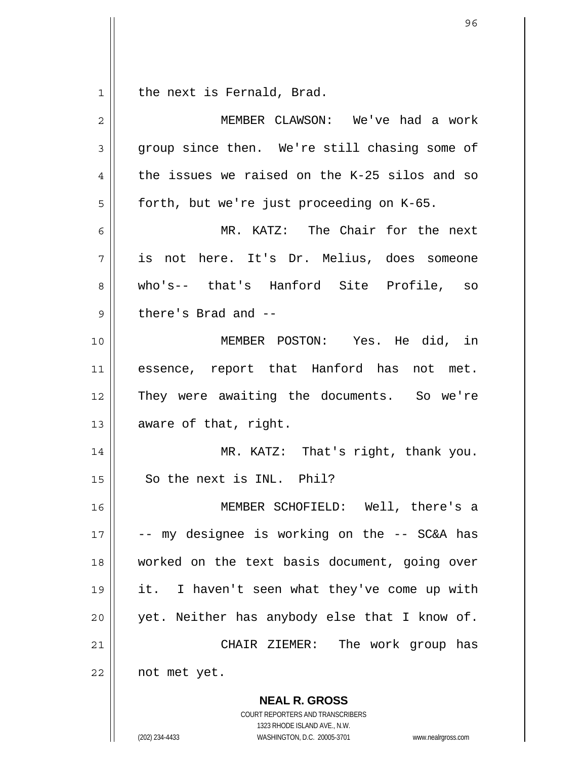1 the next is Fernald, Brad.

| 2  | MEMBER CLAWSON: We've had a work                         |
|----|----------------------------------------------------------|
| 3  | group since then. We're still chasing some of            |
| 4  | the issues we raised on the K-25 silos and so            |
| 5  | forth, but we're just proceeding on K-65.                |
| 6  | MR. KATZ: The Chair for the next                         |
| 7  | is not here. It's Dr. Melius, does someone               |
| 8  | who's-- that's Hanford Site Profile, so                  |
| 9  | there's Brad and --                                      |
| 10 | MEMBER POSTON: Yes. He did, in                           |
| 11 | essence, report that Hanford has not met.                |
| 12 | They were awaiting the documents. So we're               |
| 13 | aware of that, right.                                    |
| 14 | MR. KATZ: That's right, thank you.                       |
| 15 | So the next is INL. Phil?                                |
| 16 | MEMBER SCHOFIELD: Well, there's a                        |
| 17 | - my designee is working on the -- SC&A has              |
| 18 | worked on the text basis document, going over            |
| 19 | it. I haven't seen what they've come up with             |
| 20 | yet. Neither has anybody else that I know of.            |
| 21 | CHAIR ZIEMER: The work group has                         |
| 22 | not met yet.                                             |
|    | <b>NEAL R. GROSS</b><br>COURT REPORTERS AND TRANSCRIBERS |

1323 RHODE ISLAND AVE., N.W.

96

 $\prod$ 

(202) 234-4433 WASHINGTON, D.C. 20005-3701 www.nealrgross.com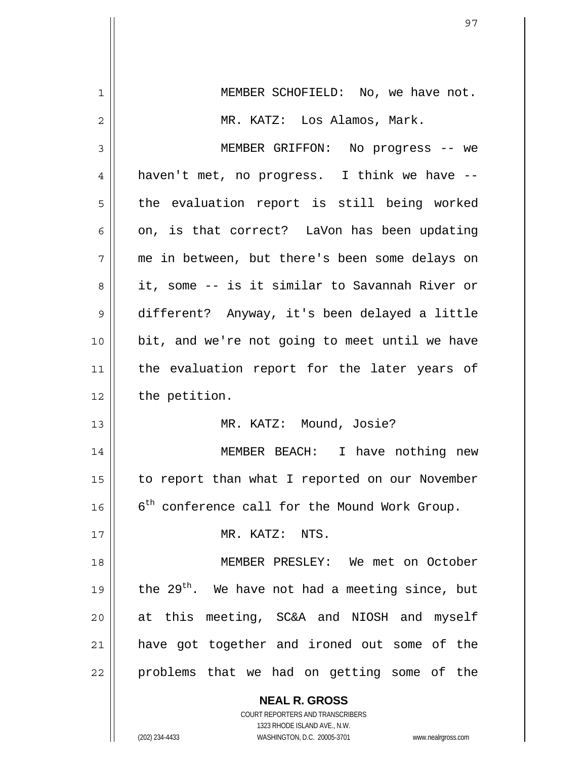| 1  | MEMBER SCHOFIELD: No, we have not.                          |
|----|-------------------------------------------------------------|
| 2  | MR. KATZ: Los Alamos, Mark.                                 |
| 3  | MEMBER GRIFFON: No progress -- we                           |
| 4  | haven't met, no progress. I think we have --                |
| 5  | the evaluation report is still being worked                 |
| 6  | on, is that correct? LaVon has been updating                |
| 7  | me in between, but there's been some delays on              |
| 8  | it, some -- is it similar to Savannah River or              |
| 9  | different? Anyway, it's been delayed a little               |
| 10 | bit, and we're not going to meet until we have              |
| 11 | the evaluation report for the later years of                |
| 12 | the petition.                                               |
| 13 | MR. KATZ: Mound, Josie?                                     |
| 14 | MEMBER BEACH: I have nothing new                            |
| 15 | to report than what I reported on our November              |
| 16 | 6 <sup>th</sup> conference call for the Mound Work Group.   |
| 17 | MR. KATZ: NTS.                                              |
| 18 | MEMBER PRESLEY: We met on October                           |
| 19 | the 29 <sup>th</sup> . We have not had a meeting since, but |
| 20 | at this meeting, SC&A and NIOSH and myself                  |
| 21 | have got together and ironed out some of the                |
| 22 | problems that we had on getting some of the                 |
|    | <b>NEAL R. GROSS</b><br>COURT REPORTERS AND TRANSCRIBERS    |

1323 RHODE ISLAND AVE., N.W.

 $\prod$ 

(202) 234-4433 WASHINGTON, D.C. 20005-3701 www.nealrgross.com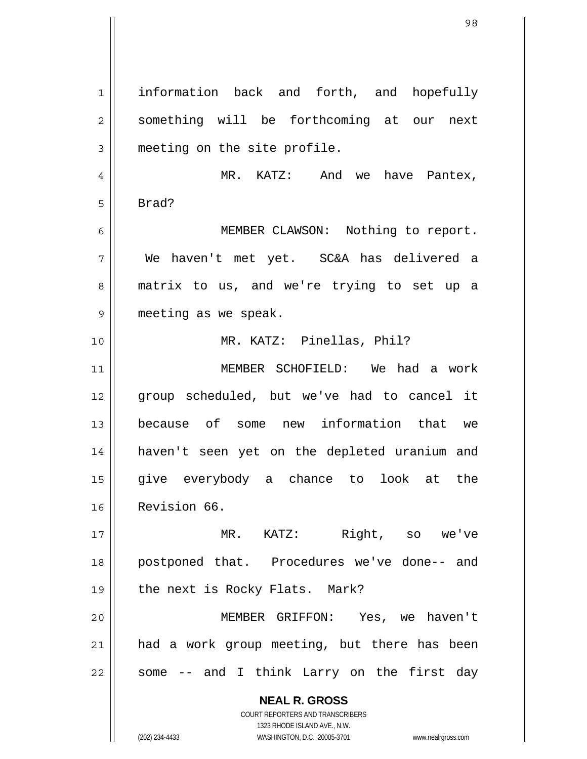**NEAL R. GROSS** COURT REPORTERS AND TRANSCRIBERS 1323 RHODE ISLAND AVE., N.W. 1 2 3 4 5 6 7 8 9 10 11 12 13 14 15 16 17 18 19 20 21 22 information back and forth, and hopefully something will be forthcoming at our next meeting on the site profile. MR. KATZ: And we have Pantex, Brad? MEMBER CLAWSON: Nothing to report. We haven't met yet. SC&A has delivered a matrix to us, and we're trying to set up a meeting as we speak. MR. KATZ: Pinellas, Phil? MEMBER SCHOFIELD: We had a work group scheduled, but we've had to cancel it because of some new information that we haven't seen yet on the depleted uranium and give everybody a chance to look at the Revision 66. MR. KATZ: Right, so we've postponed that. Procedures we've done-- and the next is Rocky Flats. Mark? MEMBER GRIFFON: Yes, we haven't had a work group meeting, but there has been some -- and I think Larry on the first day

(202) 234-4433 WASHINGTON, D.C. 20005-3701 www.nealrgross.com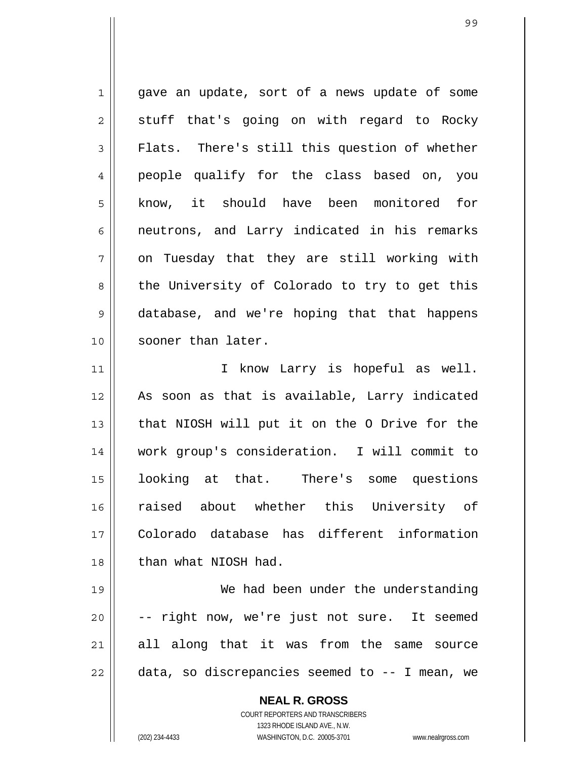1 2 3 4 5 6 7 8 9 10 11 gave an update, sort of a news update of some stuff that's going on with regard to Rocky Flats. There's still this question of whether people qualify for the class based on, you know, it should have been monitored for neutrons, and Larry indicated in his remarks on Tuesday that they are still working with the University of Colorado to try to get this database, and we're hoping that that happens sooner than later. I know Larry is hopeful as well.

12 13 14 15 16 17 18 As soon as that is available, Larry indicated that NIOSH will put it on the O Drive for the work group's consideration. I will commit to looking at that. There's some questions raised about whether this University of Colorado database has different information than what NIOSH had.

19 20 21 22 We had been under the understanding -- right now, we're just not sure. It seemed all along that it was from the same source data, so discrepancies seemed to -- I mean, we

> **NEAL R. GROSS** COURT REPORTERS AND TRANSCRIBERS 1323 RHODE ISLAND AVE., N.W. (202) 234-4433 WASHINGTON, D.C. 20005-3701 www.nealrgross.com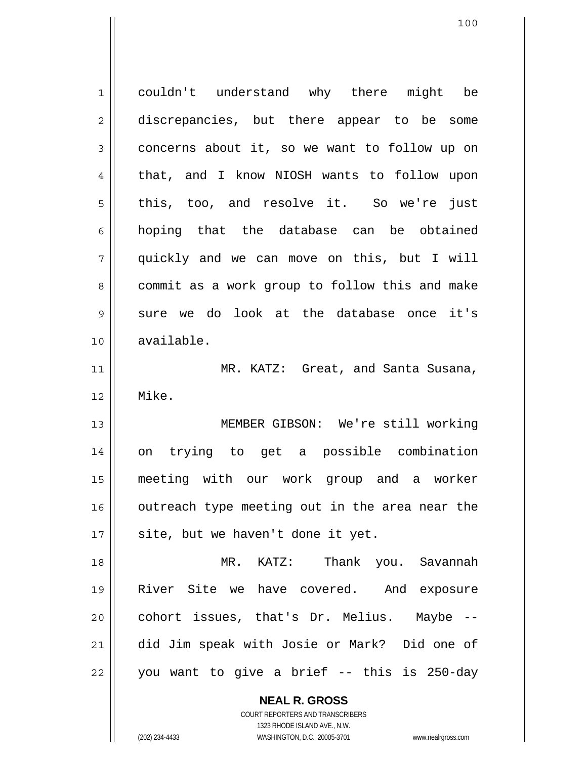1 2 3 4 5 6 7 8 9 10 11 12 13 14 15 16 17 18 19 20 21 22 couldn't understand why there might be discrepancies, but there appear to be some concerns about it, so we want to follow up on that, and I know NIOSH wants to follow upon this, too, and resolve it. So we're just hoping that the database can be obtained quickly and we can move on this, but I will commit as a work group to follow this and make sure we do look at the database once it's available. MR. KATZ: Great, and Santa Susana, Mike. MEMBER GIBSON: We're still working on trying to get a possible combination meeting with our work group and a worker outreach type meeting out in the area near the site, but we haven't done it yet. MR. KATZ: Thank you. Savannah River Site we have covered. And exposure cohort issues, that's Dr. Melius. Maybe - did Jim speak with Josie or Mark? Did one of you want to give a brief -- this is 250-day

> **NEAL R. GROSS** COURT REPORTERS AND TRANSCRIBERS

1323 RHODE ISLAND AVE., N.W. (202) 234-4433 WASHINGTON, D.C. 20005-3701 www.nealrgross.com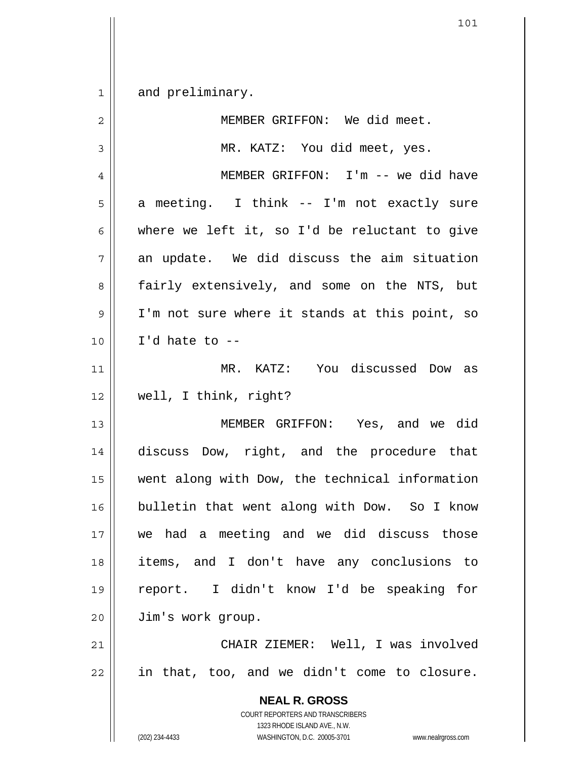1 and preliminary.

| $\overline{2}$ | MEMBER GRIFFON: We did meet.                                                                                                                                    |
|----------------|-----------------------------------------------------------------------------------------------------------------------------------------------------------------|
| 3              | MR. KATZ: You did meet, yes.                                                                                                                                    |
| $\overline{4}$ | MEMBER GRIFFON: I'm -- we did have                                                                                                                              |
| 5              | a meeting. I think -- I'm not exactly sure                                                                                                                      |
| 6              | where we left it, so I'd be reluctant to give                                                                                                                   |
| 7              | an update. We did discuss the aim situation                                                                                                                     |
| 8              | fairly extensively, and some on the NTS, but                                                                                                                    |
| $\mathsf 9$    | I'm not sure where it stands at this point, so                                                                                                                  |
| 10             | I'd hate to $-$ -                                                                                                                                               |
| 11             | MR. KATZ: You discussed Dow as                                                                                                                                  |
| 12             | well, I think, right?                                                                                                                                           |
| 13             | MEMBER GRIFFON: Yes, and we did                                                                                                                                 |
| 14             | discuss Dow, right, and the procedure that                                                                                                                      |
| 15             | went along with Dow, the technical information                                                                                                                  |
| 16             | bulletin that went along with Dow. So I know                                                                                                                    |
| 17             | we had a meeting and we did discuss those                                                                                                                       |
| 18             | items, and I don't have any conclusions to                                                                                                                      |
| 19             | I didn't know I'd be speaking for<br>report.                                                                                                                    |
| 20             | Jim's work group.                                                                                                                                               |
| 21             | CHAIR ZIEMER: Well, I was involved                                                                                                                              |
| 22             | in that, too, and we didn't come to closure.                                                                                                                    |
|                | <b>NEAL R. GROSS</b><br>COURT REPORTERS AND TRANSCRIBERS<br>1323 RHODE ISLAND AVE., N.W.<br>(202) 234-4433<br>WASHINGTON, D.C. 20005-3701<br>www.nealrgross.com |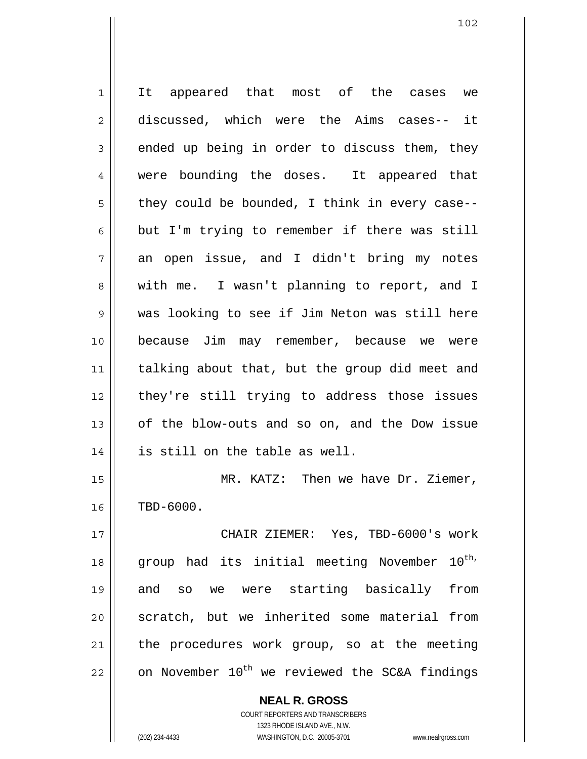1 2 3 4 5 6 7 8 9 10 11 12 13 14 15 16 17 18 19 20 21 22 It appeared that most of the cases we discussed, which were the Aims cases-- it ended up being in order to discuss them, they were bounding the doses. It appeared that they could be bounded, I think in every case- but I'm trying to remember if there was still an open issue, and I didn't bring my notes with me. I wasn't planning to report, and I was looking to see if Jim Neton was still here because Jim may remember, because we were talking about that, but the group did meet and they're still trying to address those issues of the blow-outs and so on, and the Dow issue is still on the table as well. MR. KATZ: Then we have Dr. Ziemer, TBD-6000. CHAIR ZIEMER: Yes, TBD-6000's work group had its initial meeting November 10<sup>th,</sup> and so we were starting basically from scratch, but we inherited some material from the procedures work group, so at the meeting on November  $10^{th}$  we reviewed the SC&A findings

> **NEAL R. GROSS** COURT REPORTERS AND TRANSCRIBERS 1323 RHODE ISLAND AVE., N.W. (202) 234-4433 WASHINGTON, D.C. 20005-3701 www.nealrgross.com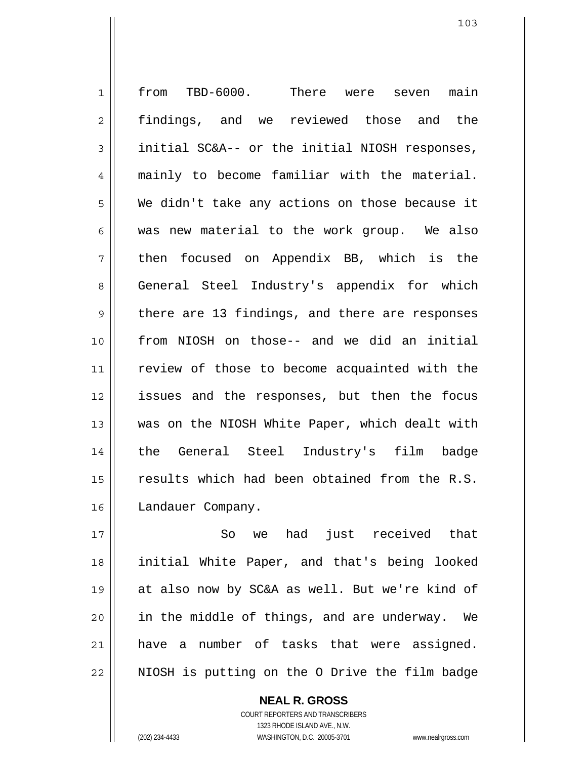1 2 3 4 5 6 7 8 9 10 11 12 13 14 15 16 from TBD-6000. There were seven main findings, and we reviewed those and the initial SC&A-- or the initial NIOSH responses, mainly to become familiar with the material. We didn't take any actions on those because it was new material to the work group. We also then focused on Appendix BB, which is the General Steel Industry's appendix for which there are 13 findings, and there are responses from NIOSH on those-- and we did an initial review of those to become acquainted with the issues and the responses, but then the focus was on the NIOSH White Paper, which dealt with the General Steel Industry's film badge results which had been obtained from the R.S. Landauer Company.

17 18 19 20 21 22 So we had just received that initial White Paper, and that's being looked at also now by SC&A as well. But we're kind of in the middle of things, and are underway. We have a number of tasks that were assigned. NIOSH is putting on the O Drive the film badge

> COURT REPORTERS AND TRANSCRIBERS 1323 RHODE ISLAND AVE., N.W. (202) 234-4433 WASHINGTON, D.C. 20005-3701 www.nealrgross.com

**NEAL R. GROSS**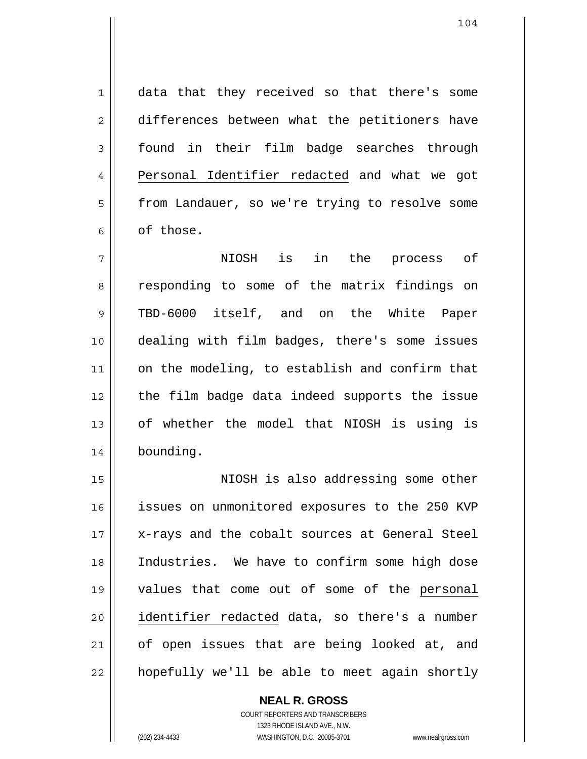1 2 3 data that they received so that there's some differences between what the petitioners have found in their film badge searches through Personal Identifier redacted and what we got from Landauer, so we're trying to resolve some of those. 4 5 6

7 8 9 10 11 12 13 14 NIOSH is in the process of responding to some of the matrix findings on TBD-6000 itself, and on the White Paper dealing with film badges, there's some issues on the modeling, to establish and confirm that the film badge data indeed supports the issue of whether the model that NIOSH is using is bounding.

15 16 17 18 NIOSH is also addressing some other issues on unmonitored exposures to the 250 KVP x-rays and the cobalt sources at General Steel Industries. We have to confirm some high dose 19 values that come out of some of the personal identifier redacted data, so there's a number of open issues that are being looked at, and hopefully we'll be able to meet again shortly 20 21 22

> **NEAL R. GROSS** COURT REPORTERS AND TRANSCRIBERS 1323 RHODE ISLAND AVE., N.W. (202) 234-4433 WASHINGTON, D.C. 20005-3701 www.nealrgross.com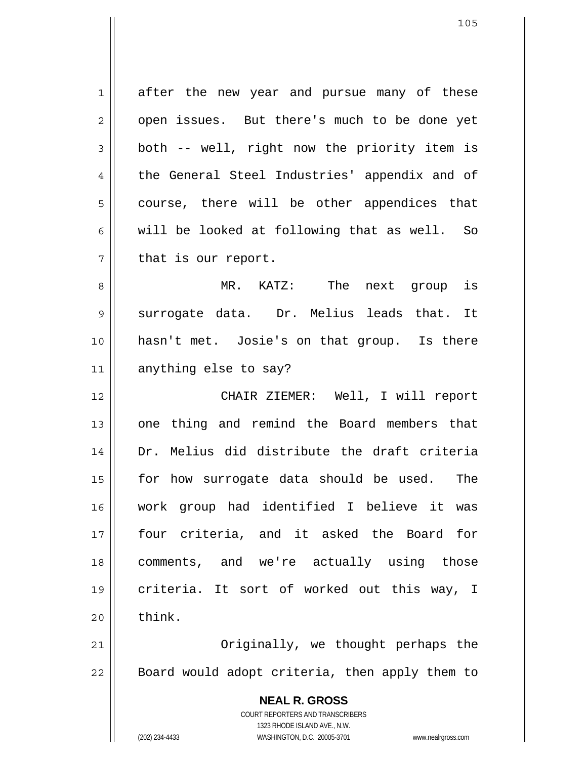1 2 3 4 5 6 7 after the new year and pursue many of these open issues. But there's much to be done yet both -- well, right now the priority item is the General Steel Industries' appendix and of course, there will be other appendices that will be looked at following that as well. So that is our report.

8 9 10 11 MR. KATZ: The next group is surrogate data. Dr. Melius leads that. It hasn't met. Josie's on that group. Is there anything else to say?

12 13 14 15 16 17 18 19 20 CHAIR ZIEMER: Well, I will report one thing and remind the Board members that Dr. Melius did distribute the draft criteria for how surrogate data should be used. The work group had identified I believe it was four criteria, and it asked the Board for comments, and we're actually using those criteria. It sort of worked out this way, I think.

21 22 Originally, we thought perhaps the Board would adopt criteria, then apply them to

> **NEAL R. GROSS** COURT REPORTERS AND TRANSCRIBERS 1323 RHODE ISLAND AVE., N.W. (202) 234-4433 WASHINGTON, D.C. 20005-3701 www.nealrgross.com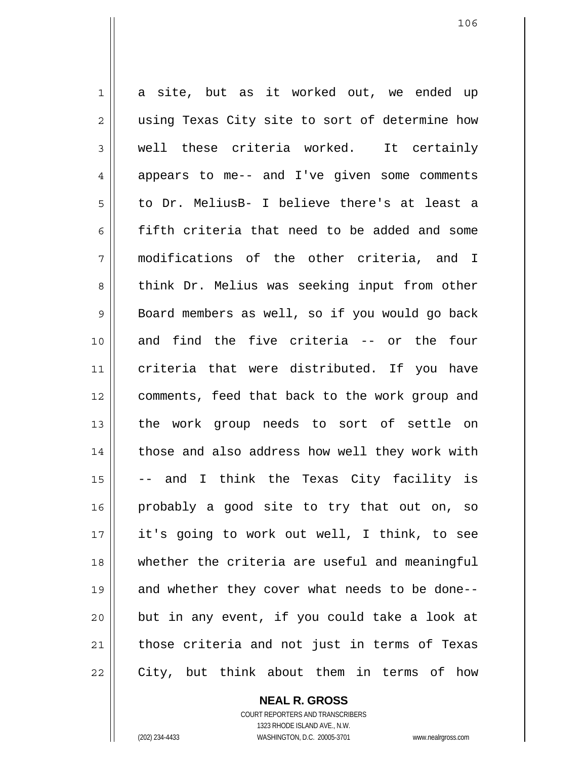1 2 3 4 5 6 7 8 9 10 11 12 13 14 15 16 17 18 19 20 21 22 a site, but as it worked out, we ended up using Texas City site to sort of determine how well these criteria worked. It certainly appears to me-- and I've given some comments to Dr. MeliusB- I believe there's at least a fifth criteria that need to be added and some modifications of the other criteria, and I think Dr. Melius was seeking input from other Board members as well, so if you would go back and find the five criteria -- or the four criteria that were distributed. If you have comments, feed that back to the work group and the work group needs to sort of settle on those and also address how well they work with and I think the Texas City facility is probably a good site to try that out on, so it's going to work out well, I think, to see whether the criteria are useful and meaningful and whether they cover what needs to be done- but in any event, if you could take a look at those criteria and not just in terms of Texas City, but think about them in terms of how

**NEAL R. GROSS**

COURT REPORTERS AND TRANSCRIBERS 1323 RHODE ISLAND AVE., N.W. (202) 234-4433 WASHINGTON, D.C. 20005-3701 www.nealrgross.com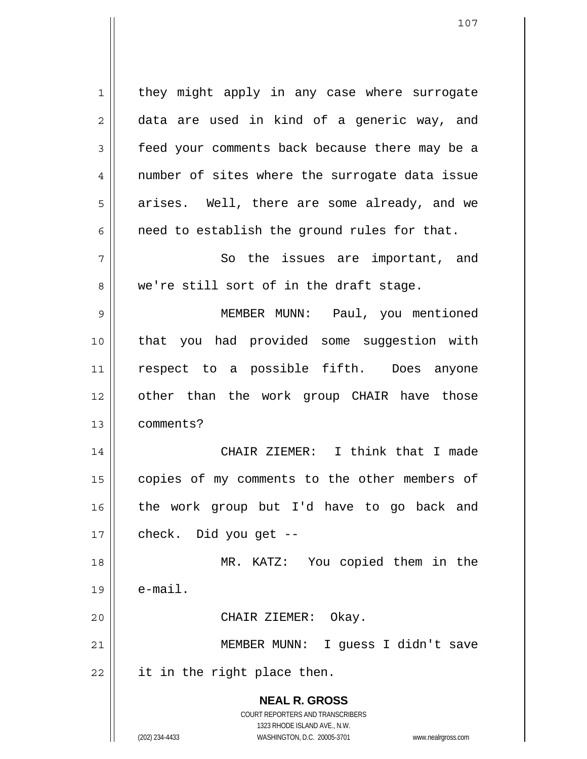**NEAL R. GROSS** COURT REPORTERS AND TRANSCRIBERS 1323 RHODE ISLAND AVE., N.W. (202) 234-4433 WASHINGTON, D.C. 20005-3701 www.nealrgross.com 1 2 3 4 5 6 7 8 9 10 11 12 13 14 15 16 17 18 19 20 21 22 they might apply in any case where surrogate data are used in kind of a generic way, and feed your comments back because there may be a number of sites where the surrogate data issue arises. Well, there are some already, and we need to establish the ground rules for that. So the issues are important, and we're still sort of in the draft stage. MEMBER MUNN: Paul, you mentioned that you had provided some suggestion with respect to a possible fifth. Does anyone other than the work group CHAIR have those comments? CHAIR ZIEMER: I think that I made copies of my comments to the other members of the work group but I'd have to go back and check. Did you get -- MR. KATZ: You copied them in the e-mail. CHAIR ZIEMER: Okay. MEMBER MUNN: I guess I didn't save it in the right place then.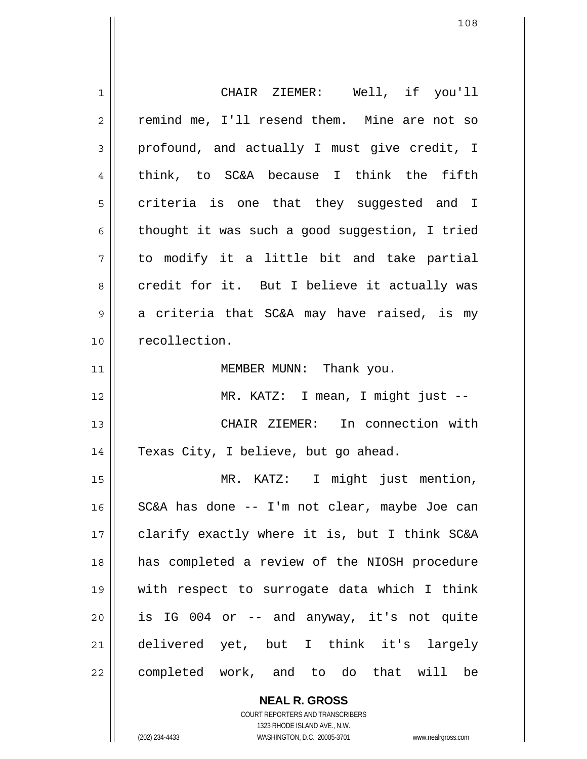| $\mathbf 1$  | CHAIR ZIEMER: Well, if you'll                  |
|--------------|------------------------------------------------|
| $\mathbf{2}$ | remind me, I'll resend them. Mine are not so   |
| $\mathsf 3$  | profound, and actually I must give credit, I   |
| 4            | think, to SC&A because I think the fifth       |
| 5            | criteria is one that they suggested and I      |
| 6            | thought it was such a good suggestion, I tried |
| 7            | to modify it a little bit and take partial     |
| 8            | credit for it. But I believe it actually was   |
| 9            | a criteria that SC&A may have raised, is my    |
| 10           | recollection.                                  |
| 11           | MEMBER MUNN: Thank you.                        |
|              |                                                |
| 12           | MR. KATZ: I mean, I might just --              |
| 13           | CHAIR ZIEMER: In connection with               |
| 14           | Texas City, I believe, but go ahead.           |
| 15           | MR. KATZ: I might just mention,                |
| 16           | SC&A has done -- I'm not clear, maybe Joe can  |
| 17           | clarify exactly where it is, but I think SC&A  |
| 18           | has completed a review of the NIOSH procedure  |
| 19           | with respect to surrogate data which I think   |
| 20           | is IG 004 or -- and anyway, it's not quite     |
| 21           | delivered yet, but I think it's largely        |

**NEAL R. GROSS** COURT REPORTERS AND TRANSCRIBERS 1323 RHODE ISLAND AVE., N.W.

 $\mathsf{II}$ 

(202) 234-4433 WASHINGTON, D.C. 20005-3701 www.nealrgross.com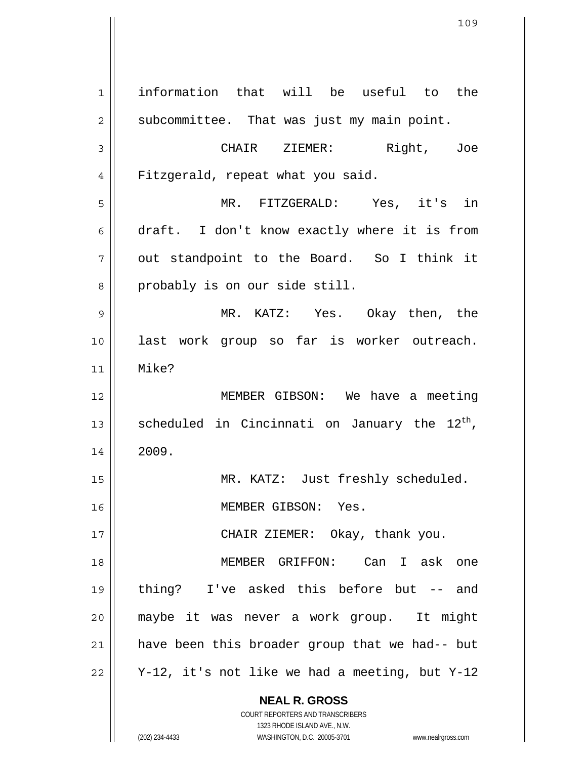**NEAL R. GROSS** COURT REPORTERS AND TRANSCRIBERS 1323 RHODE ISLAND AVE., N.W. 1 2 3 4 5 6 7 8 9 10 11 12 13 14 15 16 17 18 19 20 21 22 information that will be useful to the subcommittee. That was just my main point. CHAIR ZIEMER: Right, Joe Fitzgerald, repeat what you said. MR. FITZGERALD: Yes, it's in draft. I don't know exactly where it is from out standpoint to the Board. So I think it probably is on our side still. MR. KATZ: Yes. Okay then, the last work group so far is worker outreach. Mike? MEMBER GIBSON: We have a meeting scheduled in Cincinnati on January the  $12^{th}$ , 2009. MR. KATZ: Just freshly scheduled. MEMBER GIBSON: Yes. CHAIR ZIEMER: Okay, thank you. MEMBER GRIFFON: Can I ask one thing? I've asked this before but -- and maybe it was never a work group. It might have been this broader group that we had-- but Y-12, it's not like we had a meeting, but Y-12

(202) 234-4433 WASHINGTON, D.C. 20005-3701 www.nealrgross.com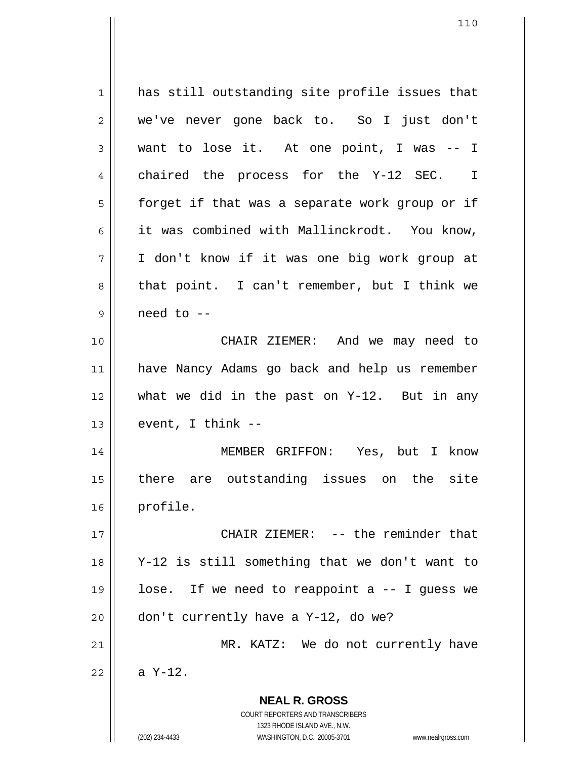**NEAL R. GROSS** COURT REPORTERS AND TRANSCRIBERS 1323 RHODE ISLAND AVE., N.W. 1 2 3 4 5 6 7 8 9 10 11 12 13 14 15 16 17 18 19 20 21 22 has still outstanding site profile issues that we've never gone back to. So I just don't want to lose it. At one point, I was -- I chaired the process for the Y-12 SEC. I forget if that was a separate work group or if it was combined with Mallinckrodt. You know, I don't know if it was one big work group at that point. I can't remember, but I think we need to -- CHAIR ZIEMER: And we may need to have Nancy Adams go back and help us remember what we did in the past on Y-12. But in any event, I think -- MEMBER GRIFFON: Yes, but I know there are outstanding issues on the site profile. CHAIR ZIEMER: -- the reminder that Y-12 is still something that we don't want to lose. If we need to reappoint a -- I guess we don't currently have a Y-12, do we? MR. KATZ: We do not currently have a Y-12.

(202) 234-4433 WASHINGTON, D.C. 20005-3701 www.nealrgross.com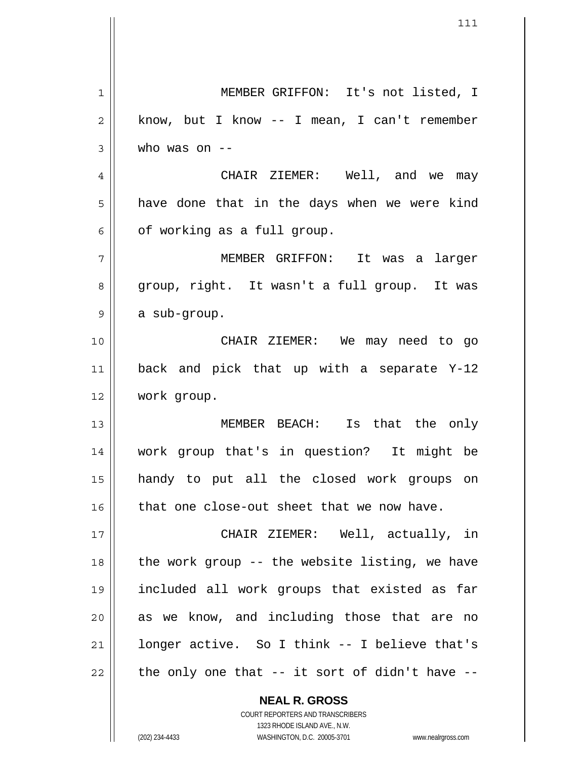1 2 3 4 5 6 7 8 9 10 11 12 13 14 15 16 17 18 19 20 21 22 MEMBER GRIFFON: It's not listed, I know, but I know -- I mean, I can't remember who was on -- CHAIR ZIEMER: Well, and we may have done that in the days when we were kind of working as a full group. MEMBER GRIFFON: It was a larger group, right. It wasn't a full group. It was a sub-group. CHAIR ZIEMER: We may need to go back and pick that up with a separate Y-12 work group. MEMBER BEACH: Is that the only work group that's in question? It might be handy to put all the closed work groups on that one close-out sheet that we now have. CHAIR ZIEMER: Well, actually, in the work group -- the website listing, we have included all work groups that existed as far as we know, and including those that are no longer active. So I think -- I believe that's the only one that -- it sort of didn't have --

> COURT REPORTERS AND TRANSCRIBERS 1323 RHODE ISLAND AVE., N.W. (202) 234-4433 WASHINGTON, D.C. 20005-3701 www.nealrgross.com

**NEAL R. GROSS**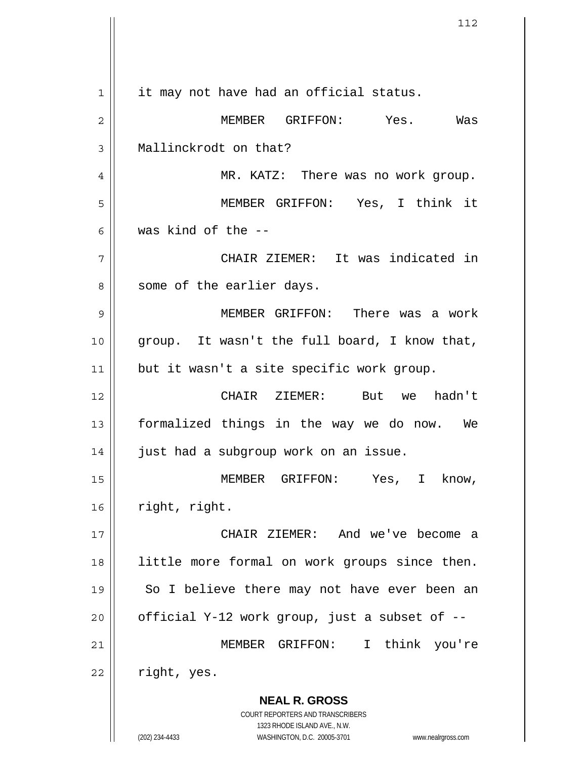**NEAL R. GROSS** COURT REPORTERS AND TRANSCRIBERS 1323 RHODE ISLAND AVE., N.W. 1 2 3 4 5 6 7 8 9 10 11 12 13 14 15 16 17 18 19 20 21 22 it may not have had an official status. MEMBER GRIFFON: Yes. Was Mallinckrodt on that? MR. KATZ: There was no work group. MEMBER GRIFFON: Yes, I think it was kind of the -- CHAIR ZIEMER: It was indicated in some of the earlier days. MEMBER GRIFFON: There was a work group. It wasn't the full board, I know that, but it wasn't a site specific work group. CHAIR ZIEMER: But we hadn't formalized things in the way we do now. We just had a subgroup work on an issue. MEMBER GRIFFON: Yes, I know, right, right. CHAIR ZIEMER: And we've become a little more formal on work groups since then. So I believe there may not have ever been an official Y-12 work group, just a subset of -- MEMBER GRIFFON: I think you're right, yes.

(202) 234-4433 WASHINGTON, D.C. 20005-3701 www.nealrgross.com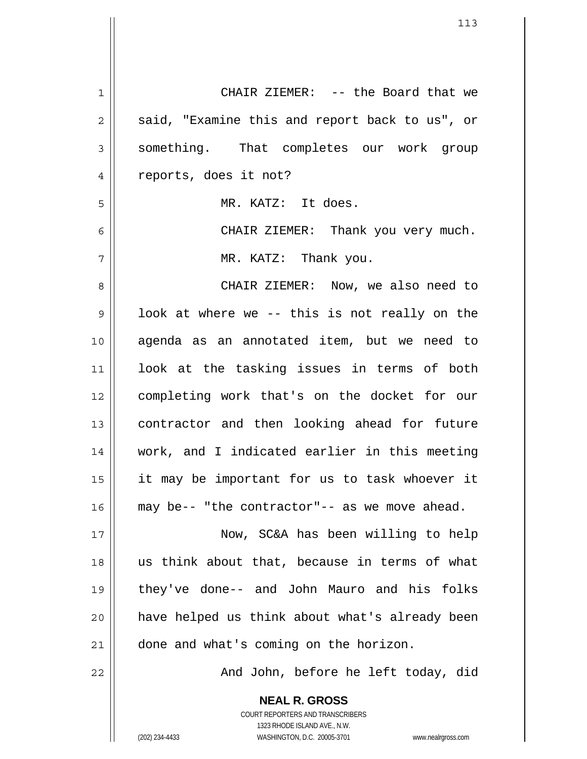| $\mathbf 1$    | CHAIR ZIEMER: -- the Board that we                                                                  |
|----------------|-----------------------------------------------------------------------------------------------------|
| $\overline{c}$ | said, "Examine this and report back to us", or                                                      |
| 3              | something. That completes our work group                                                            |
| 4              | reports, does it not?                                                                               |
| 5              | MR. KATZ: It does.                                                                                  |
| 6              | CHAIR ZIEMER: Thank you very much.                                                                  |
| 7              | MR. KATZ: Thank you.                                                                                |
| 8              | CHAIR ZIEMER: Now, we also need to                                                                  |
| $\mathsf 9$    | look at where we -- this is not really on the                                                       |
| 10             | agenda as an annotated item, but we need to                                                         |
| 11             | look at the tasking issues in terms of both                                                         |
| 12             | completing work that's on the docket for our                                                        |
| 13             | contractor and then looking ahead for future                                                        |
| 14             | work, and I indicated earlier in this meeting                                                       |
| 15             | it may be important for us to task whoever it                                                       |
| 16             | may be-- "the contractor"-- as we move ahead.                                                       |
| 17             | Now, SC&A has been willing to help                                                                  |
| 18             | us think about that, because in terms of what                                                       |
| 19             | they've done-- and John Mauro and his folks                                                         |
| 20             | have helped us think about what's already been                                                      |
| 21             | done and what's coming on the horizon.                                                              |
| 22             | And John, before he left today, did                                                                 |
|                | <b>NEAL R. GROSS</b>                                                                                |
|                | COURT REPORTERS AND TRANSCRIBERS                                                                    |
|                | 1323 RHODE ISLAND AVE., N.W.<br>(202) 234-4433<br>WASHINGTON, D.C. 20005-3701<br>www.nealrgross.com |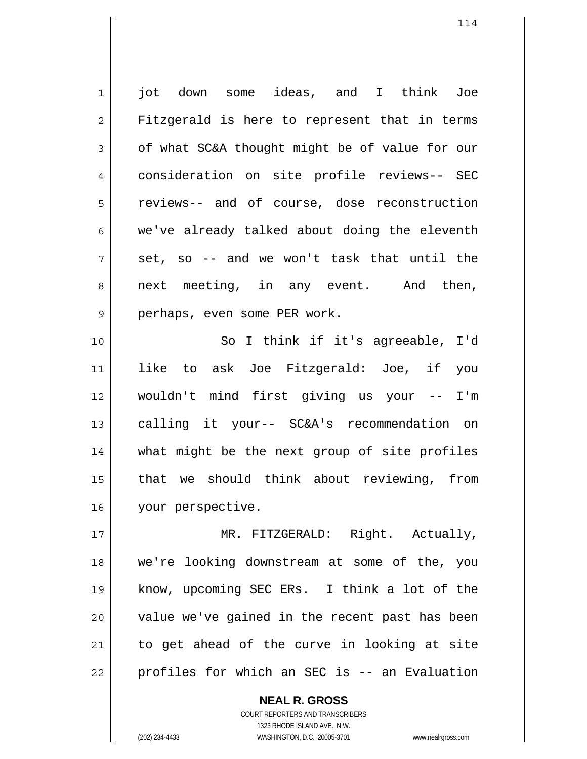1 2 3 4 5 6 7 8 9 10 11 12 13 14 15 jot down some ideas, and I think Joe Fitzgerald is here to represent that in terms of what SC&A thought might be of value for our consideration on site profile reviews-- SEC reviews-- and of course, dose reconstruction we've already talked about doing the eleventh set, so -- and we won't task that until the next meeting, in any event. And then, perhaps, even some PER work. So I think if it's agreeable, I'd like to ask Joe Fitzgerald: Joe, if you wouldn't mind first giving us your -- I'm calling it your-- SC&A's recommendation on what might be the next group of site profiles that we should think about reviewing, from

16 your perspective.

17 18 19 20 21 22 MR. FITZGERALD: Right. Actually, we're looking downstream at some of the, you know, upcoming SEC ERs. I think a lot of the value we've gained in the recent past has been to get ahead of the curve in looking at site profiles for which an SEC is -- an Evaluation

> **NEAL R. GROSS** COURT REPORTERS AND TRANSCRIBERS 1323 RHODE ISLAND AVE., N.W. (202) 234-4433 WASHINGTON, D.C. 20005-3701 www.nealrgross.com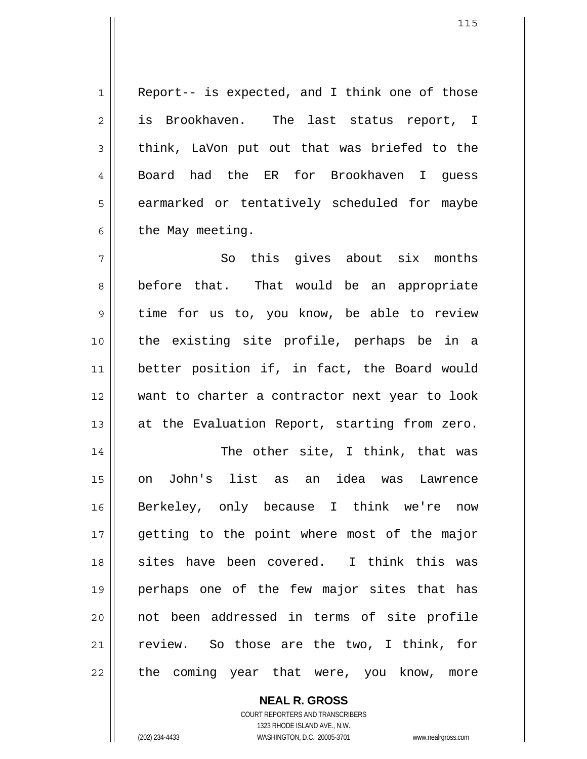1 Report-- is expected, and I think one of those is Brookhaven. The last status report, I think, LaVon put out that was briefed to the Board had the ER for Brookhaven I guess earmarked or tentatively scheduled for maybe the May meeting.

7 8 9 10 11 12 13 So this gives about six months before that. That would be an appropriate time for us to, you know, be able to review the existing site profile, perhaps be in a better position if, in fact, the Board would want to charter a contractor next year to look at the Evaluation Report, starting from zero.

14 15 16 17 18 19 20 21 22 The other site, I think, that was on John's list as an idea was Lawrence Berkeley, only because I think we're now getting to the point where most of the major sites have been covered. I think this was perhaps one of the few major sites that has not been addressed in terms of site profile review. So those are the two, I think, for the coming year that were, you know, more

> **NEAL R. GROSS** COURT REPORTERS AND TRANSCRIBERS 1323 RHODE ISLAND AVE., N.W. (202) 234-4433 WASHINGTON, D.C. 20005-3701 www.nealrgross.com

2

3

4

5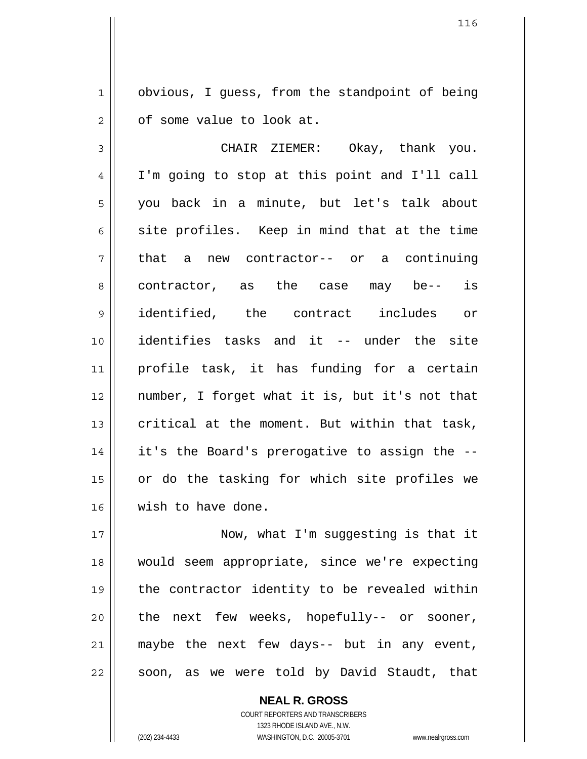1 2 obvious, I guess, from the standpoint of being of some value to look at.

3 4 5 6 7 8 9 10 11 12 13 14 15 16 CHAIR ZIEMER: Okay, thank you. I'm going to stop at this point and I'll call you back in a minute, but let's talk about site profiles. Keep in mind that at the time that a new contractor-- or a continuing contractor, as the case may be-- is identified, the contract includes or identifies tasks and it -- under the site profile task, it has funding for a certain number, I forget what it is, but it's not that critical at the moment. But within that task, it's the Board's prerogative to assign the - or do the tasking for which site profiles we wish to have done.

17 18 19 20 21 22 Now, what I'm suggesting is that it would seem appropriate, since we're expecting the contractor identity to be revealed within the next few weeks, hopefully-- or sooner, maybe the next few days-- but in any event, soon, as we were told by David Staudt, that

> **NEAL R. GROSS** COURT REPORTERS AND TRANSCRIBERS 1323 RHODE ISLAND AVE., N.W. (202) 234-4433 WASHINGTON, D.C. 20005-3701 www.nealrgross.com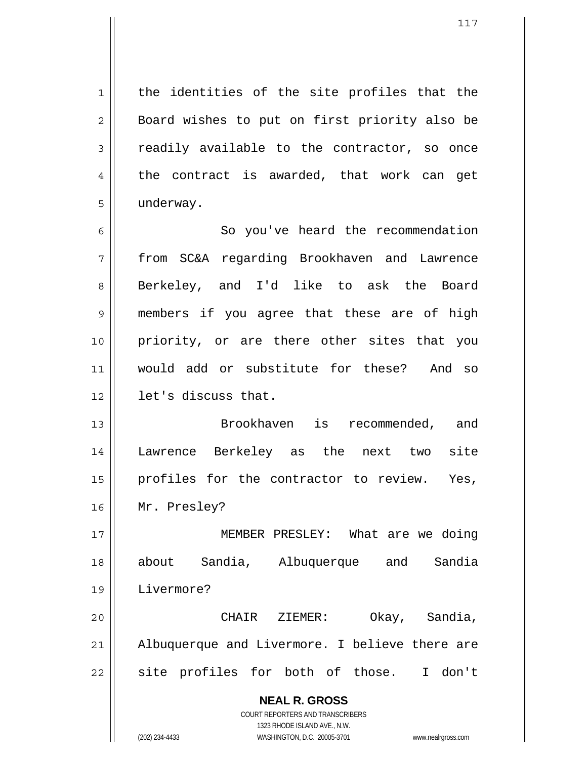the identities of the site profiles that the Board wishes to put on first priority also be readily available to the contractor, so once the contract is awarded, that work can get underway.

6 7 8 9 10 11 12 So you've heard the recommendation from SC&A regarding Brookhaven and Lawrence Berkeley, and I'd like to ask the Board members if you agree that these are of high priority, or are there other sites that you would add or substitute for these? And so let's discuss that.

13 14 15 16 Brookhaven is recommended, and Lawrence Berkeley as the next two site profiles for the contractor to review. Yes, Mr. Presley?

17 18 19 MEMBER PRESLEY: What are we doing about Sandia, Albuquerque and Sandia Livermore?

20 21 22 CHAIR ZIEMER: Okay, Sandia, Albuquerque and Livermore. I believe there are site profiles for both of those. I don't

> **NEAL R. GROSS** COURT REPORTERS AND TRANSCRIBERS 1323 RHODE ISLAND AVE., N.W.

1

2

3

4

5

(202) 234-4433 WASHINGTON, D.C. 20005-3701 www.nealrgross.com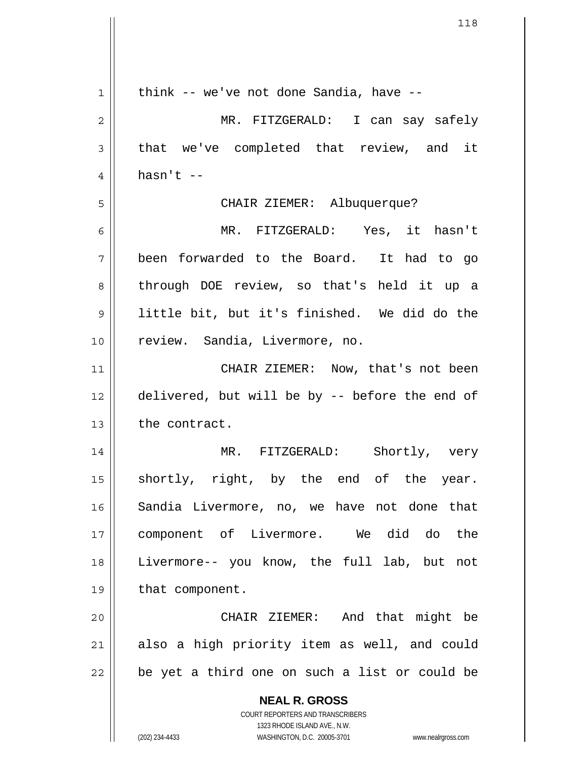| 1  | think -- we've not done Sandia, have --                             |
|----|---------------------------------------------------------------------|
| 2  | MR. FITZGERALD: I can say safely                                    |
| 3  | that we've completed that review, and it                            |
| 4  | $hasn't --$                                                         |
| 5  | CHAIR ZIEMER: Albuquerque?                                          |
| 6  | MR. FITZGERALD: Yes, it hasn't                                      |
| 7  | been forwarded to the Board. It had to go                           |
| 8  | through DOE review, so that's held it up a                          |
| 9  | little bit, but it's finished. We did do the                        |
| 10 | review. Sandia, Livermore, no.                                      |
| 11 | CHAIR ZIEMER: Now, that's not been                                  |
| 12 | delivered, but will be by -- before the end of                      |
| 13 | the contract.                                                       |
| 14 | MR. FITZGERALD: Shortly, very                                       |
| 15 | shortly, right, by the end of the year.                             |
| 16 | Sandia Livermore, no, we have not done that                         |
| 17 | component of Livermore. We did do the                               |
| 18 | Livermore-- you know, the full lab, but not                         |
| 19 | that component.                                                     |
| 20 | CHAIR ZIEMER: And that might be                                     |
| 21 | also a high priority item as well, and could                        |
| 22 | be yet a third one on such a list or could be                       |
|    | <b>NEAL R. GROSS</b>                                                |
|    | COURT REPORTERS AND TRANSCRIBERS<br>1323 RHODE ISLAND AVE., N.W.    |
|    | (202) 234-4433<br>WASHINGTON, D.C. 20005-3701<br>www.nealrgross.com |

 $\overline{\phantom{a}}$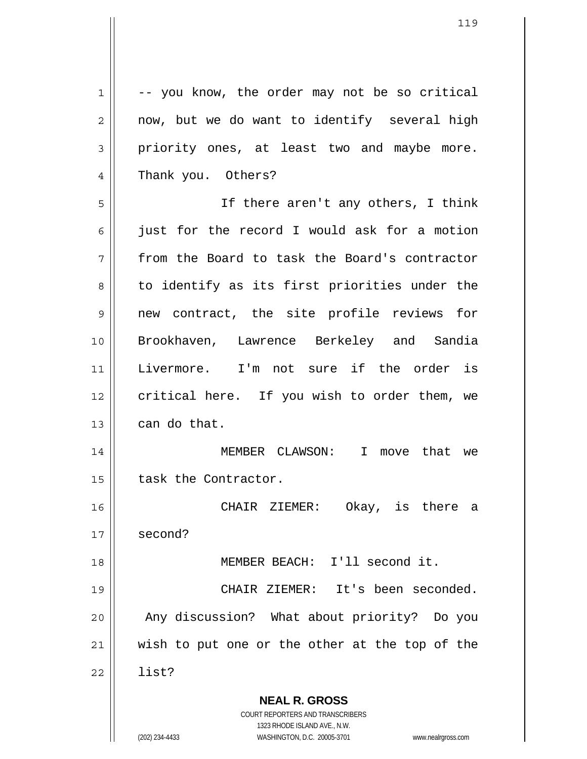**NEAL R. GROSS** COURT REPORTERS AND TRANSCRIBERS 1323 RHODE ISLAND AVE., N.W. 1 2 3 4 5 6 7 8 9 10 11 12 13 14 15 16 17 18 19 20 21 22 -- you know, the order may not be so critical now, but we do want to identify several high priority ones, at least two and maybe more. Thank you. Others? If there aren't any others, I think just for the record I would ask for a motion from the Board to task the Board's contractor to identify as its first priorities under the new contract, the site profile reviews for Brookhaven, Lawrence Berkeley and Sandia Livermore. I'm not sure if the order is critical here. If you wish to order them, we can do that. MEMBER CLAWSON: I move that we task the Contractor. CHAIR ZIEMER: Okay, is there a second? MEMBER BEACH: I'll second it. CHAIR ZIEMER: It's been seconded. Any discussion? What about priority? Do you wish to put one or the other at the top of the list?

(202) 234-4433 WASHINGTON, D.C. 20005-3701 www.nealrgross.com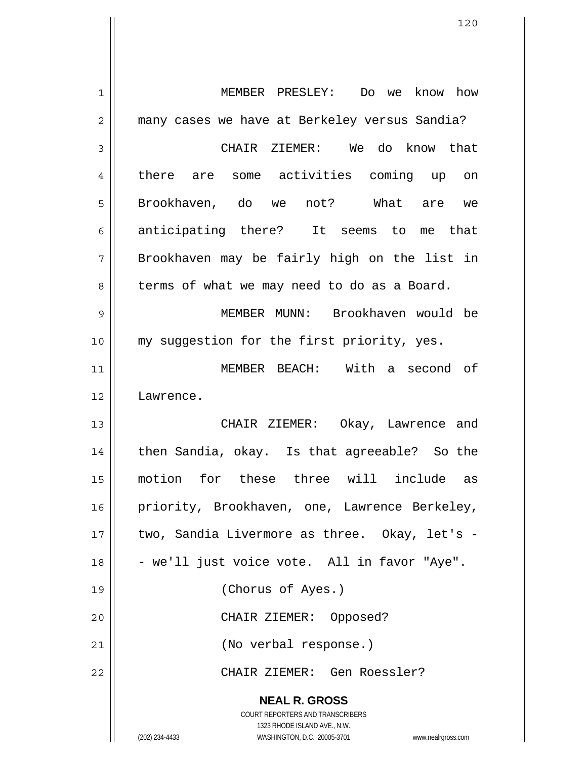**NEAL R. GROSS** COURT REPORTERS AND TRANSCRIBERS 1323 RHODE ISLAND AVE., N.W. (202) 234-4433 WASHINGTON, D.C. 20005-3701 www.nealrgross.com 1 2 3 4 5 6 7 8 9 10 11 12 13 14 15 16 17 18 19 20 21 22 MEMBER PRESLEY: Do we know how many cases we have at Berkeley versus Sandia? CHAIR ZIEMER: We do know that there are some activities coming up on Brookhaven, do we not? What are we anticipating there? It seems to me that Brookhaven may be fairly high on the list in terms of what we may need to do as a Board. MEMBER MUNN: Brookhaven would be my suggestion for the first priority, yes. MEMBER BEACH: With a second of Lawrence. CHAIR ZIEMER: Okay, Lawrence and then Sandia, okay. Is that agreeable? So the motion for these three will include as priority, Brookhaven, one, Lawrence Berkeley, two, Sandia Livermore as three. Okay, let's - - we'll just voice vote. All in favor "Aye". (Chorus of Ayes.) CHAIR ZIEMER: Opposed? (No verbal response.) CHAIR ZIEMER: Gen Roessler?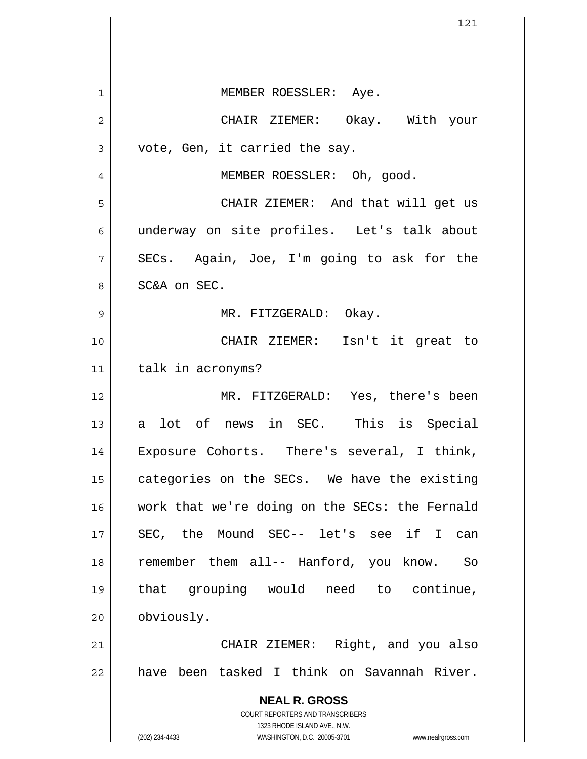**NEAL R. GROSS** COURT REPORTERS AND TRANSCRIBERS 1323 RHODE ISLAND AVE., N.W. (202) 234-4433 WASHINGTON, D.C. 20005-3701 www.nealrgross.com 1 2 3 4 5 6 7 8 9 10 11 12 13 14 15 16 17 18 19 20 21 22 MEMBER ROESSLER: Aye. CHAIR ZIEMER: Okay. With your vote, Gen, it carried the say. MEMBER ROESSLER: Oh, good. CHAIR ZIEMER: And that will get us underway on site profiles. Let's talk about SECs. Again, Joe, I'm going to ask for the SC&A on SEC. MR. FITZGERALD: Okay. CHAIR ZIEMER: Isn't it great to talk in acronyms? MR. FITZGERALD: Yes, there's been a lot of news in SEC. This is Special Exposure Cohorts. There's several, I think, categories on the SECs. We have the existing work that we're doing on the SECs: the Fernald SEC, the Mound SEC-- let's see if I can remember them all-- Hanford, you know. So that grouping would need to continue, obviously. CHAIR ZIEMER: Right, and you also have been tasked I think on Savannah River.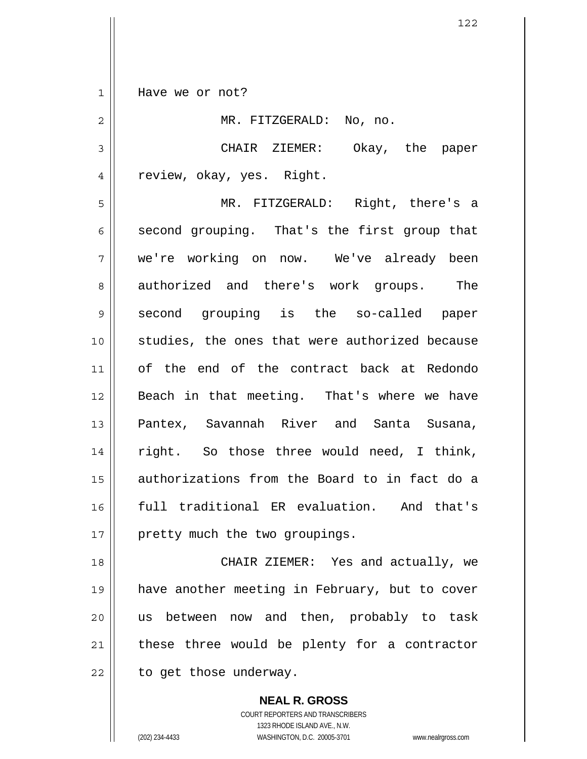1 Have we or not?

2 3 4 5 6 7 8 9 10 11 12 13 14 15 16 17 MR. FITZGERALD: No, no. CHAIR ZIEMER: Okay, the paper review, okay, yes. Right. MR. FITZGERALD: Right, there's a second grouping. That's the first group that we're working on now. We've already been authorized and there's work groups. The second grouping is the so-called paper studies, the ones that were authorized because of the end of the contract back at Redondo Beach in that meeting. That's where we have Pantex, Savannah River and Santa Susana, right. So those three would need, I think, authorizations from the Board to in fact do a full traditional ER evaluation. And that's pretty much the two groupings.

18 19 20 21 22 CHAIR ZIEMER: Yes and actually, we have another meeting in February, but to cover us between now and then, probably to task these three would be plenty for a contractor to get those underway.

> **NEAL R. GROSS** COURT REPORTERS AND TRANSCRIBERS 1323 RHODE ISLAND AVE., N.W. (202) 234-4433 WASHINGTON, D.C. 20005-3701 www.nealrgross.com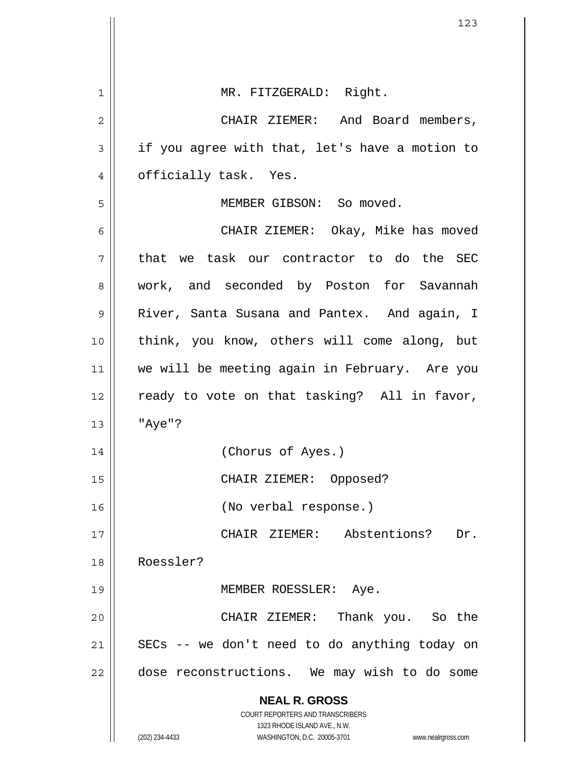|    | 123                                                                 |
|----|---------------------------------------------------------------------|
|    |                                                                     |
| 1  | MR. FITZGERALD: Right.                                              |
| 2  | CHAIR ZIEMER: And Board members,                                    |
| 3  | if you agree with that, let's have a motion to                      |
| 4  | officially task. Yes.                                               |
| 5  | MEMBER GIBSON: So moved.                                            |
| 6  | CHAIR ZIEMER: Okay, Mike has moved                                  |
| 7  | that we task our contractor to do the SEC                           |
| 8  | work, and seconded by Poston for Savannah                           |
| 9  | River, Santa Susana and Pantex. And again, I                        |
| 10 | think, you know, others will come along, but                        |
| 11 | we will be meeting again in February. Are you                       |
| 12 | ready to vote on that tasking? All in favor,                        |
| 13 | "Aye"?                                                              |
| 14 | (Chorus of Ayes.)                                                   |
| 15 | CHAIR ZIEMER: Opposed?                                              |
| 16 | (No verbal response.)                                               |
| 17 | CHAIR ZIEMER: Abstentions?<br>Dr.                                   |
| 18 | Roessler?                                                           |
| 19 | MEMBER ROESSLER: Aye.                                               |
| 20 | CHAIR ZIEMER: Thank you. So the                                     |
| 21 | SECs -- we don't need to do anything today on                       |
| 22 | dose reconstructions. We may wish to do some                        |
|    | <b>NEAL R. GROSS</b>                                                |
|    | COURT REPORTERS AND TRANSCRIBERS<br>1323 RHODE ISLAND AVE., N.W.    |
|    | (202) 234-4433<br>WASHINGTON, D.C. 20005-3701<br>www.nealrgross.com |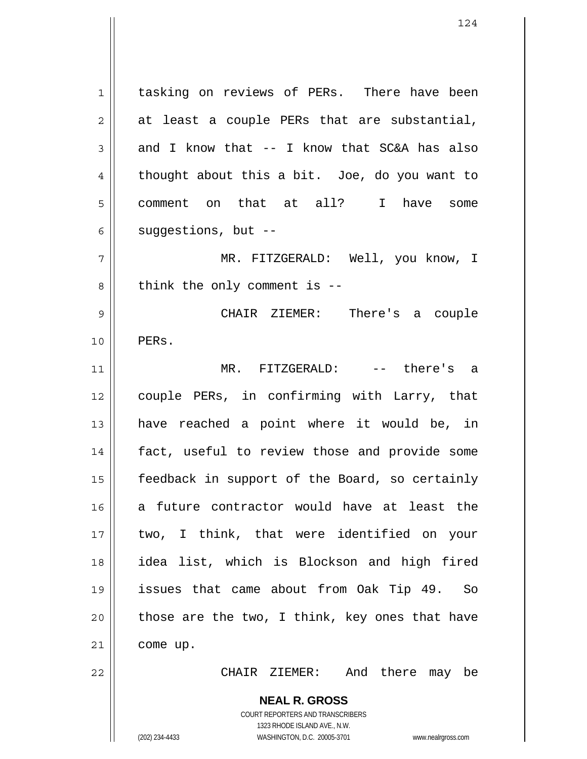**NEAL R. GROSS** 1 2 3 4 5 6 7 8 9 10 11 12 13 14 15 16 17 18 19 20 21 22 tasking on reviews of PERs. There have been at least a couple PERs that are substantial, and I know that -- I know that SC&A has also thought about this a bit. Joe, do you want to comment on that at all? I have some suggestions, but -- MR. FITZGERALD: Well, you know, I think the only comment is -- CHAIR ZIEMER: There's a couple PERs. MR. FITZGERALD: -- there's a couple PERs, in confirming with Larry, that have reached a point where it would be, in fact, useful to review those and provide some feedback in support of the Board, so certainly a future contractor would have at least the two, I think, that were identified on your idea list, which is Blockson and high fired issues that came about from Oak Tip 49. So those are the two, I think, key ones that have come up. CHAIR ZIEMER: And there may be

> COURT REPORTERS AND TRANSCRIBERS 1323 RHODE ISLAND AVE., N.W.

(202) 234-4433 WASHINGTON, D.C. 20005-3701 www.nealrgross.com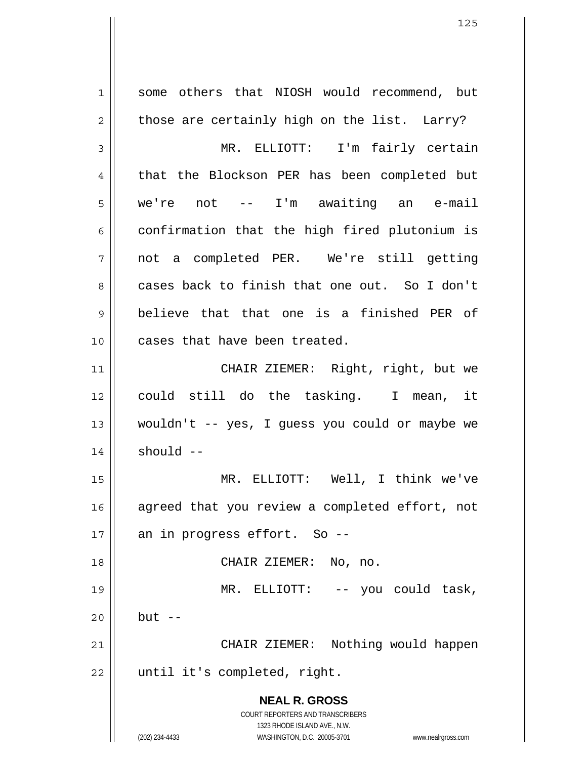**NEAL R. GROSS** COURT REPORTERS AND TRANSCRIBERS 1323 RHODE ISLAND AVE., N.W. (202) 234-4433 WASHINGTON, D.C. 20005-3701 www.nealrgross.com 1 2 3 4 5 6 7 8 9 10 11 12 13 14 15 16 17 18 19 20 21 22 some others that NIOSH would recommend, but those are certainly high on the list. Larry? MR. ELLIOTT: I'm fairly certain that the Blockson PER has been completed but we're not -- I'm awaiting an e-mail confirmation that the high fired plutonium is not a completed PER. We're still getting cases back to finish that one out. So I don't believe that that one is a finished PER of cases that have been treated. CHAIR ZIEMER: Right, right, but we could still do the tasking. I mean, it wouldn't -- yes, I guess you could or maybe we should -- MR. ELLIOTT: Well, I think we've agreed that you review a completed effort, not an in progress effort. So -- CHAIR ZIEMER: No, no. MR. ELLIOTT: -- you could task, but  $--$  CHAIR ZIEMER: Nothing would happen until it's completed, right.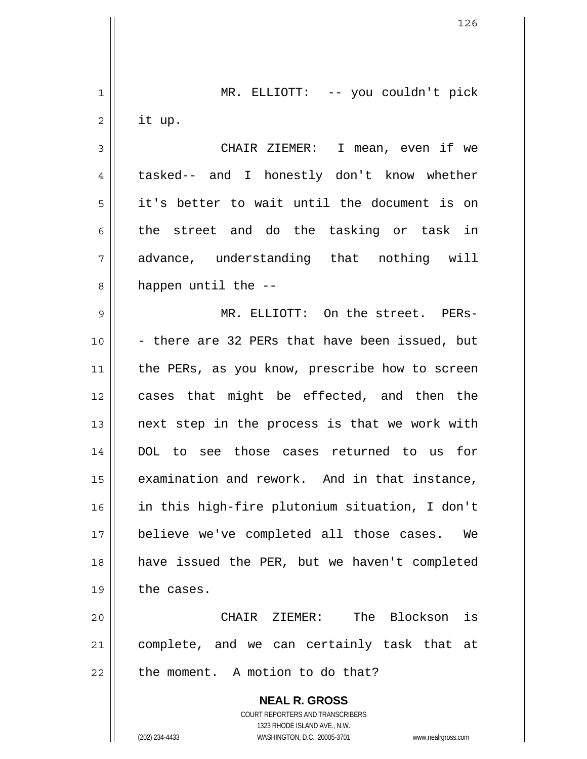**NEAL R. GROSS** COURT REPORTERS AND TRANSCRIBERS 1323 RHODE ISLAND AVE., N.W. 1 2 3 4 5 6 7 8 9 10 11 12 13 14 15 16 17 18 19 20 21 22 MR. ELLIOTT: -- you couldn't pick it up. CHAIR ZIEMER: I mean, even if we tasked-- and I honestly don't know whether it's better to wait until the document is on the street and do the tasking or task in advance, understanding that nothing will happen until the -- MR. ELLIOTT: On the street. PERs- - there are 32 PERs that have been issued, but the PERs, as you know, prescribe how to screen cases that might be effected, and then the next step in the process is that we work with DOL to see those cases returned to us for examination and rework. And in that instance, in this high-fire plutonium situation, I don't believe we've completed all those cases. We have issued the PER, but we haven't completed the cases. CHAIR ZIEMER: The Blockson is complete, and we can certainly task that at the moment. A motion to do that?

(202) 234-4433 WASHINGTON, D.C. 20005-3701 www.nealrgross.com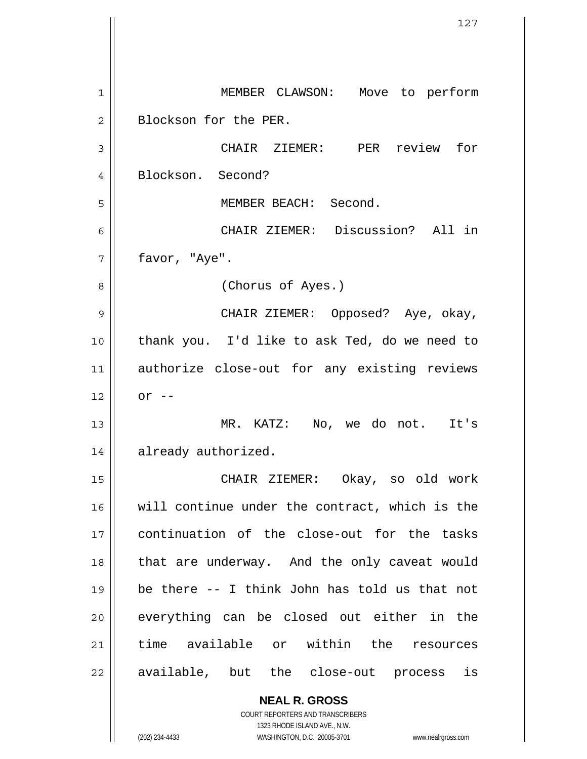**NEAL R. GROSS** 1 2 3 4 5 6 7 8 9 10 11 12 13 14 15 16 17 18 19 20 21 22 MEMBER CLAWSON: Move to perform Blockson for the PER. CHAIR ZIEMER: PER review for Blockson. Second? MEMBER BEACH: Second. CHAIR ZIEMER: Discussion? All in favor, "Aye". (Chorus of Ayes.) CHAIR ZIEMER: Opposed? Aye, okay, thank you. I'd like to ask Ted, do we need to authorize close-out for any existing reviews  $or$   $--$  MR. KATZ: No, we do not. It's already authorized. CHAIR ZIEMER: Okay, so old work will continue under the contract, which is the continuation of the close-out for the tasks that are underway. And the only caveat would be there -- I think John has told us that not everything can be closed out either in the time available or within the resources available, but the close-out process is

> COURT REPORTERS AND TRANSCRIBERS 1323 RHODE ISLAND AVE., N.W.

(202) 234-4433 WASHINGTON, D.C. 20005-3701 www.nealrgross.com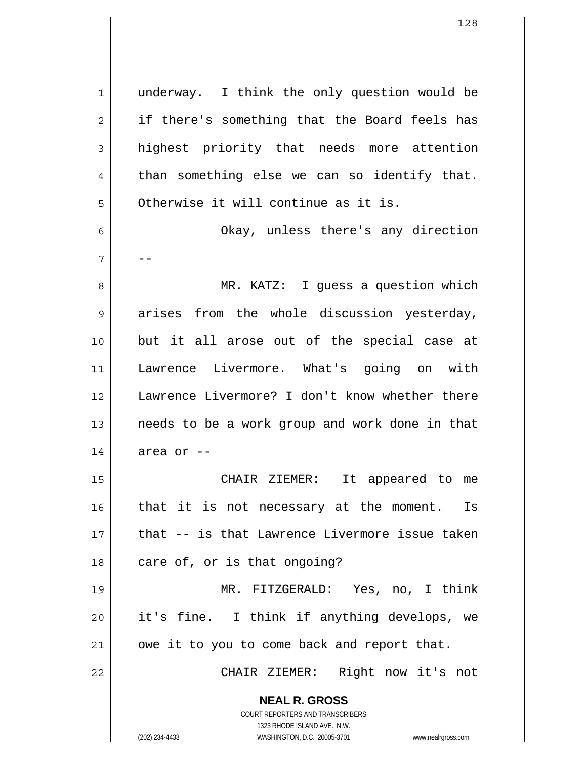**NEAL R. GROSS** COURT REPORTERS AND TRANSCRIBERS 1323 RHODE ISLAND AVE., N.W. (202) 234-4433 WASHINGTON, D.C. 20005-3701 www.nealrgross.com 1 2 3 4 5 6 7 8 9 10 11 12 13 14 15 16 17 18 19 20 21 22 underway. I think the only question would be if there's something that the Board feels has highest priority that needs more attention than something else we can so identify that. Otherwise it will continue as it is. Okay, unless there's any direction -- MR. KATZ: I guess a question which arises from the whole discussion yesterday, but it all arose out of the special case at Lawrence Livermore. What's going on with Lawrence Livermore? I don't know whether there needs to be a work group and work done in that area or -- CHAIR ZIEMER: It appeared to me that it is not necessary at the moment. Is that -- is that Lawrence Livermore issue taken care of, or is that ongoing? MR. FITZGERALD: Yes, no, I think it's fine. I think if anything develops, we owe it to you to come back and report that. CHAIR ZIEMER: Right now it's not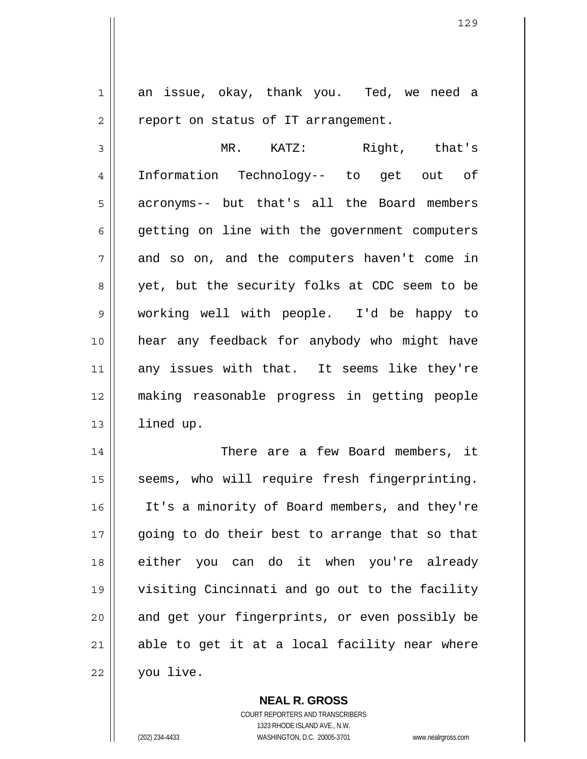1 2 3 4 5 6 7 8 9 10 11 12 13 14 15 16 17 18 19 20 21 22 an issue, okay, thank you. Ted, we need a report on status of IT arrangement. MR. KATZ: Right, that's Information Technology-- to get out of acronyms-- but that's all the Board members getting on line with the government computers and so on, and the computers haven't come in yet, but the security folks at CDC seem to be working well with people. I'd be happy to hear any feedback for anybody who might have any issues with that. It seems like they're making reasonable progress in getting people lined up. There are a few Board members, it seems, who will require fresh fingerprinting. It's a minority of Board members, and they're going to do their best to arrange that so that either you can do it when you're already visiting Cincinnati and go out to the facility and get your fingerprints, or even possibly be able to get it at a local facility near where you live.

> COURT REPORTERS AND TRANSCRIBERS 1323 RHODE ISLAND AVE., N.W. (202) 234-4433 WASHINGTON, D.C. 20005-3701 www.nealrgross.com

**NEAL R. GROSS**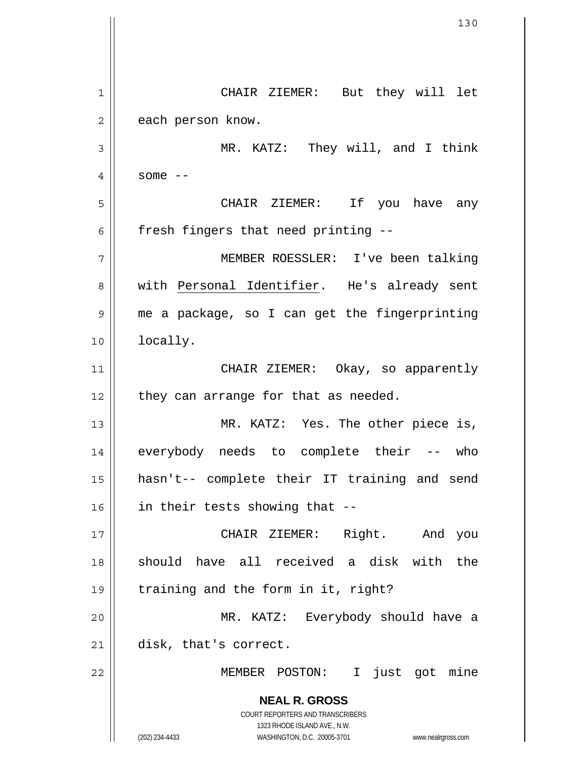**NEAL R. GROSS** COURT REPORTERS AND TRANSCRIBERS 1323 RHODE ISLAND AVE., N.W. (202) 234-4433 WASHINGTON, D.C. 20005-3701 www.nealrgross.com 1 2 3 4 5 6 7 CHAIR ZIEMER: But they will let each person know. MR. KATZ: They will, and I think some  $--$  CHAIR ZIEMER: If you have any fresh fingers that need printing -- MEMBER ROESSLER: I've been talking with Personal Identifier. He's already sent me a package, so I can get the fingerprinting locally. 8 9 10 11 12 13 14 15 16 17 18 19 20 21 22 CHAIR ZIEMER: Okay, so apparently they can arrange for that as needed. MR. KATZ: Yes. The other piece is, everybody needs to complete their -- who hasn't-- complete their IT training and send in their tests showing that -- CHAIR ZIEMER: Right. And you should have all received a disk with the training and the form in it, right? MR. KATZ: Everybody should have a disk, that's correct. MEMBER POSTON: I just got mine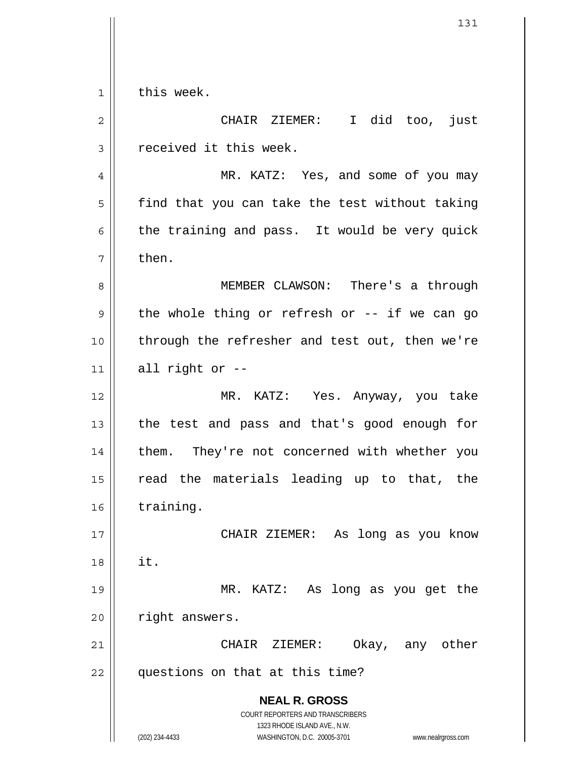1 this week.

**NEAL R. GROSS** COURT REPORTERS AND TRANSCRIBERS 1323 RHODE ISLAND AVE., N.W. (202) 234-4433 WASHINGTON, D.C. 20005-3701 www.nealrgross.com 2 3 4 5 6 7 8 9 10 11 12 13 14 15 16 17 18 19 20 21 22 CHAIR ZIEMER: I did too, just received it this week. MR. KATZ: Yes, and some of you may find that you can take the test without taking the training and pass. It would be very quick then. MEMBER CLAWSON: There's a through the whole thing or refresh or -- if we can go through the refresher and test out, then we're all right or -- MR. KATZ: Yes. Anyway, you take the test and pass and that's good enough for them. They're not concerned with whether you read the materials leading up to that, the training. CHAIR ZIEMER: As long as you know it. MR. KATZ: As long as you get the right answers. CHAIR ZIEMER: Okay, any other questions on that at this time?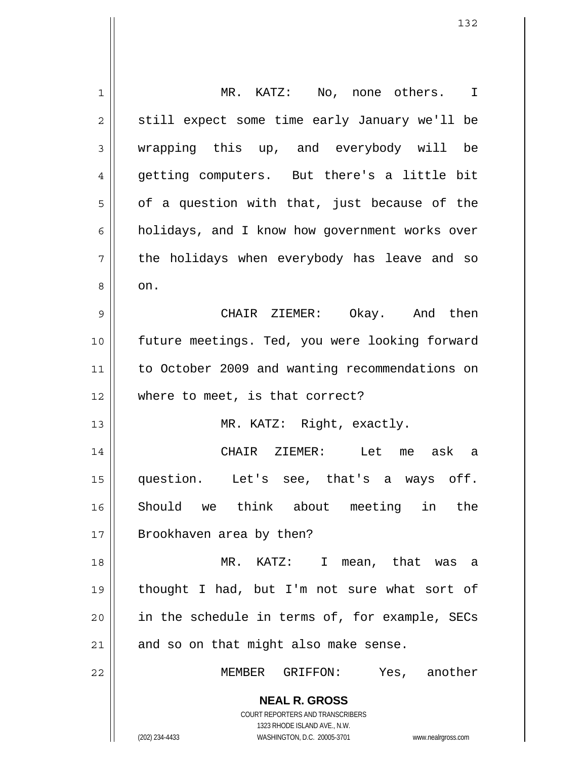| 1              | MR. KATZ: No, none others. I                                                                        |
|----------------|-----------------------------------------------------------------------------------------------------|
| $\overline{c}$ | still expect some time early January we'll be                                                       |
| 3              | wrapping this up, and everybody will be                                                             |
| 4              | getting computers. But there's a little bit                                                         |
| 5              | of a question with that, just because of the                                                        |
| 6              | holidays, and I know how government works over                                                      |
| 7              | the holidays when everybody has leave and so                                                        |
| 8              | on.                                                                                                 |
| 9              | CHAIR ZIEMER: Okay. And then                                                                        |
| 10             | future meetings. Ted, you were looking forward                                                      |
| 11             | to October 2009 and wanting recommendations on                                                      |
| 12             | where to meet, is that correct?                                                                     |
| 13             | MR. KATZ: Right, exactly.                                                                           |
| 14             | CHAIR ZIEMER: Let me ask a                                                                          |
| 15             | question. Let's see, that's a ways off.                                                             |
| 16             | Should we think about meeting in the                                                                |
| 17             | Brookhaven area by then?                                                                            |
| 18             | MR. KATZ: I<br>mean, that was a                                                                     |
| 19             | thought I had, but I'm not sure what sort of                                                        |
| 20             | in the schedule in terms of, for example, SECs                                                      |
| 21             | and so on that might also make sense.                                                               |
| 22             | MEMBER GRIFFON: Yes, another                                                                        |
|                | <b>NEAL R. GROSS</b>                                                                                |
|                | COURT REPORTERS AND TRANSCRIBERS                                                                    |
|                | 1323 RHODE ISLAND AVE., N.W.<br>(202) 234-4433<br>WASHINGTON, D.C. 20005-3701<br>www.nealrgross.com |

 $\mathsf{I}$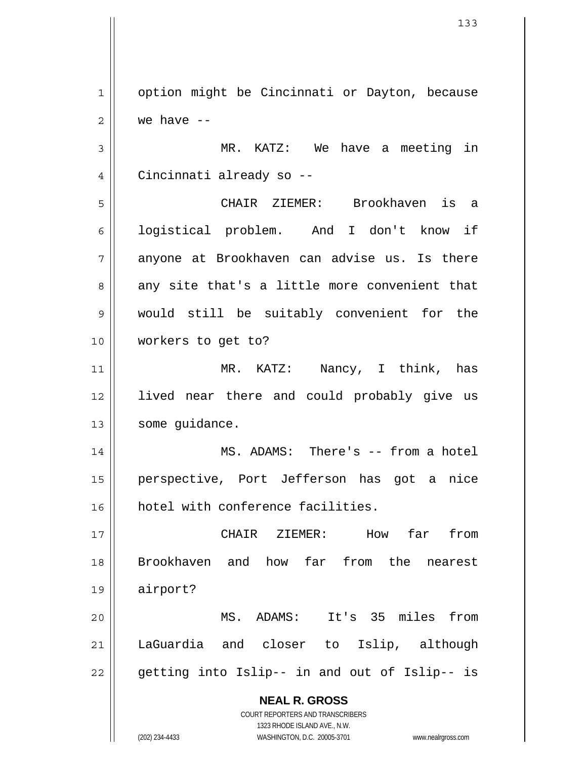1 2 option might be Cincinnati or Dayton, because we have --

3 4 MR. KATZ: We have a meeting in Cincinnati already so --

5 6 7 8 9 10 CHAIR ZIEMER: Brookhaven is a logistical problem. And I don't know if anyone at Brookhaven can advise us. Is there any site that's a little more convenient that would still be suitably convenient for the workers to get to?

11 12 13 MR. KATZ: Nancy, I think, has lived near there and could probably give us some guidance.

14 15 16 MS. ADAMS: There's -- from a hotel perspective, Port Jefferson has got a nice hotel with conference facilities.

17 18 19 CHAIR ZIEMER: How far from Brookhaven and how far from the nearest airport?

20 21 22 MS. ADAMS: It's 35 miles from LaGuardia and closer to Islip, although getting into Islip-- in and out of Islip-- is

> **NEAL R. GROSS** COURT REPORTERS AND TRANSCRIBERS 1323 RHODE ISLAND AVE., N.W.

(202) 234-4433 WASHINGTON, D.C. 20005-3701 www.nealrgross.com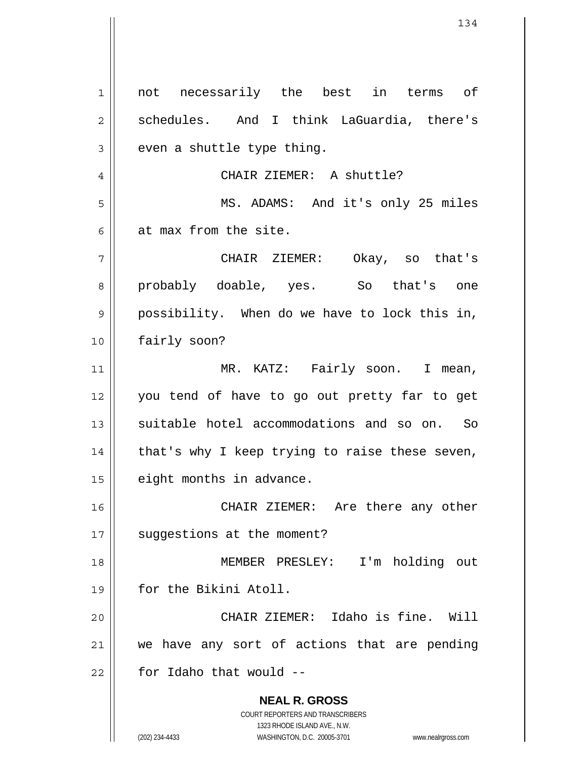**NEAL R. GROSS** COURT REPORTERS AND TRANSCRIBERS 1323 RHODE ISLAND AVE., N.W. (202) 234-4433 WASHINGTON, D.C. 20005-3701 www.nealrgross.com 1 2 3 4 5 6 7 8 9 10 11 12 13 14 15 16 17 18 19 20 21 22 not necessarily the best in terms of schedules. And I think LaGuardia, there's even a shuttle type thing. CHAIR ZIEMER: A shuttle? MS. ADAMS: And it's only 25 miles at max from the site. CHAIR ZIEMER: Okay, so that's probably doable, yes. So that's one possibility. When do we have to lock this in, fairly soon? MR. KATZ: Fairly soon. I mean, you tend of have to go out pretty far to get suitable hotel accommodations and so on. So that's why I keep trying to raise these seven, eight months in advance. CHAIR ZIEMER: Are there any other suggestions at the moment? MEMBER PRESLEY: I'm holding out for the Bikini Atoll. CHAIR ZIEMER: Idaho is fine. Will we have any sort of actions that are pending for Idaho that would --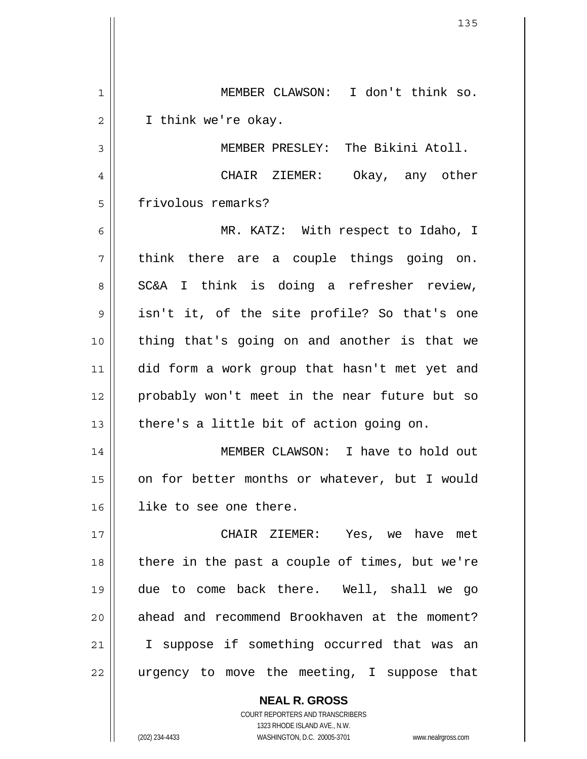| 1  | MEMBER CLAWSON: I don't think so.              |
|----|------------------------------------------------|
| 2  | I think we're okay.                            |
| 3  | MEMBER PRESLEY: The Bikini Atoll.              |
| 4  | CHAIR ZIEMER: Okay, any other                  |
| 5  | frivolous remarks?                             |
| 6  | MR. KATZ: With respect to Idaho, I             |
| 7  | think there are a couple things going on.      |
| 8  | SC&A I think is doing a refresher review,      |
| 9  | isn't it, of the site profile? So that's one   |
| 10 | thing that's going on and another is that we   |
| 11 | did form a work group that hasn't met yet and  |
| 12 | probably won't meet in the near future but so  |
| 13 | there's a little bit of action going on.       |
| 14 | MEMBER CLAWSON: I have to hold out             |
| 15 | on for better months or whatever, but I would  |
| 16 | like to see one there.                         |
| 17 | CHAIR ZIEMER: Yes, we have met                 |
| 18 | there in the past a couple of times, but we're |
| 19 | due to come back there. Well, shall we go      |
| 20 | ahead and recommend Brookhaven at the moment?  |
| 21 | I suppose if something occurred that was an    |
| 22 | urgency to move the meeting, I suppose that    |
|    | <b>NEAL R. GROSS</b>                           |

COURT REPORTERS AND TRANSCRIBERS 1323 RHODE ISLAND AVE., N.W.

 $\mathsf{II}$ 

 $\overline{\mathsf{I}}$  $\mathsf{l}$ 

(202) 234-4433 WASHINGTON, D.C. 20005-3701 www.nealrgross.com